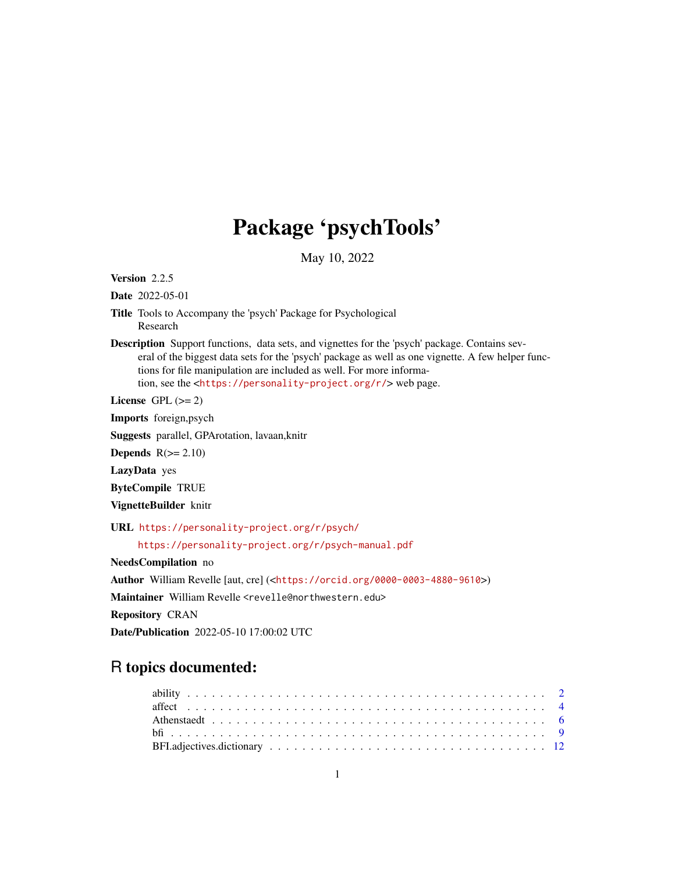# Package 'psychTools'

May 10, 2022

<span id="page-0-0"></span>Version 2.2.5

Date 2022-05-01

- Title Tools to Accompany the 'psych' Package for Psychological Research
- Description Support functions, data sets, and vignettes for the 'psych' package. Contains several of the biggest data sets for the 'psych' package as well as one vignette. A few helper functions for file manipulation are included as well. For more information, see the <<https://personality-project.org/r/>> web page.

License GPL  $(>= 2)$ 

Imports foreign,psych

Suggests parallel, GPArotation, lavaan,knitr

Depends  $R(>= 2.10)$ 

LazyData yes

ByteCompile TRUE

VignetteBuilder knitr

URL <https://personality-project.org/r/psych/>

<https://personality-project.org/r/psych-manual.pdf>

NeedsCompilation no

Author William Revelle [aut, cre] (<<https://orcid.org/0000-0003-4880-9610>>)

Maintainer William Revelle <revelle@northwestern.edu>

Repository CRAN

Date/Publication 2022-05-10 17:00:02 UTC

# R topics documented: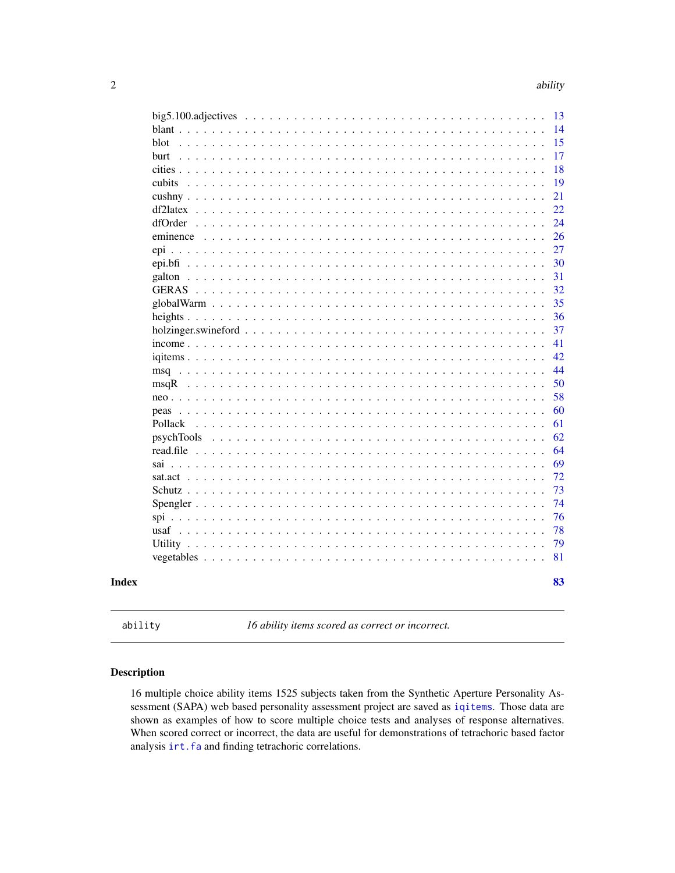<span id="page-1-0"></span>

| blot.                                                              |  |  |                           |  |  |  |  |  |  |  |  |  |  |  |
|--------------------------------------------------------------------|--|--|---------------------------|--|--|--|--|--|--|--|--|--|--|--|
| <b>burt</b>                                                        |  |  |                           |  |  |  |  |  |  |  |  |  |  |  |
| cities                                                             |  |  |                           |  |  |  |  |  |  |  |  |  |  |  |
| cubits                                                             |  |  |                           |  |  |  |  |  |  |  |  |  |  |  |
|                                                                    |  |  |                           |  |  |  |  |  |  |  |  |  |  |  |
|                                                                    |  |  |                           |  |  |  |  |  |  |  |  |  |  |  |
| $dfOrder \dots \dots$                                              |  |  |                           |  |  |  |  |  |  |  |  |  |  |  |
|                                                                    |  |  |                           |  |  |  |  |  |  |  |  |  |  |  |
|                                                                    |  |  |                           |  |  |  |  |  |  |  |  |  |  |  |
|                                                                    |  |  |                           |  |  |  |  |  |  |  |  |  |  |  |
|                                                                    |  |  |                           |  |  |  |  |  |  |  |  |  |  |  |
|                                                                    |  |  |                           |  |  |  |  |  |  |  |  |  |  |  |
|                                                                    |  |  |                           |  |  |  |  |  |  |  |  |  |  |  |
|                                                                    |  |  |                           |  |  |  |  |  |  |  |  |  |  |  |
|                                                                    |  |  |                           |  |  |  |  |  |  |  |  |  |  |  |
|                                                                    |  |  |                           |  |  |  |  |  |  |  |  |  |  |  |
|                                                                    |  |  |                           |  |  |  |  |  |  |  |  |  |  |  |
|                                                                    |  |  |                           |  |  |  |  |  |  |  |  |  |  |  |
|                                                                    |  |  |                           |  |  |  |  |  |  |  |  |  |  |  |
|                                                                    |  |  |                           |  |  |  |  |  |  |  |  |  |  |  |
|                                                                    |  |  |                           |  |  |  |  |  |  |  |  |  |  |  |
|                                                                    |  |  |                           |  |  |  |  |  |  |  |  |  |  |  |
| psychTools                                                         |  |  |                           |  |  |  |  |  |  |  |  |  |  |  |
| $read.file$                                                        |  |  |                           |  |  |  |  |  |  |  |  |  |  |  |
| sai<br>$\sim$ $\sim$ $\sim$ $\sim$ $\sim$ $\sim$ $\sim$ $\sim$     |  |  |                           |  |  |  |  |  |  |  |  |  |  |  |
| sat.act $\ldots$                                                   |  |  |                           |  |  |  |  |  |  |  |  |  |  |  |
| Schutz $\ldots$ $\ldots$                                           |  |  | $\mathbf{1}$ $\mathbf{1}$ |  |  |  |  |  |  |  |  |  |  |  |
|                                                                    |  |  |                           |  |  |  |  |  |  |  |  |  |  |  |
| $\text{spl} \cdot \cdot \cdot \cdot \cdot \cdot \cdot \cdot \cdot$ |  |  |                           |  |  |  |  |  |  |  |  |  |  |  |
|                                                                    |  |  |                           |  |  |  |  |  |  |  |  |  |  |  |
|                                                                    |  |  |                           |  |  |  |  |  |  |  |  |  |  |  |
|                                                                    |  |  |                           |  |  |  |  |  |  |  |  |  |  |  |
|                                                                    |  |  |                           |  |  |  |  |  |  |  |  |  |  |  |
|                                                                    |  |  |                           |  |  |  |  |  |  |  |  |  |  |  |

ability *16 ability items scored as correct or incorrect.*

# Description

16 multiple choice ability items 1525 subjects taken from the Synthetic Aperture Personality Assessment (SAPA) web based personality assessment project are saved as [iqitems](#page-41-1). Those data are shown as examples of how to score multiple choice tests and analyses of response alternatives. When scored correct or incorrect, the data are useful for demonstrations of tetrachoric based factor analysis [irt.fa](#page-0-0) and finding tetrachoric correlations.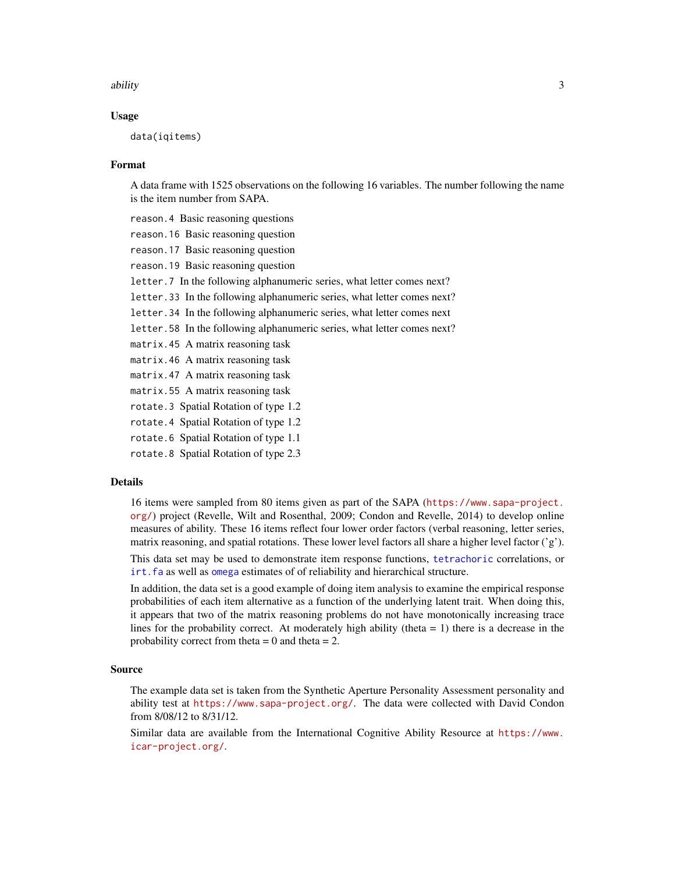#### ability 3

#### Usage

data(iqitems)

#### Format

A data frame with 1525 observations on the following 16 variables. The number following the name is the item number from SAPA.

reason.4 Basic reasoning questions

reason.16 Basic reasoning question

reason.17 Basic reasoning question

reason.19 Basic reasoning question

letter.7 In the following alphanumeric series, what letter comes next?

letter.33 In the following alphanumeric series, what letter comes next?

letter.34 In the following alphanumeric series, what letter comes next

letter.58 In the following alphanumeric series, what letter comes next?

matrix.45 A matrix reasoning task

matrix.46 A matrix reasoning task

matrix.47 A matrix reasoning task

matrix.55 A matrix reasoning task

rotate.3 Spatial Rotation of type 1.2

rotate.4 Spatial Rotation of type 1.2

rotate.6 Spatial Rotation of type 1.1

rotate.8 Spatial Rotation of type 2.3

#### Details

16 items were sampled from 80 items given as part of the SAPA ([https://www.sapa-project.](https://www.sapa-project.org/) [org/](https://www.sapa-project.org/)) project (Revelle, Wilt and Rosenthal, 2009; Condon and Revelle, 2014) to develop online measures of ability. These 16 items reflect four lower order factors (verbal reasoning, letter series, matrix reasoning, and spatial rotations. These lower level factors all share a higher level factor  $('g')$ .

This data set may be used to demonstrate item response functions, [tetrachoric](#page-0-0) correlations, or irt. fa as well as [omega](#page-0-0) estimates of of reliability and hierarchical structure.

In addition, the data set is a good example of doing item analysis to examine the empirical response probabilities of each item alternative as a function of the underlying latent trait. When doing this, it appears that two of the matrix reasoning problems do not have monotonically increasing trace lines for the probability correct. At moderately high ability (theta  $= 1$ ) there is a decrease in the probability correct from theta  $= 0$  and theta  $= 2$ .

#### Source

The example data set is taken from the Synthetic Aperture Personality Assessment personality and ability test at <https://www.sapa-project.org/>. The data were collected with David Condon from 8/08/12 to 8/31/12.

Similar data are available from the International Cognitive Ability Resource at [https://www.](https://www.icar-project.org/) [icar-project.org/](https://www.icar-project.org/).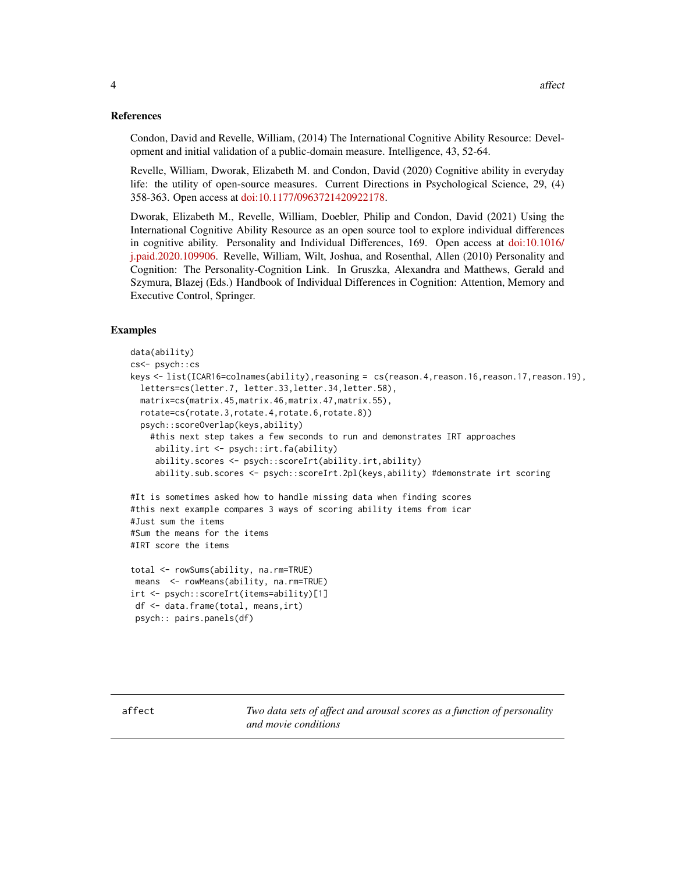#### <span id="page-3-0"></span>References

Condon, David and Revelle, William, (2014) The International Cognitive Ability Resource: Development and initial validation of a public-domain measure. Intelligence, 43, 52-64.

Revelle, William, Dworak, Elizabeth M. and Condon, David (2020) Cognitive ability in everyday life: the utility of open-source measures. Current Directions in Psychological Science, 29, (4) 358-363. Open access at [doi:10.1177/0963721420922178.](https://doi.org/10.1177/0963721420922178)

Dworak, Elizabeth M., Revelle, William, Doebler, Philip and Condon, David (2021) Using the International Cognitive Ability Resource as an open source tool to explore individual differences in cognitive ability. Personality and Individual Differences, 169. Open access at [doi:10.1016/](https://doi.org/10.1016/j.paid.2020.109906) [j.paid.2020.109906.](https://doi.org/10.1016/j.paid.2020.109906) Revelle, William, Wilt, Joshua, and Rosenthal, Allen (2010) Personality and Cognition: The Personality-Cognition Link. In Gruszka, Alexandra and Matthews, Gerald and Szymura, Blazej (Eds.) Handbook of Individual Differences in Cognition: Attention, Memory and Executive Control, Springer.

#### Examples

```
data(ability)
cs<- psych::cs
keys <- list(ICAR16=colnames(ability),reasoning = cs(reason.4,reason.16,reason.17,reason.19),
 letters=cs(letter.7, letter.33,letter.34,letter.58),
 matrix=cs(matrix.45,matrix.46,matrix.47,matrix.55),
 rotate=cs(rotate.3,rotate.4,rotate.6,rotate.8))
 psych::scoreOverlap(keys,ability)
    #this next step takes a few seconds to run and demonstrates IRT approaches
     ability.irt <- psych::irt.fa(ability)
     ability.scores <- psych::scoreIrt(ability.irt,ability)
     ability.sub.scores <- psych::scoreIrt.2pl(keys,ability) #demonstrate irt scoring
#It is sometimes asked how to handle missing data when finding scores
#this next example compares 3 ways of scoring ability items from icar
#Just sum the items
#Sum the means for the items
#IRT score the items
total <- rowSums(ability, na.rm=TRUE)
means <- rowMeans(ability, na.rm=TRUE)
irt <- psych::scoreIrt(items=ability)[1]
df <- data.frame(total, means,irt)
 psych:: pairs.panels(df)
```
<span id="page-3-1"></span>affect *Two data sets of affect and arousal scores as a function of personality and movie conditions*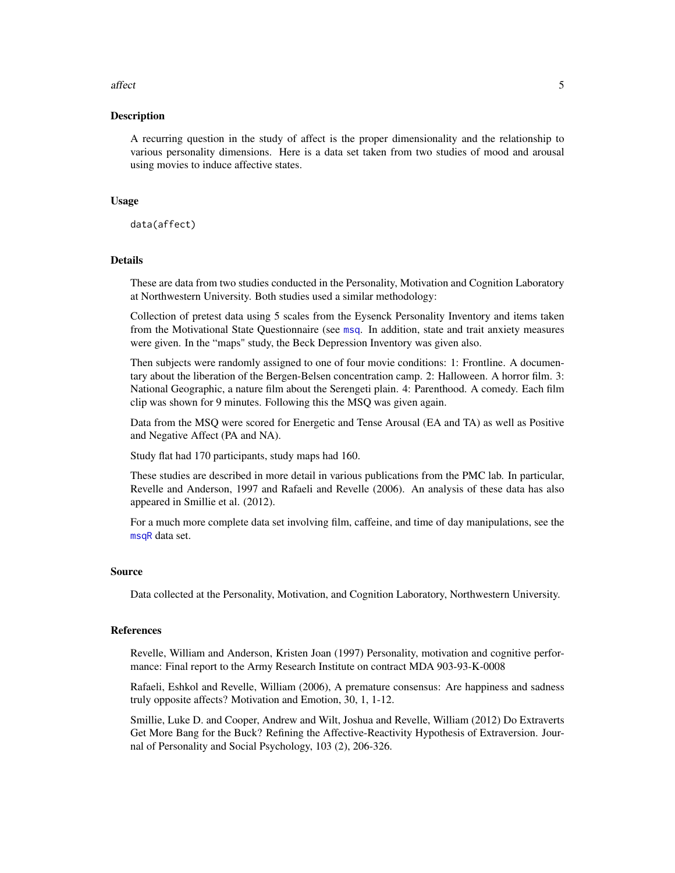#### affect 5

#### Description

A recurring question in the study of affect is the proper dimensionality and the relationship to various personality dimensions. Here is a data set taken from two studies of mood and arousal using movies to induce affective states.

# Usage

data(affect)

# **Details**

These are data from two studies conducted in the Personality, Motivation and Cognition Laboratory at Northwestern University. Both studies used a similar methodology:

Collection of pretest data using 5 scales from the Eysenck Personality Inventory and items taken from the Motivational State Questionnaire (see [msq](#page-43-1). In addition, state and trait anxiety measures were given. In the "maps" study, the Beck Depression Inventory was given also.

Then subjects were randomly assigned to one of four movie conditions: 1: Frontline. A documentary about the liberation of the Bergen-Belsen concentration camp. 2: Halloween. A horror film. 3: National Geographic, a nature film about the Serengeti plain. 4: Parenthood. A comedy. Each film clip was shown for 9 minutes. Following this the MSQ was given again.

Data from the MSQ were scored for Energetic and Tense Arousal (EA and TA) as well as Positive and Negative Affect (PA and NA).

Study flat had 170 participants, study maps had 160.

These studies are described in more detail in various publications from the PMC lab. In particular, Revelle and Anderson, 1997 and Rafaeli and Revelle (2006). An analysis of these data has also appeared in Smillie et al. (2012).

For a much more complete data set involving film, caffeine, and time of day manipulations, see the [msqR](#page-49-1) data set.

#### Source

Data collected at the Personality, Motivation, and Cognition Laboratory, Northwestern University.

#### References

Revelle, William and Anderson, Kristen Joan (1997) Personality, motivation and cognitive performance: Final report to the Army Research Institute on contract MDA 903-93-K-0008

Rafaeli, Eshkol and Revelle, William (2006), A premature consensus: Are happiness and sadness truly opposite affects? Motivation and Emotion, 30, 1, 1-12.

Smillie, Luke D. and Cooper, Andrew and Wilt, Joshua and Revelle, William (2012) Do Extraverts Get More Bang for the Buck? Refining the Affective-Reactivity Hypothesis of Extraversion. Journal of Personality and Social Psychology, 103 (2), 206-326.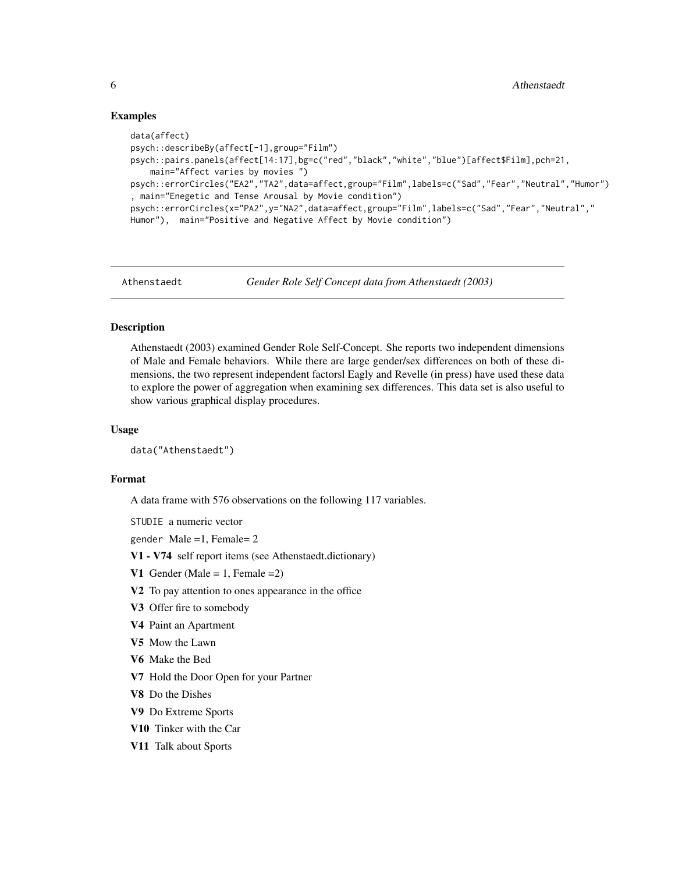# Examples

```
data(affect)
psych::describeBy(affect[-1],group="Film")
psych::pairs.panels(affect[14:17],bg=c("red","black","white","blue")[affect$Film],pch=21,
   main="Affect varies by movies ")
psych::errorCircles("EA2","TA2",data=affect,group="Film",labels=c("Sad","Fear","Neutral","Humor")
, main="Enegetic and Tense Arousal by Movie condition")
psych::errorCircles(x="PA2",y="NA2",data=affect,group="Film",labels=c("Sad","Fear","Neutral","
Humor"), main="Positive and Negative Affect by Movie condition")
```
Athenstaedt *Gender Role Self Concept data from Athenstaedt (2003)*

#### Description

Athenstaedt (2003) examined Gender Role Self-Concept. She reports two independent dimensions of Male and Female behaviors. While there are large gender/sex differences on both of these dimensions, the two represent independent factorsl Eagly and Revelle (in press) have used these data to explore the power of aggregation when examining sex differences. This data set is also useful to show various graphical display procedures.

# Usage

```
data("Athenstaedt")
```
#### Format

A data frame with 576 observations on the following 117 variables.

STUDIE a numeric vector

gender Male =1, Female= 2

V1 - V74 self report items (see Athenstaedt.dictionary)

V1 Gender (Male = 1, Female = 2)

- V2 To pay attention to ones appearance in the office
- V3 Offer fire to somebody
- V4 Paint an Apartment
- V5 Mow the Lawn
- V6 Make the Bed
- V7 Hold the Door Open for your Partner
- V8 Do the Dishes
- V9 Do Extreme Sports
- V10 Tinker with the Car
- V11 Talk about Sports

<span id="page-5-0"></span>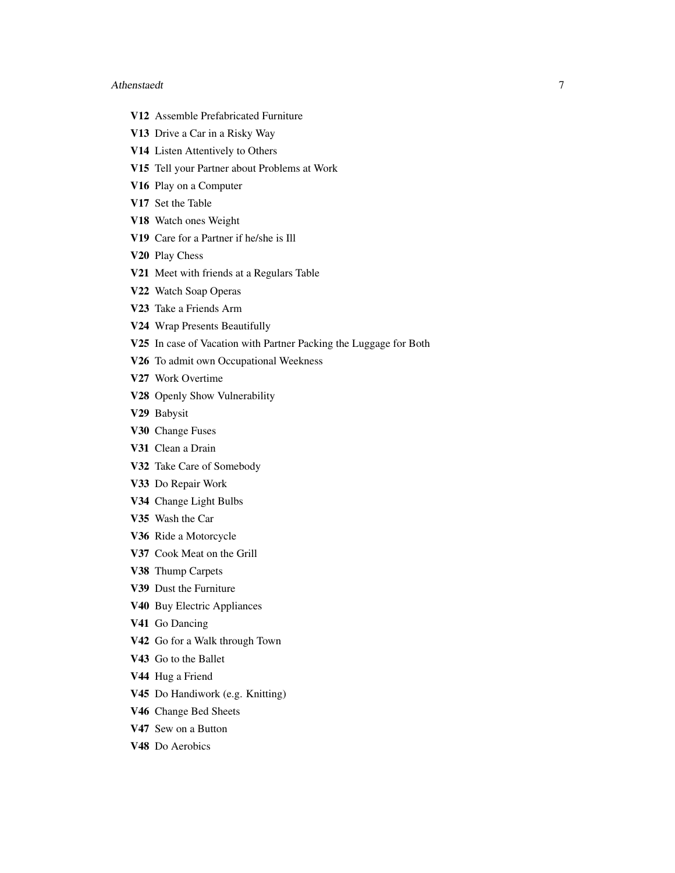#### Athenstaedt 7

- V12 Assemble Prefabricated Furniture
- V13 Drive a Car in a Risky Way
- V14 Listen Attentively to Others
- V15 Tell your Partner about Problems at Work
- V16 Play on a Computer
- V17 Set the Table
- V18 Watch ones Weight
- V19 Care for a Partner if he/she is Ill
- V20 Play Chess
- V21 Meet with friends at a Regulars Table
- V22 Watch Soap Operas
- V23 Take a Friends Arm
- V24 Wrap Presents Beautifully
- V25 In case of Vacation with Partner Packing the Luggage for Both
- V26 To admit own Occupational Weekness
- V27 Work Overtime
- V28 Openly Show Vulnerability
- V29 Babysit
- V30 Change Fuses
- V31 Clean a Drain
- V32 Take Care of Somebody
- V33 Do Repair Work
- V34 Change Light Bulbs
- V35 Wash the Car
- V36 Ride a Motorcycle
- V37 Cook Meat on the Grill
- V38 Thump Carpets
- V39 Dust the Furniture
- V40 Buy Electric Appliances
- V41 Go Dancing
- V42 Go for a Walk through Town
- V43 Go to the Ballet
- V44 Hug a Friend
- V45 Do Handiwork (e.g. Knitting)
- V46 Change Bed Sheets
- V47 Sew on a Button
- V48 Do Aerobics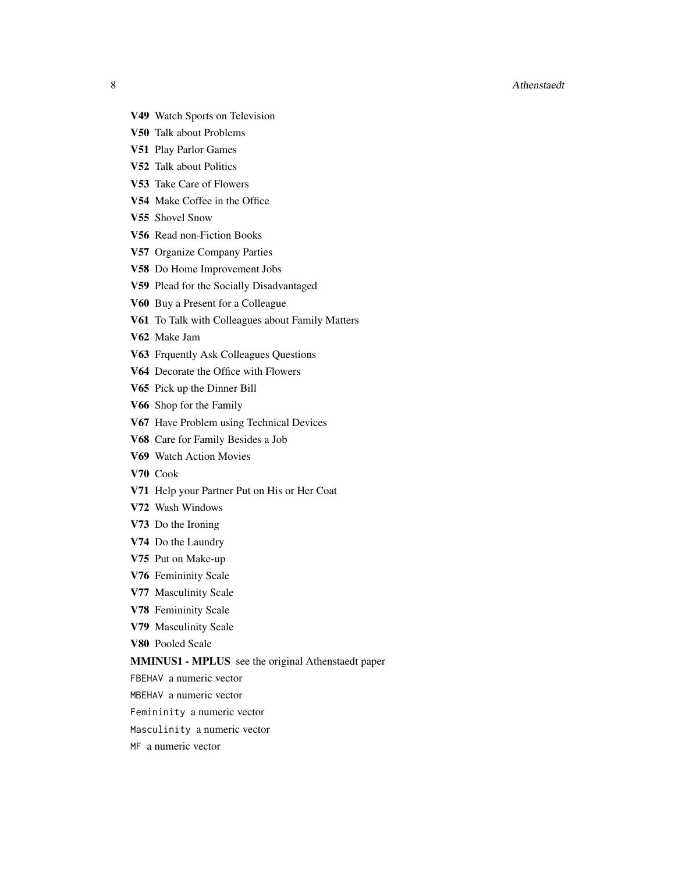#### 8 Athenstaedt and the state of the state of the state of the state of the state of the state of the state of the state of the state of the state of the state of the state of the state of the state of the state of the state

- V49 Watch Sports on Television
- V50 Talk about Problems
- V51 Play Parlor Games
- V52 Talk about Politics
- V53 Take Care of Flowers
- V54 Make Coffee in the Office
- V55 Shovel Snow
- V56 Read non-Fiction Books
- V57 Organize Company Parties
- V58 Do Home Improvement Jobs
- V59 Plead for the Socially Disadvantaged
- V60 Buy a Present for a Colleague
- V61 To Talk with Colleagues about Family Matters
- V62 Make Jam
- V63 Frquently Ask Colleagues Questions
- V64 Decorate the Office with Flowers
- V65 Pick up the Dinner Bill
- V66 Shop for the Family
- V67 Have Problem using Technical Devices
- V68 Care for Family Besides a Job
- V69 Watch Action Movies
- V70 Cook
- V71 Help your Partner Put on His or Her Coat
- V72 Wash Windows
- V73 Do the Ironing
- V74 Do the Laundry
- V75 Put on Make-up
- V76 Femininity Scale
- V77 Masculinity Scale
- V78 Femininity Scale
- V79 Masculinity Scale
- V80 Pooled Scale

MMINUS1 - MPLUS see the original Athenstaedt paper

FBEHAV a numeric vector

- MBEHAV a numeric vector
- Femininity a numeric vector
- Masculinity a numeric vector
- MF a numeric vector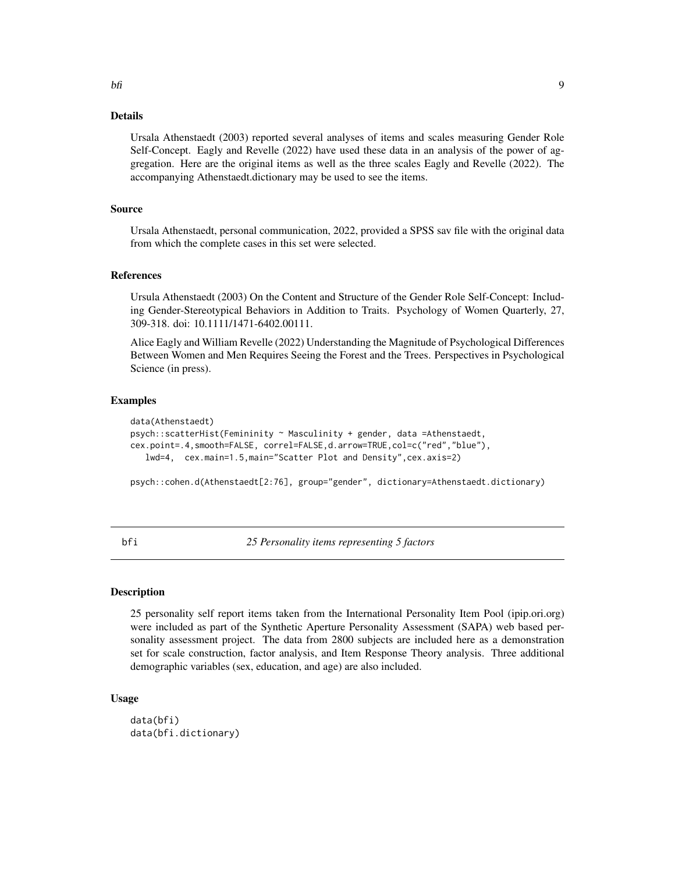<span id="page-8-0"></span>Ursala Athenstaedt (2003) reported several analyses of items and scales measuring Gender Role Self-Concept. Eagly and Revelle (2022) have used these data in an analysis of the power of aggregation. Here are the original items as well as the three scales Eagly and Revelle (2022). The accompanying Athenstaedt.dictionary may be used to see the items.

#### Source

Ursala Athenstaedt, personal communication, 2022, provided a SPSS sav file with the original data from which the complete cases in this set were selected.

#### References

Ursula Athenstaedt (2003) On the Content and Structure of the Gender Role Self-Concept: Including Gender-Stereotypical Behaviors in Addition to Traits. Psychology of Women Quarterly, 27, 309-318. doi: 10.1111/1471-6402.00111.

Alice Eagly and William Revelle (2022) Understanding the Magnitude of Psychological Differences Between Women and Men Requires Seeing the Forest and the Trees. Perspectives in Psychological Science (in press).

#### Examples

```
data(Athenstaedt)
psych::scatterHist(Femininity ~ Masculinity + gender, data =Athenstaedt,
cex.point=.4,smooth=FALSE, correl=FALSE,d.arrow=TRUE,col=c("red","blue"),
  lwd=4, cex.main=1.5,main="Scatter Plot and Density",cex.axis=2)
```
psych::cohen.d(Athenstaedt[2:76], group="gender", dictionary=Athenstaedt.dictionary)

bfi *25 Personality items representing 5 factors*

# Description

25 personality self report items taken from the International Personality Item Pool (ipip.ori.org) were included as part of the Synthetic Aperture Personality Assessment (SAPA) web based personality assessment project. The data from 2800 subjects are included here as a demonstration set for scale construction, factor analysis, and Item Response Theory analysis. Three additional demographic variables (sex, education, and age) are also included.

#### Usage

```
data(bfi)
data(bfi.dictionary)
```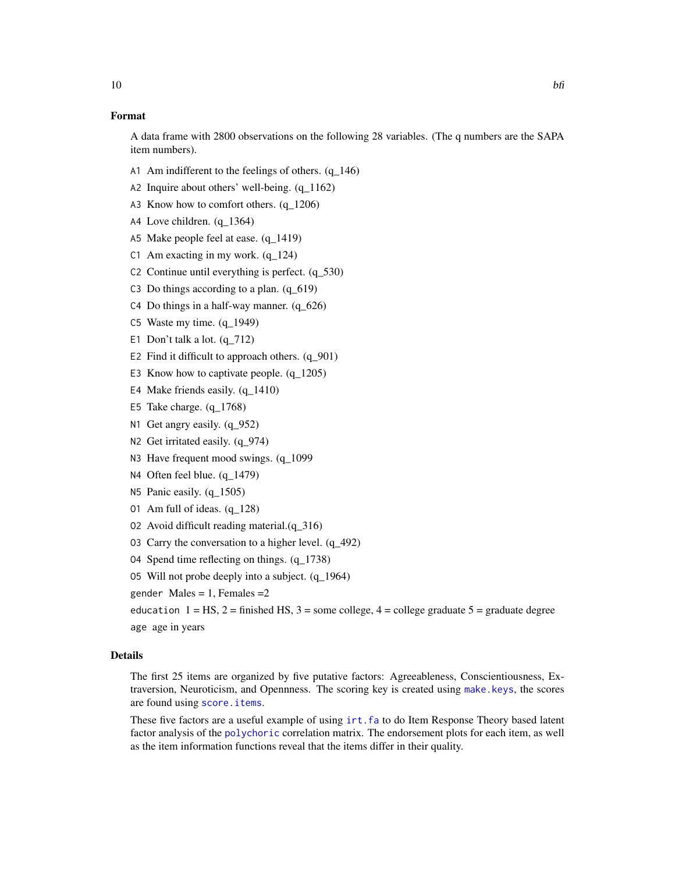# Format

A data frame with 2800 observations on the following 28 variables. (The q numbers are the SAPA item numbers).

- A1 Am indifferent to the feelings of others. (q\_146)
- A2 Inquire about others' well-being. (q\_1162)
- A3 Know how to comfort others. (q\_1206)
- A4 Love children. (q\_1364)
- A5 Make people feel at ease. (q\_1419)
- C1 Am exacting in my work.  $(q_124)$
- C2 Continue until everything is perfect. (q\_530)
- C3 Do things according to a plan.  $(q_619)$
- C4 Do things in a half-way manner.  $(q_626)$
- C5 Waste my time. (q\_1949)
- E1 Don't talk a lot.  $(q_712)$
- E2 Find it difficult to approach others.  $(q_901)$
- E3 Know how to captivate people. (q\_1205)
- E4 Make friends easily. (q\_1410)
- E5 Take charge. (q\_1768)
- N1 Get angry easily. (q\_952)
- N2 Get irritated easily. (q\_974)
- N3 Have frequent mood swings. (q\_1099)
- N4 Often feel blue. (q\_1479)
- N5 Panic easily. (q\_1505)
- O1 Am full of ideas. (q\_128)
- O2 Avoid difficult reading material.(q\_316)
- O3 Carry the conversation to a higher level. (q\_492)
- O4 Spend time reflecting on things. (q\_1738)
- O5 Will not probe deeply into a subject. (q\_1964)
- gender Males =  $1$ , Females =  $2$
- education  $1 = HS$ ,  $2 =$  finished HS,  $3 =$  some college,  $4 =$  college graduate  $5 =$  graduate degree age age in years

#### Details

The first 25 items are organized by five putative factors: Agreeableness, Conscientiousness, Extraversion, Neuroticism, and Opennness. The scoring key is created using [make.keys](#page-0-0), the scores are found using [score.items](#page-0-0).

These five factors are a useful example of using [irt.fa](#page-0-0) to do Item Response Theory based latent factor analysis of the [polychoric](#page-0-0) correlation matrix. The endorsement plots for each item, as well as the item information functions reveal that the items differ in their quality.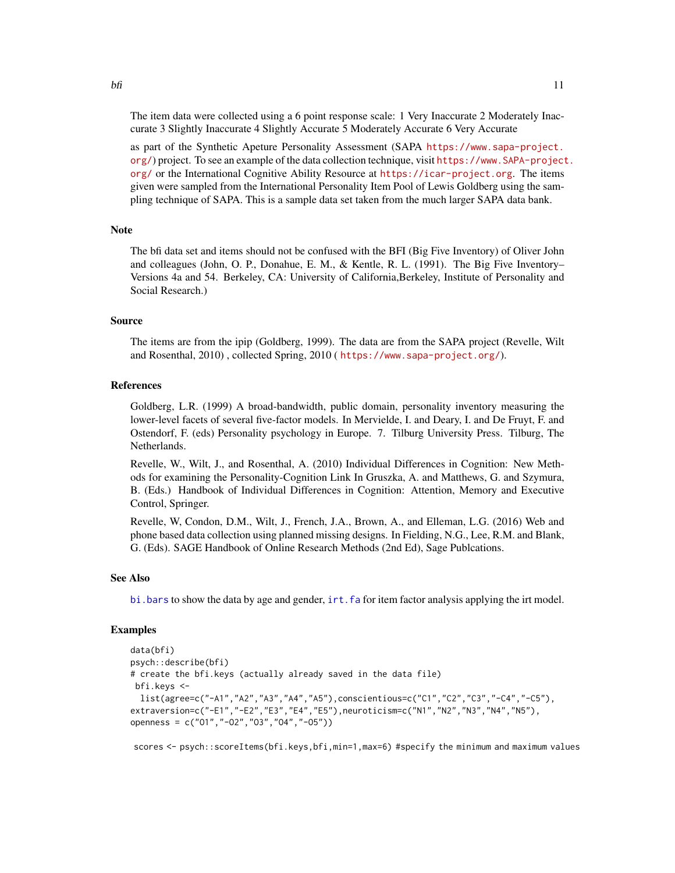The item data were collected using a 6 point response scale: 1 Very Inaccurate 2 Moderately Inaccurate 3 Slightly Inaccurate 4 Slightly Accurate 5 Moderately Accurate 6 Very Accurate

as part of the Synthetic Apeture Personality Assessment (SAPA [https://www.sapa-project.](https://www.sapa-project.org/) [org/](https://www.sapa-project.org/)) project. To see an example of the data collection technique, visit [https://www.SAPA-project](https://www.SAPA-project.org/). [org/](https://www.SAPA-project.org/) or the International Cognitive Ability Resource at <https://icar-project.org>. The items given were sampled from the International Personality Item Pool of Lewis Goldberg using the sampling technique of SAPA. This is a sample data set taken from the much larger SAPA data bank.

# **Note**

The bfi data set and items should not be confused with the BFI (Big Five Inventory) of Oliver John and colleagues (John, O. P., Donahue, E. M., & Kentle, R. L. (1991). The Big Five Inventory– Versions 4a and 54. Berkeley, CA: University of California,Berkeley, Institute of Personality and Social Research.)

#### Source

The items are from the ipip (Goldberg, 1999). The data are from the SAPA project (Revelle, Wilt and Rosenthal, 2010) , collected Spring, 2010 ( <https://www.sapa-project.org/>).

#### References

Goldberg, L.R. (1999) A broad-bandwidth, public domain, personality inventory measuring the lower-level facets of several five-factor models. In Mervielde, I. and Deary, I. and De Fruyt, F. and Ostendorf, F. (eds) Personality psychology in Europe. 7. Tilburg University Press. Tilburg, The Netherlands.

Revelle, W., Wilt, J., and Rosenthal, A. (2010) Individual Differences in Cognition: New Methods for examining the Personality-Cognition Link In Gruszka, A. and Matthews, G. and Szymura, B. (Eds.) Handbook of Individual Differences in Cognition: Attention, Memory and Executive Control, Springer.

Revelle, W, Condon, D.M., Wilt, J., French, J.A., Brown, A., and Elleman, L.G. (2016) Web and phone based data collection using planned missing designs. In Fielding, N.G., Lee, R.M. and Blank, G. (Eds). SAGE Handbook of Online Research Methods (2nd Ed), Sage Publcations.

#### See Also

bi. bars to show the data by age and gender, irt. fa for item factor analysis applying the irt model.

#### Examples

```
data(bfi)
psych::describe(bfi)
# create the bfi.keys (actually already saved in the data file)
bfi.keys <-
 list(agree=c("-A1","A2","A3","A4","A5"),conscientious=c("C1","C2","C3","-C4","-C5"),
extraversion=c("-E1","-E2","E3","E4","E5"),neuroticism=c("N1","N2","N3","N4","N5"),
openness = c("O1","-O2","O3","O4","-O5"))
```
scores <- psych::scoreItems(bfi.keys,bfi,min=1,max=6) #specify the minimum and maximum values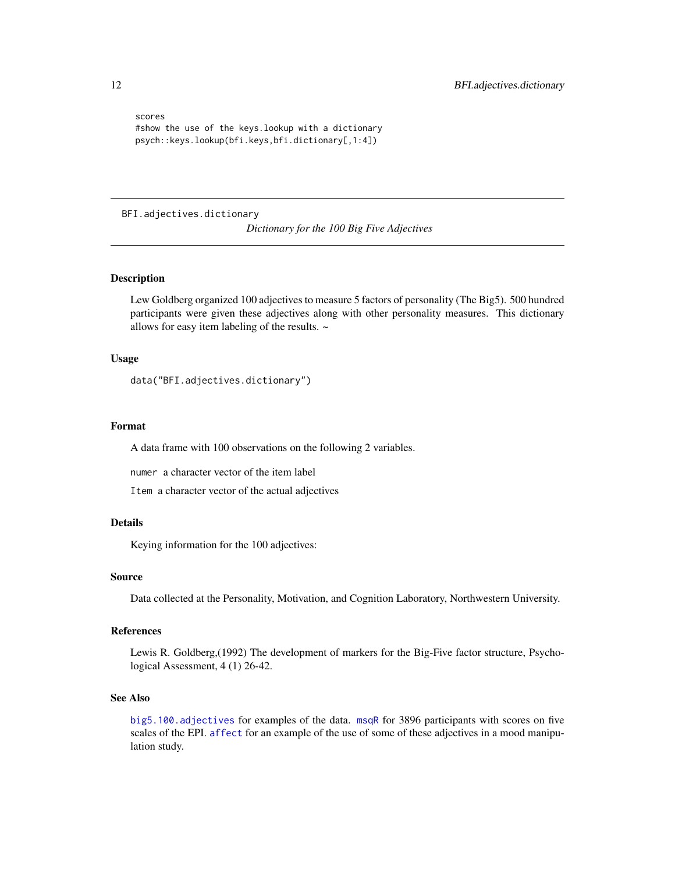```
scores
#show the use of the keys.lookup with a dictionary
psych::keys.lookup(bfi.keys,bfi.dictionary[,1:4])
```
BFI.adjectives.dictionary

*Dictionary for the 100 Big Five Adjectives*

#### Description

Lew Goldberg organized 100 adjectives to measure 5 factors of personality (The Big5). 500 hundred participants were given these adjectives along with other personality measures. This dictionary allows for easy item labeling of the results. ~

# Usage

data("BFI.adjectives.dictionary")

# Format

A data frame with 100 observations on the following 2 variables.

numer a character vector of the item label

Item a character vector of the actual adjectives

# Details

Keying information for the 100 adjectives:

#### Source

Data collected at the Personality, Motivation, and Cognition Laboratory, Northwestern University.

#### References

Lewis R. Goldberg,(1992) The development of markers for the Big-Five factor structure, Psychological Assessment, 4 (1) 26-42.

#### See Also

[big5.100.adjectives](#page-12-1) for examples of the data. [msqR](#page-49-1) for 3896 participants with scores on five scales of the EPI. [affect](#page-3-1) for an example of the use of some of these adjectives in a mood manipulation study.

<span id="page-11-0"></span>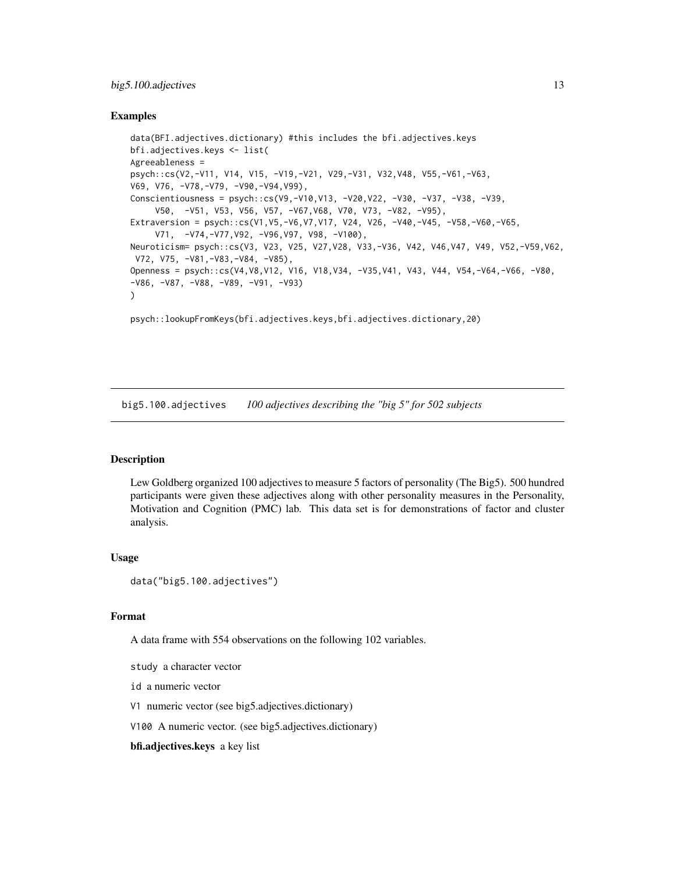# <span id="page-12-0"></span>big5.100.adjectives 13

#### Examples

```
data(BFI.adjectives.dictionary) #this includes the bfi.adjectives.keys
bfi.adjectives.keys <- list(
Agreeableness =
psych::cs(V2,-V11, V14, V15, -V19,-V21, V29,-V31, V32,V48, V55,-V61,-V63,
V69, V76, -V78,-V79, -V90,-V94,V99),
Conscientiousness = psych::cs(V9,-V10,V13, -V20,V22, -V30, -V37, -V38, -V39,
     V50, -V51, V53, V56, V57, -V67,V68, V70, V73, -V82, -V95),
Extraversion = psych::cs(V1,V5,-V6,V7,V17, V24, V26, -V40,-V45, -V58,-V60,-V65,
     V71, -V74,-V77,V92, -V96,V97, V98, -V100),
Neuroticism= psych::cs(V3, V23, V25, V27,V28, V33,-V36, V42, V46,V47, V49, V52,-V59,V62,
V72, V75, -V81,-V83,-V84, -V85),
Openness = psych::cs(V4,V8,V12, V16, V18,V34, -V35,V41, V43, V44, V54,-V64,-V66, -V80,
-V86, -V87, -V88, -V89, -V91, -V93)
)
psych::lookupFromKeys(bfi.adjectives.keys,bfi.adjectives.dictionary,20)
```
<span id="page-12-1"></span>big5.100.adjectives *100 adjectives describing the "big 5" for 502 subjects*

#### Description

Lew Goldberg organized 100 adjectives to measure 5 factors of personality (The Big5). 500 hundred participants were given these adjectives along with other personality measures in the Personality, Motivation and Cognition (PMC) lab. This data set is for demonstrations of factor and cluster analysis.

#### Usage

```
data("big5.100.adjectives")
```
#### Format

A data frame with 554 observations on the following 102 variables.

- study a character vector
- id a numeric vector
- V1 numeric vector (see big5.adjectives.dictionary)

V100 A numeric vector. (see big5.adjectives.dictionary)

bfi.adjectives.keys a key list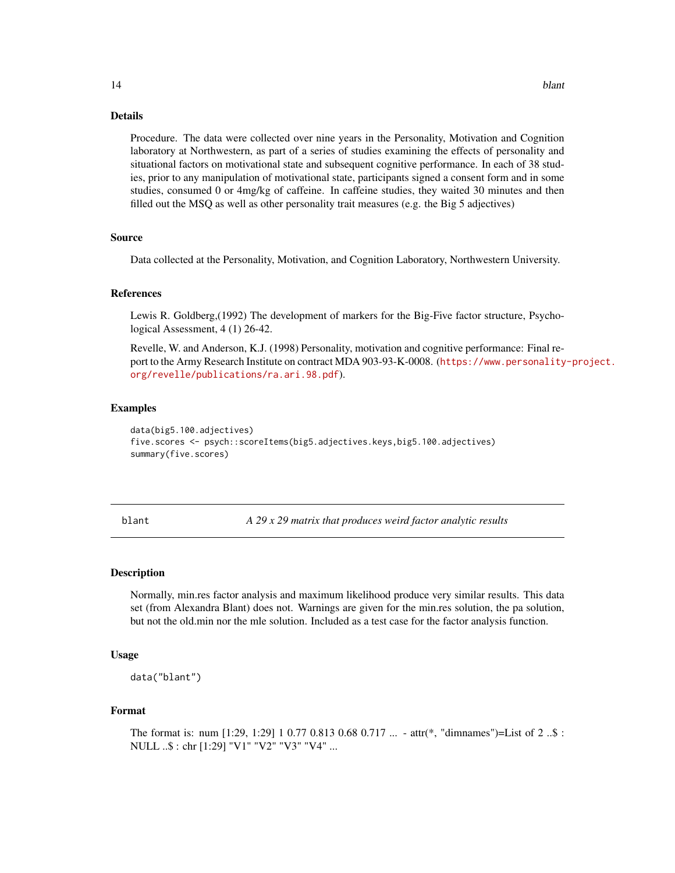#### Details

Procedure. The data were collected over nine years in the Personality, Motivation and Cognition laboratory at Northwestern, as part of a series of studies examining the effects of personality and situational factors on motivational state and subsequent cognitive performance. In each of 38 studies, prior to any manipulation of motivational state, participants signed a consent form and in some studies, consumed 0 or 4mg/kg of caffeine. In caffeine studies, they waited 30 minutes and then filled out the MSQ as well as other personality trait measures (e.g. the Big 5 adjectives)

#### Source

Data collected at the Personality, Motivation, and Cognition Laboratory, Northwestern University.

#### References

Lewis R. Goldberg,(1992) The development of markers for the Big-Five factor structure, Psychological Assessment, 4 (1) 26-42.

Revelle, W. and Anderson, K.J. (1998) Personality, motivation and cognitive performance: Final report to the Army Research Institute on contract MDA 903-93-K-0008. ([https://www.personality](https://www.personality-project.org/revelle/publications/ra.ari.98.pdf)-project. [org/revelle/publications/ra.ari.98.pdf](https://www.personality-project.org/revelle/publications/ra.ari.98.pdf)).

#### Examples

```
data(big5.100.adjectives)
five.scores <- psych::scoreItems(big5.adjectives.keys,big5.100.adjectives)
summary(five.scores)
```
blant *A 29 x 29 matrix that produces weird factor analytic results*

#### **Description**

Normally, min.res factor analysis and maximum likelihood produce very similar results. This data set (from Alexandra Blant) does not. Warnings are given for the min.res solution, the pa solution, but not the old.min nor the mle solution. Included as a test case for the factor analysis function.

# Usage

```
data("blant")
```
#### Format

The format is: num [1:29, 1:29] 1 0.77 0.813 0.68 0.717 ... - attr(\*, "dimnames")=List of 2 ..\$ : NULL ..\$ : chr [1:29] "V1" "V2" "V3" "V4" ...

<span id="page-13-0"></span>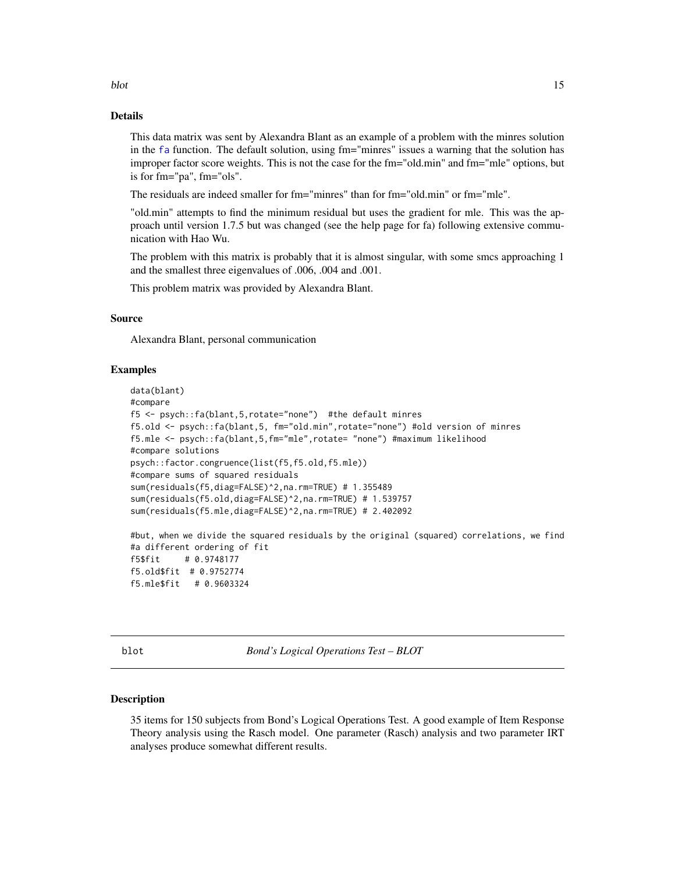# <span id="page-14-0"></span>Details

This data matrix was sent by Alexandra Blant as an example of a problem with the minres solution in the [fa](#page-0-0) function. The default solution, using fm="minres" issues a warning that the solution has improper factor score weights. This is not the case for the fm="old.min" and fm="mle" options, but is for fm="pa", fm="ols".

The residuals are indeed smaller for fm="minres" than for fm="old.min" or fm="mle".

"old.min" attempts to find the minimum residual but uses the gradient for mle. This was the approach until version 1.7.5 but was changed (see the help page for fa) following extensive communication with Hao Wu.

The problem with this matrix is probably that it is almost singular, with some smcs approaching 1 and the smallest three eigenvalues of .006, .004 and .001.

This problem matrix was provided by Alexandra Blant.

#### Source

Alexandra Blant, personal communication

#### Examples

```
data(blant)
#compare
f5 <- psych::fa(blant,5,rotate="none") #the default minres
f5.old <- psych::fa(blant,5, fm="old.min",rotate="none") #old version of minres
f5.mle <- psych::fa(blant,5,fm="mle",rotate= "none") #maximum likelihood
#compare solutions
psych::factor.congruence(list(f5,f5.old,f5.mle))
#compare sums of squared residuals
sum(residuals(f5,diag=FALSE)^2,na.rm=TRUE) # 1.355489
sum(residuals(f5.old,diag=FALSE)^2,na.rm=TRUE) # 1.539757
sum(residuals(f5.mle,diag=FALSE)^2,na.rm=TRUE) # 2.402092
#but, when we divide the squared residuals by the original (squared) correlations, we find
#a different ordering of fit
f5$fit # 0.9748177
```

```
f5.old$fit # 0.9752774
f5.mle$fit # 0.9603324
```
blot *Bond's Logical Operations Test – BLOT*

#### Description

35 items for 150 subjects from Bond's Logical Operations Test. A good example of Item Response Theory analysis using the Rasch model. One parameter (Rasch) analysis and two parameter IRT analyses produce somewhat different results.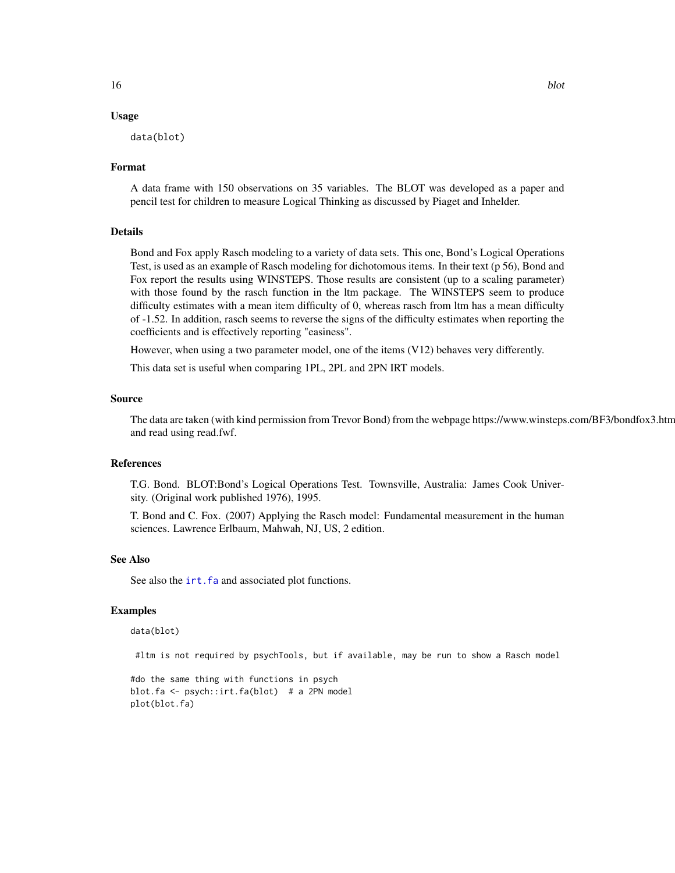# Usage

data(blot)

#### Format

A data frame with 150 observations on 35 variables. The BLOT was developed as a paper and pencil test for children to measure Logical Thinking as discussed by Piaget and Inhelder.

#### Details

Bond and Fox apply Rasch modeling to a variety of data sets. This one, Bond's Logical Operations Test, is used as an example of Rasch modeling for dichotomous items. In their text (p 56), Bond and Fox report the results using WINSTEPS. Those results are consistent (up to a scaling parameter) with those found by the rasch function in the ltm package. The WINSTEPS seem to produce difficulty estimates with a mean item difficulty of 0, whereas rasch from ltm has a mean difficulty of -1.52. In addition, rasch seems to reverse the signs of the difficulty estimates when reporting the coefficients and is effectively reporting "easiness".

However, when using a two parameter model, one of the items (V12) behaves very differently.

This data set is useful when comparing 1PL, 2PL and 2PN IRT models.

# Source

The data are taken (with kind permission from Trevor Bond) from the webpage https://www.winsteps.com/BF3/bondfox3.htm and read using read.fwf.

# References

T.G. Bond. BLOT:Bond's Logical Operations Test. Townsville, Australia: James Cook University. (Original work published 1976), 1995.

T. Bond and C. Fox. (2007) Applying the Rasch model: Fundamental measurement in the human sciences. Lawrence Erlbaum, Mahwah, NJ, US, 2 edition.

# See Also

See also the irt. fa and associated plot functions.

### Examples

#### data(blot)

#ltm is not required by psychTools, but if available, may be run to show a Rasch model

#do the same thing with functions in psych blot.fa <- psych::irt.fa(blot) # a 2PN model plot(blot.fa)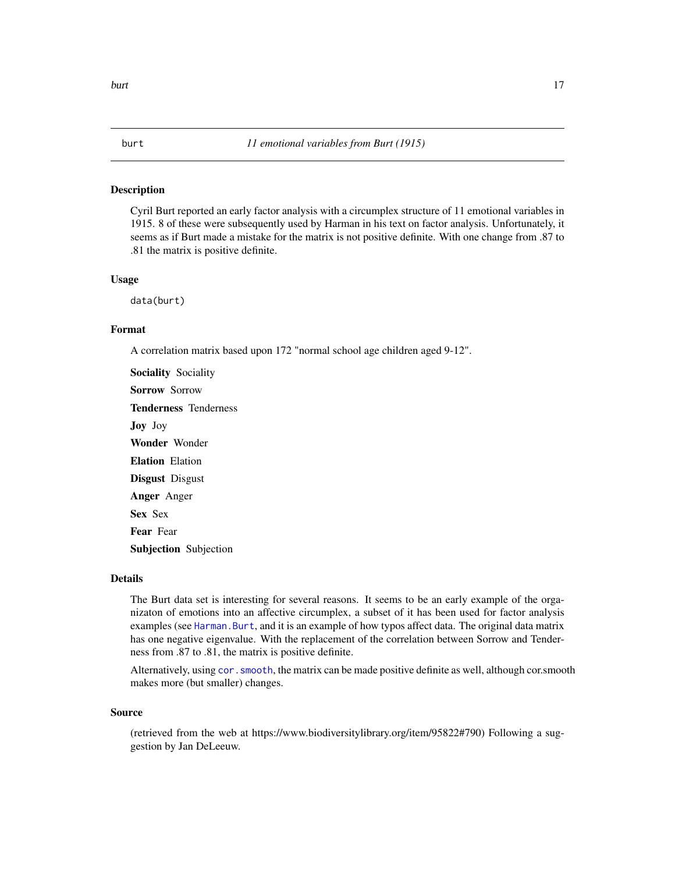#### <span id="page-16-0"></span>Description

Cyril Burt reported an early factor analysis with a circumplex structure of 11 emotional variables in 1915. 8 of these were subsequently used by Harman in his text on factor analysis. Unfortunately, it seems as if Burt made a mistake for the matrix is not positive definite. With one change from .87 to .81 the matrix is positive definite.

#### Usage

data(burt)

# Format

A correlation matrix based upon 172 "normal school age children aged 9-12".

Sociality Sociality Sorrow Sorrow Tenderness Tenderness Joy Joy Wonder Wonder Elation Elation Disgust Disgust Anger Anger Sex Sex Fear Fear Subjection Subjection

#### Details

The Burt data set is interesting for several reasons. It seems to be an early example of the organizaton of emotions into an affective circumplex, a subset of it has been used for factor analysis examples (see Harman. Burt, and it is an example of how typos affect data. The original data matrix has one negative eigenvalue. With the replacement of the correlation between Sorrow and Tenderness from .87 to .81, the matrix is positive definite.

Alternatively, using [cor.smooth](#page-0-0), the matrix can be made positive definite as well, although cor.smooth makes more (but smaller) changes.

#### Source

(retrieved from the web at https://www.biodiversitylibrary.org/item/95822#790) Following a suggestion by Jan DeLeeuw.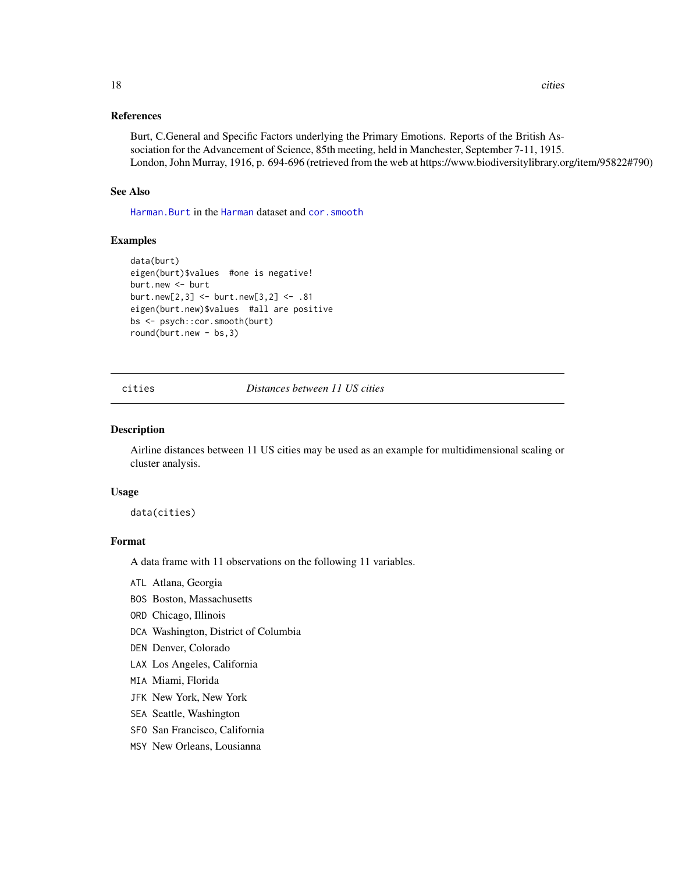#### <span id="page-17-0"></span>References

Burt, C.General and Specific Factors underlying the Primary Emotions. Reports of the British Association for the Advancement of Science, 85th meeting, held in Manchester, September 7-11, 1915. London, John Murray, 1916, p. 694-696 (retrieved from the web at https://www.biodiversitylibrary.org/item/95822#790)

#### See Also

[Harman](#page-0-0). Burt in the Harman dataset and cor. smooth

#### Examples

```
data(burt)
eigen(burt)$values #one is negative!
burt.new <- burt
burt.new[2,3] <- burt.new[3,2] <- .81
eigen(burt.new)$values #all are positive
bs <- psych::cor.smooth(burt)
round(burt.new - bs,3)
```
cities *Distances between 11 US cities*

#### Description

Airline distances between 11 US cities may be used as an example for multidimensional scaling or cluster analysis.

#### Usage

data(cities)

#### Format

A data frame with 11 observations on the following 11 variables.

- ATL Atlana, Georgia
- BOS Boston, Massachusetts
- ORD Chicago, Illinois
- DCA Washington, District of Columbia
- DEN Denver, Colorado
- LAX Los Angeles, California
- MIA Miami, Florida
- JFK New York, New York
- SEA Seattle, Washington
- SFO San Francisco, California
- MSY New Orleans, Lousianna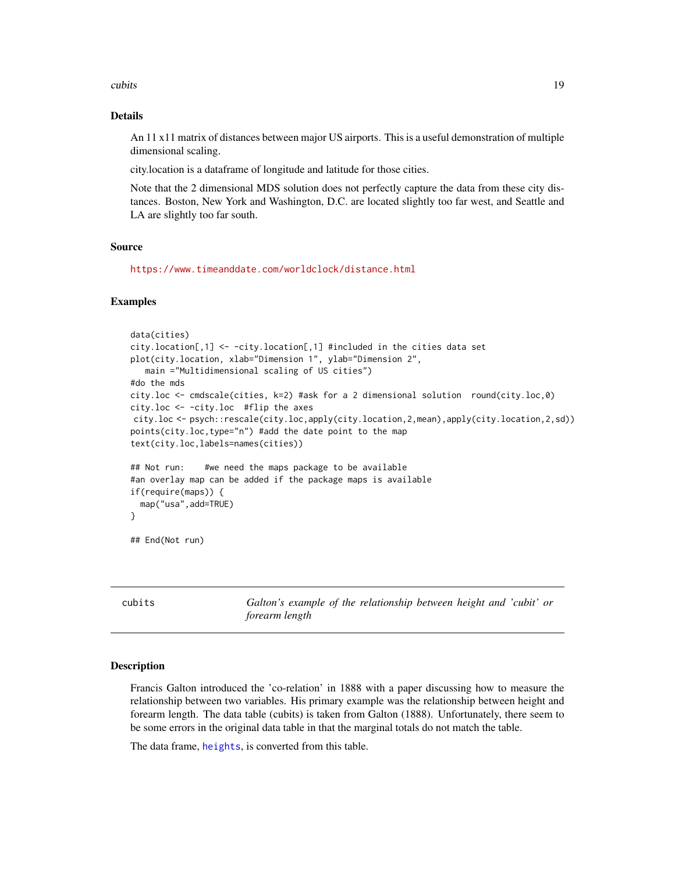#### <span id="page-18-0"></span>cubits and the cubits of the contract of the contract of the contract of the contract of the contract of the contract of the contract of the contract of the contract of the contract of the contract of the contract of the c

#### Details

An 11 x11 matrix of distances between major US airports. This is a useful demonstration of multiple dimensional scaling.

city.location is a dataframe of longitude and latitude for those cities.

Note that the 2 dimensional MDS solution does not perfectly capture the data from these city distances. Boston, New York and Washington, D.C. are located slightly too far west, and Seattle and LA are slightly too far south.

#### Source

<https://www.timeanddate.com/worldclock/distance.html>

#### Examples

```
data(cities)
city.location[,1] <- -city.location[,1] #included in the cities data set
plot(city.location, xlab="Dimension 1", ylab="Dimension 2",
  main ="Multidimensional scaling of US cities")
#do the mds
city.loc <- cmdscale(cities, k=2) #ask for a 2 dimensional solution round(city.loc,0)
city.loc <- -city.loc #flip the axes
city.loc <- psych::rescale(city.loc,apply(city.location,2,mean),apply(city.location,2,sd))
points(city.loc,type="n") #add the date point to the map
text(city.loc,labels=names(cities))
## Not run: #we need the maps package to be available
#an overlay map can be added if the package maps is available
if(require(maps)) {
 map("usa",add=TRUE)
}
## End(Not run)
```
<span id="page-18-1"></span>cubits *Galton's example of the relationship between height and 'cubit' or forearm length*

#### Description

Francis Galton introduced the 'co-relation' in 1888 with a paper discussing how to measure the relationship between two variables. His primary example was the relationship between height and forearm length. The data table (cubits) is taken from Galton (1888). Unfortunately, there seem to be some errors in the original data table in that the marginal totals do not match the table.

The data frame, [heights](#page-35-1), is converted from this table.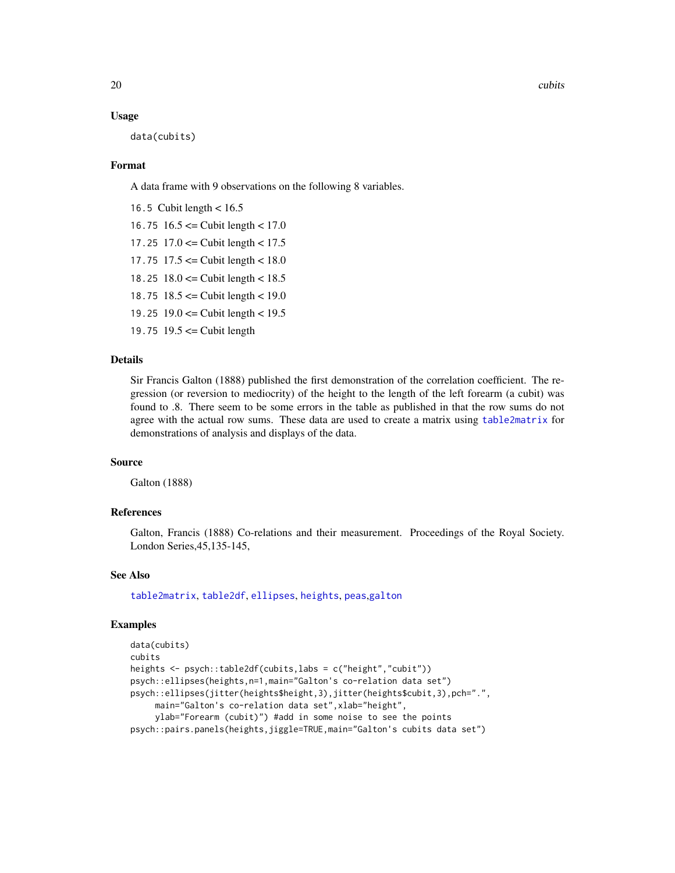20 cubits and the contract of the contract of the contract of the contract of the cubits cubits cubits and the contract of the contract of the contract of the contract of the contract of the contract of the contract of the

#### Usage

data(cubits)

#### Format

A data frame with 9 observations on the following 8 variables.

16.5 Cubit length < 16.5

16.75  $16.5 \leq$  Cubit length  $< 17.0$ 

17.25  $17.0 \leq$  Cubit length  $< 17.5$ 

17.75 17.5 <= Cubit length < 18.0

18.25 18.0 <= Cubit length < 18.5

18.75 18.5 <= Cubit length < 19.0

19.25 19.0 <= Cubit length < 19.5

19.75  $19.5 \leq$  Cubit length

# Details

Sir Francis Galton (1888) published the first demonstration of the correlation coefficient. The regression (or reversion to mediocrity) of the height to the length of the left forearm (a cubit) was found to .8. There seem to be some errors in the table as published in that the row sums do not agree with the actual row sums. These data are used to create a matrix using [table2matrix](#page-0-0) for demonstrations of analysis and displays of the data.

## Source

Galton (1888)

#### References

Galton, Francis (1888) Co-relations and their measurement. Proceedings of the Royal Society. London Series,45,135-145,

#### See Also

[table2matrix](#page-0-0), [table2df](#page-0-0), [ellipses](#page-0-0), [heights](#page-35-1), [peas](#page-59-1),[galton](#page-30-1)

#### Examples

```
data(cubits)
cubits
heights <- psych::table2df(cubits,labs = c("height","cubit"))
psych::ellipses(heights,n=1,main="Galton's co-relation data set")
psych::ellipses(jitter(heights$height,3),jitter(heights$cubit,3),pch=".",
     main="Galton's co-relation data set",xlab="height",
     ylab="Forearm (cubit)") #add in some noise to see the points
psych::pairs.panels(heights,jiggle=TRUE,main="Galton's cubits data set")
```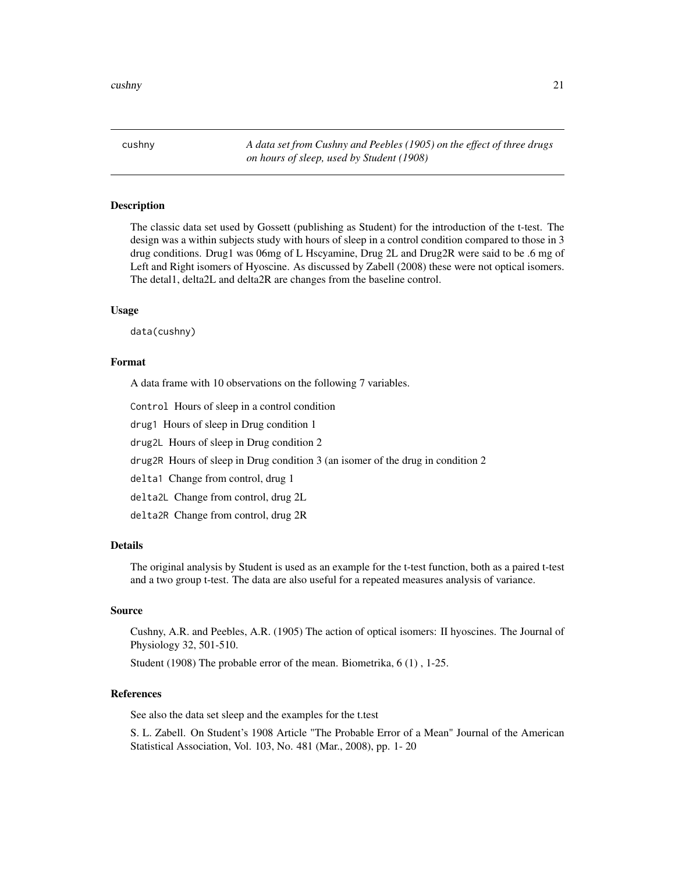<span id="page-20-0"></span>cushny *A data set from Cushny and Peebles (1905) on the effect of three drugs on hours of sleep, used by Student (1908)*

#### Description

The classic data set used by Gossett (publishing as Student) for the introduction of the t-test. The design was a within subjects study with hours of sleep in a control condition compared to those in 3 drug conditions. Drug1 was 06mg of L Hscyamine, Drug 2L and Drug2R were said to be .6 mg of Left and Right isomers of Hyoscine. As discussed by Zabell (2008) these were not optical isomers. The detal1, delta2L and delta2R are changes from the baseline control.

#### Usage

data(cushny)

#### Format

A data frame with 10 observations on the following 7 variables.

Control Hours of sleep in a control condition

drug1 Hours of sleep in Drug condition 1

drug2L Hours of sleep in Drug condition 2

drug2R Hours of sleep in Drug condition 3 (an isomer of the drug in condition 2

delta1 Change from control, drug 1

delta2L Change from control, drug 2L

delta2R Change from control, drug 2R

# Details

The original analysis by Student is used as an example for the t-test function, both as a paired t-test and a two group t-test. The data are also useful for a repeated measures analysis of variance.

### Source

Cushny, A.R. and Peebles, A.R. (1905) The action of optical isomers: II hyoscines. The Journal of Physiology 32, 501-510.

Student (1908) The probable error of the mean. Biometrika, 6 (1) , 1-25.

#### References

See also the data set sleep and the examples for the t.test

S. L. Zabell. On Student's 1908 Article "The Probable Error of a Mean" Journal of the American Statistical Association, Vol. 103, No. 481 (Mar., 2008), pp. 1- 20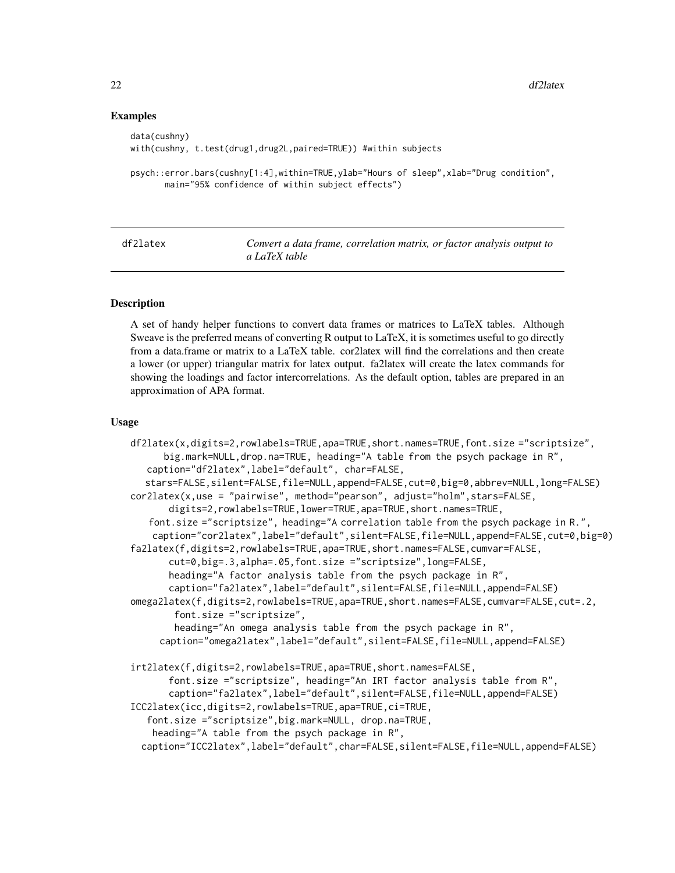# Examples

```
data(cushny)
with(cushny, t.test(drug1,drug2L,paired=TRUE)) #within subjects
```
psych::error.bars(cushny[1:4],within=TRUE,ylab="Hours of sleep",xlab="Drug condition", main="95% confidence of within subject effects")

| df2latex | Convert a data frame, correlation matrix, or factor analysis output to |
|----------|------------------------------------------------------------------------|
|          | a LaTeX table                                                          |

#### Description

A set of handy helper functions to convert data frames or matrices to LaTeX tables. Although Sweave is the preferred means of converting R output to LaTeX, it is sometimes useful to go directly from a data.frame or matrix to a LaTeX table. cor2latex will find the correlations and then create a lower (or upper) triangular matrix for latex output. fa2latex will create the latex commands for showing the loadings and factor intercorrelations. As the default option, tables are prepared in an approximation of APA format.

#### Usage

```
df2latex(x,digits=2,rowlabels=TRUE,apa=TRUE,short.names=TRUE,font.size ="scriptsize",
     big.mark=NULL,drop.na=TRUE, heading="A table from the psych package in R",
   caption="df2latex",label="default", char=FALSE,
  stars=FALSE,silent=FALSE,file=NULL,append=FALSE,cut=0,big=0,abbrev=NULL,long=FALSE)
cor2latex(x,use = "pairwise", method="pearson", adjust="holm",stars=FALSE,
       digits=2,rowlabels=TRUE,lower=TRUE,apa=TRUE,short.names=TRUE,
   font.size ="scriptsize", heading="A correlation table from the psych package in R.",
    caption="cor2latex",label="default",silent=FALSE,file=NULL,append=FALSE,cut=0,big=0)
fa2latex(f,digits=2,rowlabels=TRUE,apa=TRUE,short.names=FALSE,cumvar=FALSE,
       cut=0,big=.3,alpha=.05,font.size ="scriptsize",long=FALSE,
       heading="A factor analysis table from the psych package in R",
       caption="fa2latex",label="default",silent=FALSE,file=NULL,append=FALSE)
omega2latex(f,digits=2,rowlabels=TRUE,apa=TRUE,short.names=FALSE,cumvar=FALSE,cut=.2,
       font.size ="scriptsize",
        heading="An omega analysis table from the psych package in R",
     caption="omega2latex",label="default",silent=FALSE,file=NULL,append=FALSE)
irt2latex(f,digits=2,rowlabels=TRUE,apa=TRUE,short.names=FALSE,
       font.size ="scriptsize", heading="An IRT factor analysis table from R",
       caption="fa2latex",label="default",silent=FALSE,file=NULL,append=FALSE)
ICC2latex(icc,digits=2,rowlabels=TRUE,apa=TRUE,ci=TRUE,
   font.size ="scriptsize",big.mark=NULL, drop.na=TRUE,
    heading="A table from the psych package in R",
  caption="ICC2latex",label="default",char=FALSE,silent=FALSE,file=NULL,append=FALSE)
```
<span id="page-21-0"></span>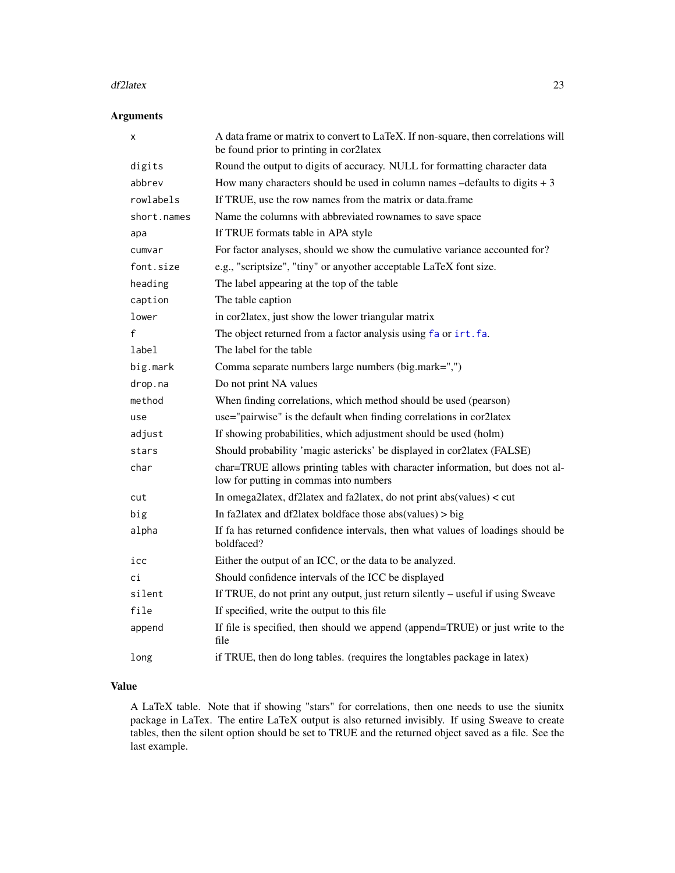#### df2latex 23

# Arguments

| x           | A data frame or matrix to convert to LaTeX. If non-square, then correlations will<br>be found prior to printing in cor2latex |
|-------------|------------------------------------------------------------------------------------------------------------------------------|
| digits      | Round the output to digits of accuracy. NULL for formatting character data                                                   |
| abbrev      | How many characters should be used in column names $-defaults$ to digits $+3$                                                |
| rowlabels   | If TRUE, use the row names from the matrix or data.frame                                                                     |
| short.names | Name the columns with abbreviated rownames to save space                                                                     |
| apa         | If TRUE formats table in APA style                                                                                           |
| cumvar      | For factor analyses, should we show the cumulative variance accounted for?                                                   |
| font.size   | e.g., "scriptsize", "tiny" or anyother acceptable LaTeX font size.                                                           |
| heading     | The label appearing at the top of the table                                                                                  |
| caption     | The table caption                                                                                                            |
| lower       | in cor2latex, just show the lower triangular matrix                                                                          |
| f           | The object returned from a factor analysis using fa or irt.fa.                                                               |
| label       | The label for the table                                                                                                      |
| big.mark    | Comma separate numbers large numbers (big.mark=",")                                                                          |
| drop.na     | Do not print NA values                                                                                                       |
| method      | When finding correlations, which method should be used (pearson)                                                             |
| use         | use="pairwise" is the default when finding correlations in cor2latex                                                         |
| adjust      | If showing probabilities, which adjustment should be used (holm)                                                             |
| stars       | Should probability 'magic astericks' be displayed in cor2latex (FALSE)                                                       |
| char        | char=TRUE allows printing tables with character information, but does not al-<br>low for putting in commas into numbers      |
| cut         | In omega2latex, df2latex and fa2latex, do not print abs(values) < cut                                                        |
| big         | In fa2latex and df2latex boldface those $abs(values) > big$                                                                  |
| alpha       | If fa has returned confidence intervals, then what values of loadings should be<br>boldfaced?                                |
| icc         | Either the output of an ICC, or the data to be analyzed.                                                                     |
| ci          | Should confidence intervals of the ICC be displayed                                                                          |
| silent      | If TRUE, do not print any output, just return silently - useful if using Sweave                                              |
| file        | If specified, write the output to this file                                                                                  |
| append      | If file is specified, then should we append (append=TRUE) or just write to the<br>file                                       |
| long        | if TRUE, then do long tables. (requires the longtables package in latex)                                                     |

# Value

A LaTeX table. Note that if showing "stars" for correlations, then one needs to use the siunitx package in LaTex. The entire LaTeX output is also returned invisibly. If using Sweave to create tables, then the silent option should be set to TRUE and the returned object saved as a file. See the last example.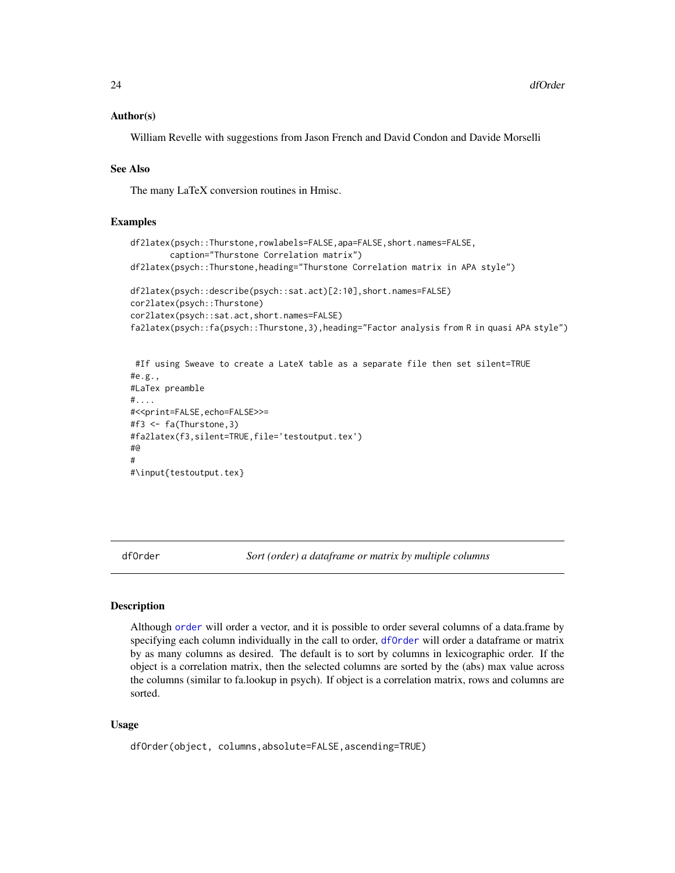#### <span id="page-23-0"></span>Author(s)

William Revelle with suggestions from Jason French and David Condon and Davide Morselli

# See Also

The many LaTeX conversion routines in Hmisc.

# Examples

```
df2latex(psych::Thurstone,rowlabels=FALSE,apa=FALSE,short.names=FALSE,
        caption="Thurstone Correlation matrix")
df2latex(psych::Thurstone,heading="Thurstone Correlation matrix in APA style")
df2latex(psych::describe(psych::sat.act)[2:10],short.names=FALSE)
cor2latex(psych::Thurstone)
cor2latex(psych::sat.act,short.names=FALSE)
fa2latex(psych::fa(psych::Thurstone,3),heading="Factor analysis from R in quasi APA style")
```

```
#If using Sweave to create a LateX table as a separate file then set silent=TRUE
#e.g.,
#LaTex preamble
#....
#<<print=FALSE,echo=FALSE>>=
#f3 <- fa(Thurstone,3)
#fa2latex(f3,silent=TRUE,file='testoutput.tex')
#@
#
#\input{testoutput.tex}
```
<span id="page-23-1"></span>

dfOrder *Sort (order) a dataframe or matrix by multiple columns*

# **Description**

Although [order](#page-0-0) will order a vector, and it is possible to order several columns of a data.frame by specifying each column individually in the call to order, df0rder will order a dataframe or matrix by as many columns as desired. The default is to sort by columns in lexicographic order. If the object is a correlation matrix, then the selected columns are sorted by the (abs) max value across the columns (similar to fa.lookup in psych). If object is a correlation matrix, rows and columns are sorted.

#### Usage

```
dfOrder(object, columns,absolute=FALSE,ascending=TRUE)
```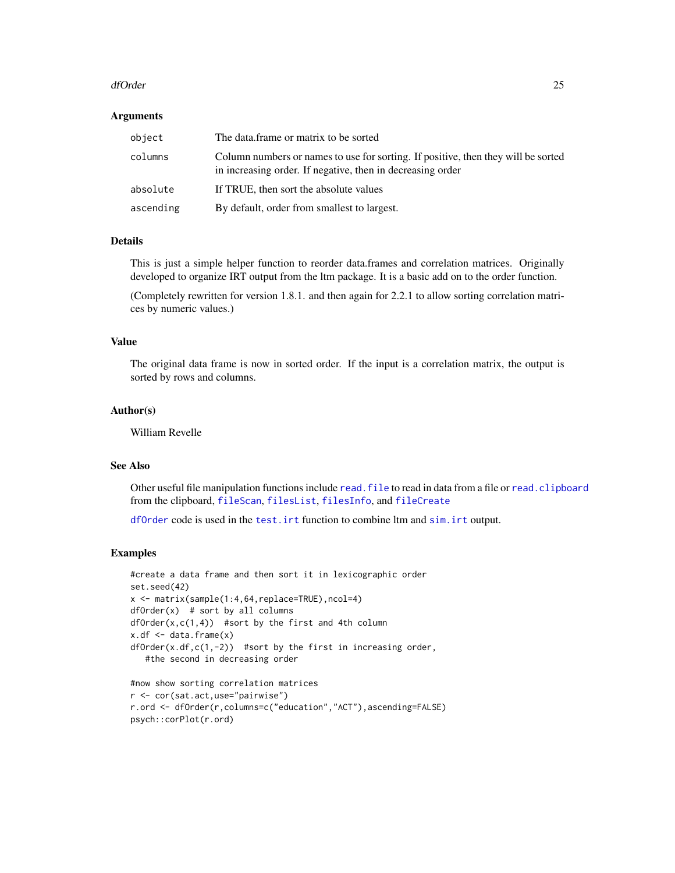#### dfOrder 25

#### Arguments

| object    | The data frame or matrix to be sorted                                                                                                           |
|-----------|-------------------------------------------------------------------------------------------------------------------------------------------------|
| columns   | Column numbers or names to use for sorting. If positive, then they will be sorted<br>in increasing order. If negative, then in decreasing order |
| absolute  | If TRUE, then sort the absolute values                                                                                                          |
| ascending | By default, order from smallest to largest.                                                                                                     |

#### Details

This is just a simple helper function to reorder data.frames and correlation matrices. Originally developed to organize IRT output from the ltm package. It is a basic add on to the order function.

(Completely rewritten for version 1.8.1. and then again for 2.2.1 to allow sorting correlation matrices by numeric values.)

# Value

The original data frame is now in sorted order. If the input is a correlation matrix, the output is sorted by rows and columns.

#### Author(s)

William Revelle

# See Also

Other useful file manipulation functions include read. file to read in data from a file or read. clipboard from the clipboard, [fileScan](#page-78-1), [filesList](#page-78-1), [filesInfo](#page-78-1), and [fileCreate](#page-78-1)

[dfOrder](#page-23-1) code is used in the [test.irt](#page-0-0) function to combine ltm and [sim.irt](#page-0-0) output.

#### Examples

```
#create a data frame and then sort it in lexicographic order
set.seed(42)
x <- matrix(sample(1:4,64,replace=TRUE),ncol=4)
dfOrder(x) # sort by all columns
dfOrder(x, c(1, 4)) #sort by the first and 4th column
x.df \leftarrow data.frame(x)dfOrder(x.df,c(1,-2)) #sort by the first in increasing order,
   #the second in decreasing order
#now show sorting correlation matrices
```

```
r <- cor(sat.act,use="pairwise")
r.ord <- dfOrder(r,columns=c("education","ACT"),ascending=FALSE)
psych::corPlot(r.ord)
```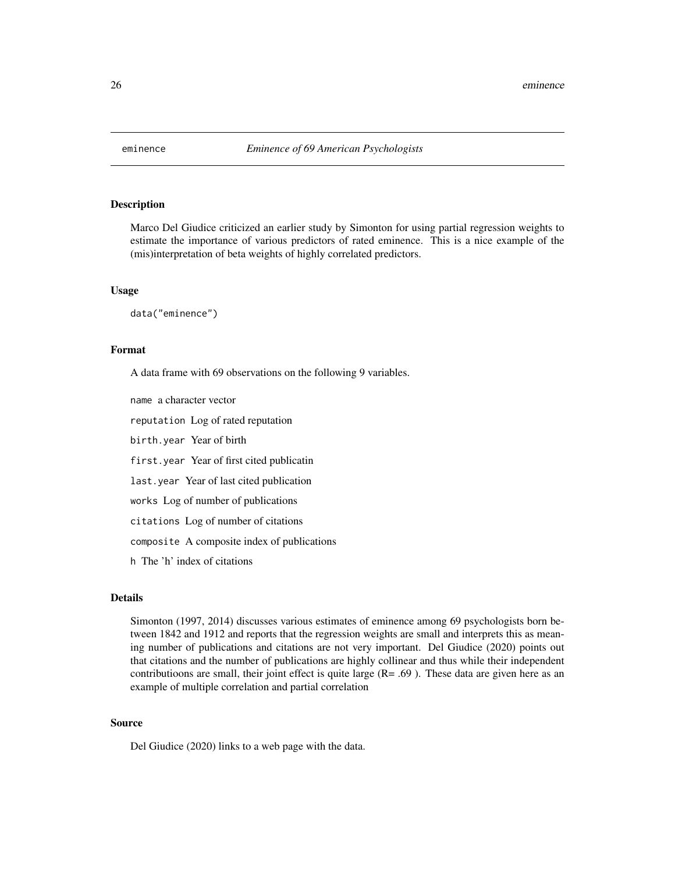<span id="page-25-0"></span>

#### Description

Marco Del Giudice criticized an earlier study by Simonton for using partial regression weights to estimate the importance of various predictors of rated eminence. This is a nice example of the (mis)interpretation of beta weights of highly correlated predictors.

#### Usage

data("eminence")

#### Format

A data frame with 69 observations on the following 9 variables.

name a character vector

reputation Log of rated reputation

birth.year Year of birth

first.year Year of first cited publicatin

last.year Year of last cited publication

works Log of number of publications

citations Log of number of citations

composite A composite index of publications

h The 'h' index of citations

#### Details

Simonton (1997, 2014) discusses various estimates of eminence among 69 psychologists born between 1842 and 1912 and reports that the regression weights are small and interprets this as meaning number of publications and citations are not very important. Del Giudice (2020) points out that citations and the number of publications are highly collinear and thus while their independent contributioons are small, their joint effect is quite large  $(R = .69)$ . These data are given here as an example of multiple correlation and partial correlation

# Source

Del Giudice (2020) links to a web page with the data.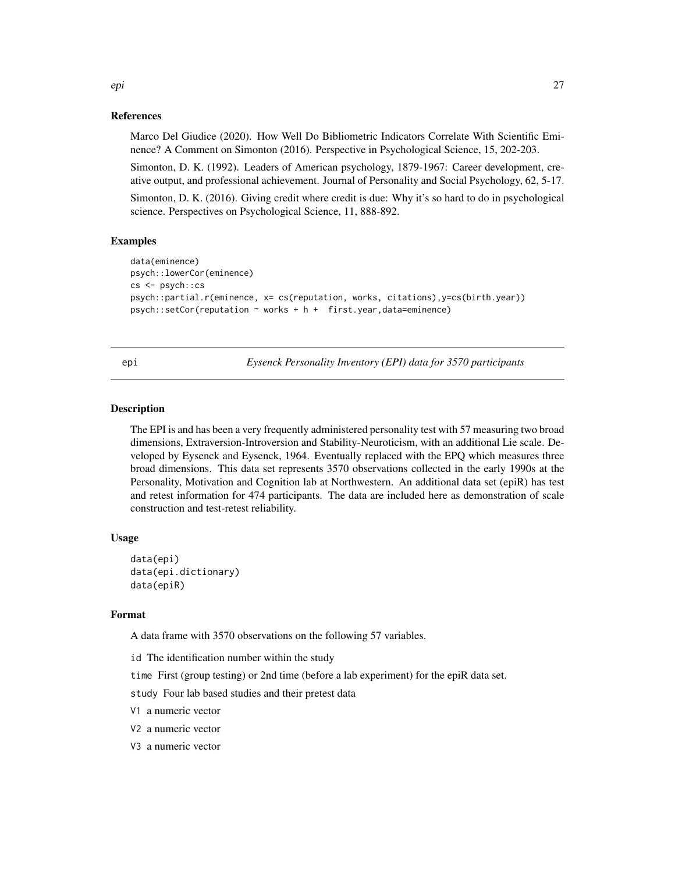#### <span id="page-26-0"></span>References

Marco Del Giudice (2020). How Well Do Bibliometric Indicators Correlate With Scientific Eminence? A Comment on Simonton (2016). Perspective in Psychological Science, 15, 202-203.

Simonton, D. K. (1992). Leaders of American psychology, 1879-1967: Career development, creative output, and professional achievement. Journal of Personality and Social Psychology, 62, 5-17.

Simonton, D. K. (2016). Giving credit where credit is due: Why it's so hard to do in psychological science. Perspectives on Psychological Science, 11, 888-892.

#### Examples

```
data(eminence)
psych::lowerCor(eminence)
cs <- psych::cs
psych::partial.r(eminence, x= cs(reputation, works, citations),y=cs(birth.year))
psych::setCor(reputation ~ works + h + first.year,data=eminence)
```
epi *Eysenck Personality Inventory (EPI) data for 3570 participants*

#### <span id="page-26-1"></span>Description

The EPI is and has been a very frequently administered personality test with 57 measuring two broad dimensions, Extraversion-Introversion and Stability-Neuroticism, with an additional Lie scale. Developed by Eysenck and Eysenck, 1964. Eventually replaced with the EPQ which measures three broad dimensions. This data set represents 3570 observations collected in the early 1990s at the Personality, Motivation and Cognition lab at Northwestern. An additional data set (epiR) has test and retest information for 474 participants. The data are included here as demonstration of scale construction and test-retest reliability.

# Usage

```
data(epi)
data(epi.dictionary)
data(epiR)
```
#### Format

A data frame with 3570 observations on the following 57 variables.

id The identification number within the study

time First (group testing) or 2nd time (before a lab experiment) for the epiR data set.

study Four lab based studies and their pretest data

V1 a numeric vector

V2 a numeric vector

V3 a numeric vector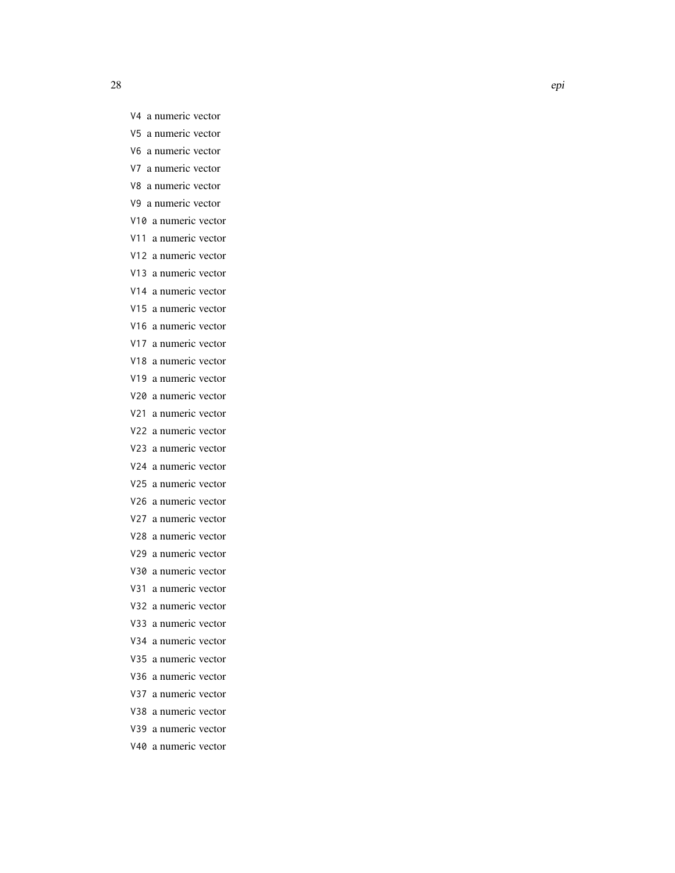- V4 a numeric vector
- V5 a numeric vector
- V6 a numeric vector
- V7 a numeric vector
- V8 a numeric vector
- V9 a numeric vector
- V10 a numeric vector
- V11 a numeric vector
- V12 a numeric vector
- V13 a numeric vector
- V14 a numeric vector
- V15 a numeric vector
- V16 a numeric vector
- V17 a numeric vector
- V18 a numeric vector
- V19 a numeric vector
- V20 a numeric vector
- V21 a numeric vector
- V22 a numeric vector
- V23 a numeric vector
- V24 a numeric vector
- V25 a numeric vector
- V26 a numeric vector
- V27 a numeric vector
- V28 a numeric vector
- V29 a numeric vector
- V30 a numeric vector
- V31 a numeric vector
- V32 a numeric vector
- V33 a numeric vector
- V34 a numeric vector
- V35 a numeric vector
- V36 a numeric vector
- V37 a numeric vector
- V38 a numeric vector
- V39 a numeric vector
- V40 a numeric vector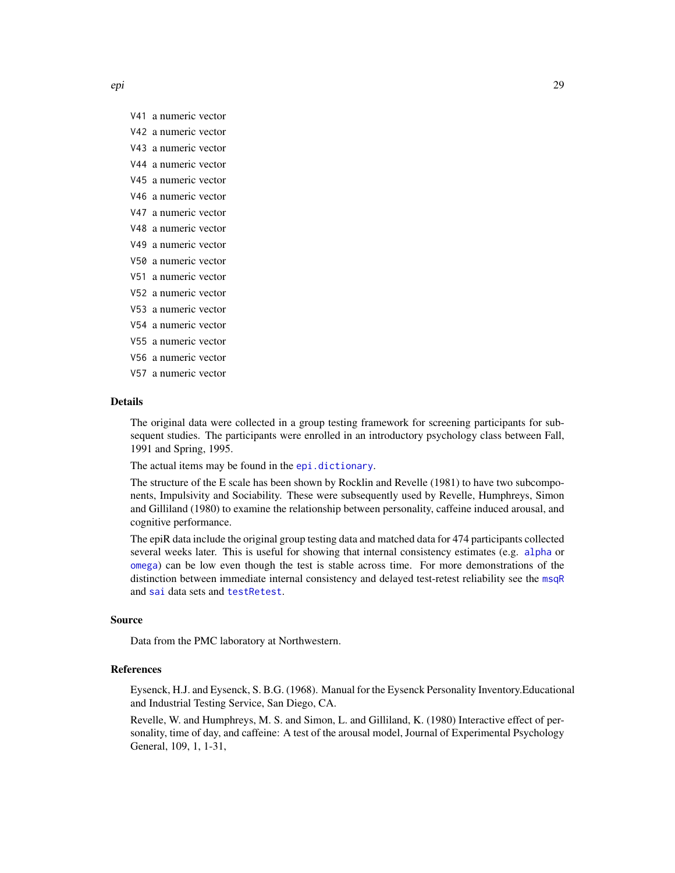epi 29

- V42 a numeric vector
- V43 a numeric vector
- V44 a numeric vector
- V45 a numeric vector
- V46 a numeric vector
- V47 a numeric vector
- V48 a numeric vector
- V49 a numeric vector
- V50 a numeric vector
- V51 a numeric vector
- V52 a numeric vector
- V53 a numeric vector
- V54 a numeric vector
- V55 a numeric vector
- V56 a numeric vector
- V57 a numeric vector

## Details

The original data were collected in a group testing framework for screening participants for subsequent studies. The participants were enrolled in an introductory psychology class between Fall, 1991 and Spring, 1995.

The actual items may be found in the [epi.dictionary](#page-26-1).

The structure of the E scale has been shown by Rocklin and Revelle (1981) to have two subcomponents, Impulsivity and Sociability. These were subsequently used by Revelle, Humphreys, Simon and Gilliland (1980) to examine the relationship between personality, caffeine induced arousal, and cognitive performance.

The epiR data include the original group testing data and matched data for 474 participants collected several weeks later. This is useful for showing that internal consistency estimates (e.g. [alpha](#page-0-0) or [omega](#page-0-0)) can be low even though the test is stable across time. For more demonstrations of the distinction between immediate internal consistency and delayed test-retest reliability see the [msqR](#page-49-1) and [sai](#page-68-1) data sets and [testRetest](#page-0-0).

#### Source

Data from the PMC laboratory at Northwestern.

#### References

Eysenck, H.J. and Eysenck, S. B.G. (1968). Manual for the Eysenck Personality Inventory.Educational and Industrial Testing Service, San Diego, CA.

Revelle, W. and Humphreys, M. S. and Simon, L. and Gilliland, K. (1980) Interactive effect of personality, time of day, and caffeine: A test of the arousal model, Journal of Experimental Psychology General, 109, 1, 1-31,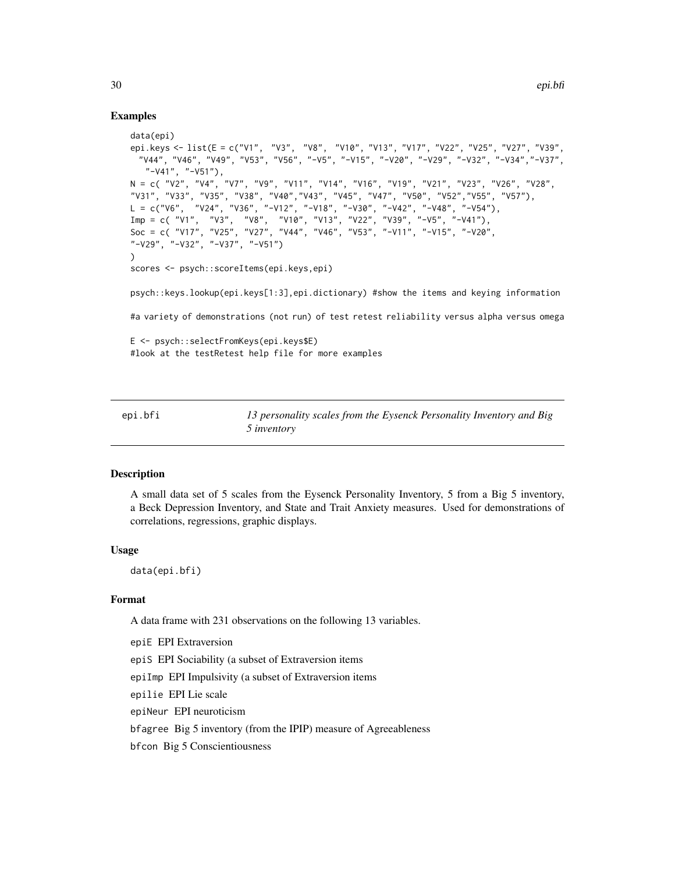# Examples

```
data(epi)
epi.keys <- list(E = c("V1", "V3", "V8", "V10", "V13", "V17", "V22", "V25", "V27", "V39",
 "V44", "V46", "V49", "V53", "V56", "-V5", "-V15", "-V20", "-V29", "-V32", "-V34","-V37",
  "-V41", "-V51"),
N = c( "V2", "V4", "V7", "V9", "V11", "V14", "V16", "V19", "V21", "V23", "V26", "V28",
"V31", "V33", "V35", "V38", "V40","V43", "V45", "V47", "V50", "V52","V55", "V57"),
L = c("V6", "V24", "V36", "–V12", "–V18", "–V30", "–V42", "–V48", "–V54"),Imp = c( "V1", "V3", "V8", "V10", "V13", "V22", "V39", "-V5", "-V41"),
Soc = c( "V17", "V25", "V27", "V44", "V46", "V53", "-V11", "-V15", "-V20",
"-V29", "-V32", "-V37", "-V51")
)
scores <- psych::scoreItems(epi.keys,epi)
psych::keys.lookup(epi.keys[1:3],epi.dictionary) #show the items and keying information
#a variety of demonstrations (not run) of test retest reliability versus alpha versus omega
E <- psych::selectFromKeys(epi.keys$E)
#look at the testRetest help file for more examples
```
epi.bfi *13 personality scales from the Eysenck Personality Inventory and Big 5 inventory*

#### Description

A small data set of 5 scales from the Eysenck Personality Inventory, 5 from a Big 5 inventory, a Beck Depression Inventory, and State and Trait Anxiety measures. Used for demonstrations of correlations, regressions, graphic displays.

#### Usage

data(epi.bfi)

#### Format

A data frame with 231 observations on the following 13 variables.

epiE EPI Extraversion

epiS EPI Sociability (a subset of Extraversion items

epiImp EPI Impulsivity (a subset of Extraversion items

epilie EPI Lie scale

epiNeur EPI neuroticism

bfagree Big 5 inventory (from the IPIP) measure of Agreeableness

bfcon Big 5 Conscientiousness

<span id="page-29-0"></span>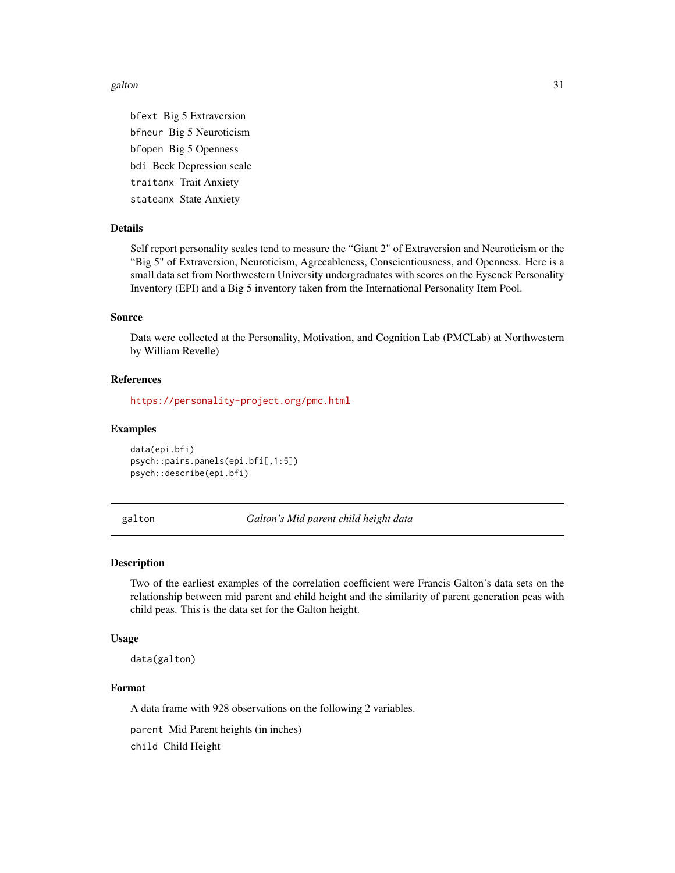#### <span id="page-30-0"></span>galton 31

bfext Big 5 Extraversion bfneur Big 5 Neuroticism bfopen Big 5 Openness bdi Beck Depression scale traitanx Trait Anxiety stateanx State Anxiety

#### Details

Self report personality scales tend to measure the "Giant 2" of Extraversion and Neuroticism or the "Big 5" of Extraversion, Neuroticism, Agreeableness, Conscientiousness, and Openness. Here is a small data set from Northwestern University undergraduates with scores on the Eysenck Personality Inventory (EPI) and a Big 5 inventory taken from the International Personality Item Pool.

# Source

Data were collected at the Personality, Motivation, and Cognition Lab (PMCLab) at Northwestern by William Revelle)

#### References

<https://personality-project.org/pmc.html>

#### Examples

data(epi.bfi) psych::pairs.panels(epi.bfi[,1:5]) psych::describe(epi.bfi)

<span id="page-30-1"></span>galton *Galton's Mid parent child height data*

# **Description**

Two of the earliest examples of the correlation coefficient were Francis Galton's data sets on the relationship between mid parent and child height and the similarity of parent generation peas with child peas. This is the data set for the Galton height.

#### Usage

data(galton)

# Format

A data frame with 928 observations on the following 2 variables.

parent Mid Parent heights (in inches) child Child Height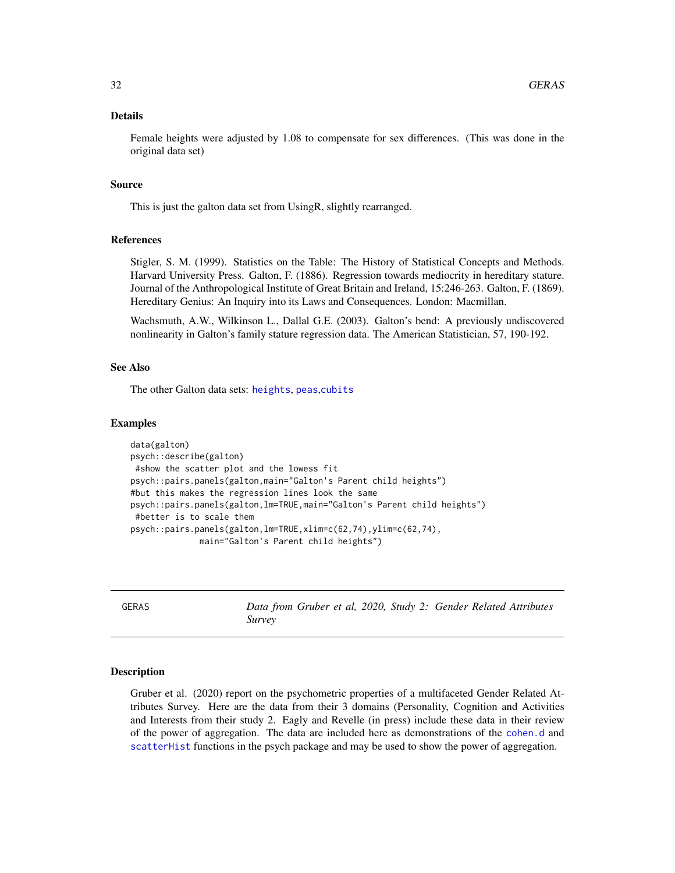#### <span id="page-31-0"></span>Details

Female heights were adjusted by 1.08 to compensate for sex differences. (This was done in the original data set)

#### Source

This is just the galton data set from UsingR, slightly rearranged.

#### References

Stigler, S. M. (1999). Statistics on the Table: The History of Statistical Concepts and Methods. Harvard University Press. Galton, F. (1886). Regression towards mediocrity in hereditary stature. Journal of the Anthropological Institute of Great Britain and Ireland, 15:246-263. Galton, F. (1869). Hereditary Genius: An Inquiry into its Laws and Consequences. London: Macmillan.

Wachsmuth, A.W., Wilkinson L., Dallal G.E. (2003). Galton's bend: A previously undiscovered nonlinearity in Galton's family stature regression data. The American Statistician, 57, 190-192.

#### See Also

The other Galton data sets: [heights](#page-35-1), [peas](#page-59-1),[cubits](#page-18-1)

#### Examples

```
data(galton)
psych::describe(galton)
#show the scatter plot and the lowess fit
psych::pairs.panels(galton,main="Galton's Parent child heights")
#but this makes the regression lines look the same
psych::pairs.panels(galton,lm=TRUE,main="Galton's Parent child heights")
#better is to scale them
psych::pairs.panels(galton,lm=TRUE,xlim=c(62,74),ylim=c(62,74),
              main="Galton's Parent child heights")
```
GERAS *Data from Gruber et al, 2020, Study 2: Gender Related Attributes Survey*

#### Description

Gruber et al. (2020) report on the psychometric properties of a multifaceted Gender Related Attributes Survey. Here are the data from their 3 domains (Personality, Cognition and Activities and Interests from their study 2. Eagly and Revelle (in press) include these data in their review of the power of aggregation. The data are included here as demonstrations of the [cohen.d](#page-0-0) and [scatterHist](#page-0-0) functions in the psych package and may be used to show the power of aggregation.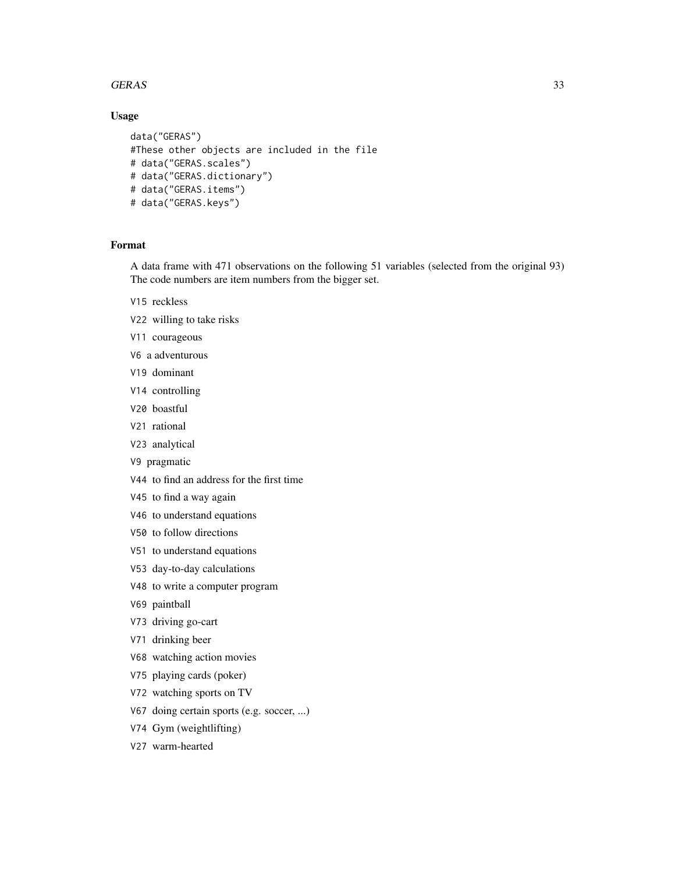#### GERAS 33

# Usage

```
data("GERAS")
#These other objects are included in the file
# data("GERAS.scales")
# data("GERAS.dictionary")
# data("GERAS.items")
# data("GERAS.keys")
```
# Format

A data frame with 471 observations on the following 51 variables (selected from the original 93) The code numbers are item numbers from the bigger set.

- V15 reckless
- V22 willing to take risks
- V11 courageous
- V6 a adventurous
- V19 dominant
- V14 controlling
- V20 boastful
- V21 rational
- V23 analytical
- V9 pragmatic
- V44 to find an address for the first time
- V45 to find a way again
- V46 to understand equations
- V50 to follow directions
- V51 to understand equations
- V53 day-to-day calculations
- V48 to write a computer program
- V69 paintball
- V73 driving go-cart
- V71 drinking beer
- V68 watching action movies
- V75 playing cards (poker)
- V72 watching sports on TV
- V67 doing certain sports (e.g. soccer, ...)
- V74 Gym (weightlifting)
- V27 warm-hearted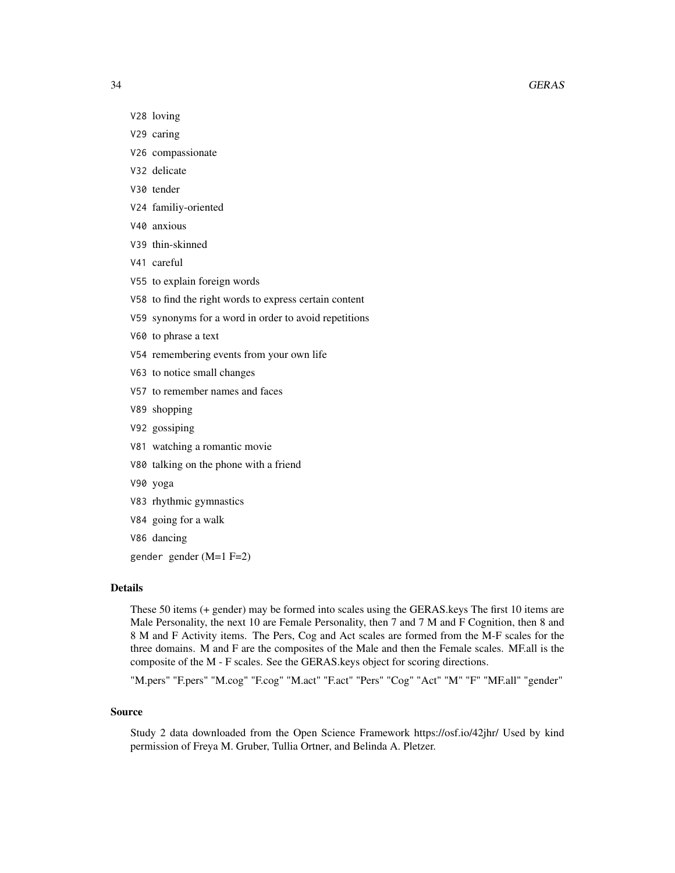- V28 loving
- V29 caring
- V26 compassionate
- V32 delicate
- V30 tender
- V24 familiy-oriented
- V40 anxious
- V39 thin-skinned
- V41 careful
- V55 to explain foreign words
- V58 to find the right words to express certain content
- V59 synonyms for a word in order to avoid repetitions
- V60 to phrase a text
- V54 remembering events from your own life
- V63 to notice small changes
- V57 to remember names and faces
- V89 shopping
- V92 gossiping
- V81 watching a romantic movie
- V80 talking on the phone with a friend
- V90 yoga
- V83 rhythmic gymnastics
- V84 going for a walk
- V86 dancing
- gender gender (M=1 F=2)

# Details

These 50 items (+ gender) may be formed into scales using the GERAS.keys The first 10 items are Male Personality, the next 10 are Female Personality, then 7 and 7 M and F Cognition, then 8 and 8 M and F Activity items. The Pers, Cog and Act scales are formed from the M-F scales for the three domains. M and F are the composites of the Male and then the Female scales. MF.all is the composite of the M - F scales. See the GERAS.keys object for scoring directions.

"M.pers" "F.pers" "M.cog" "F.cog" "M.act" "F.act" "Pers" "Cog" "Act" "M" "F" "MF.all" "gender"

#### Source

Study 2 data downloaded from the Open Science Framework https://osf.io/42jhr/ Used by kind permission of Freya M. Gruber, Tullia Ortner, and Belinda A. Pletzer.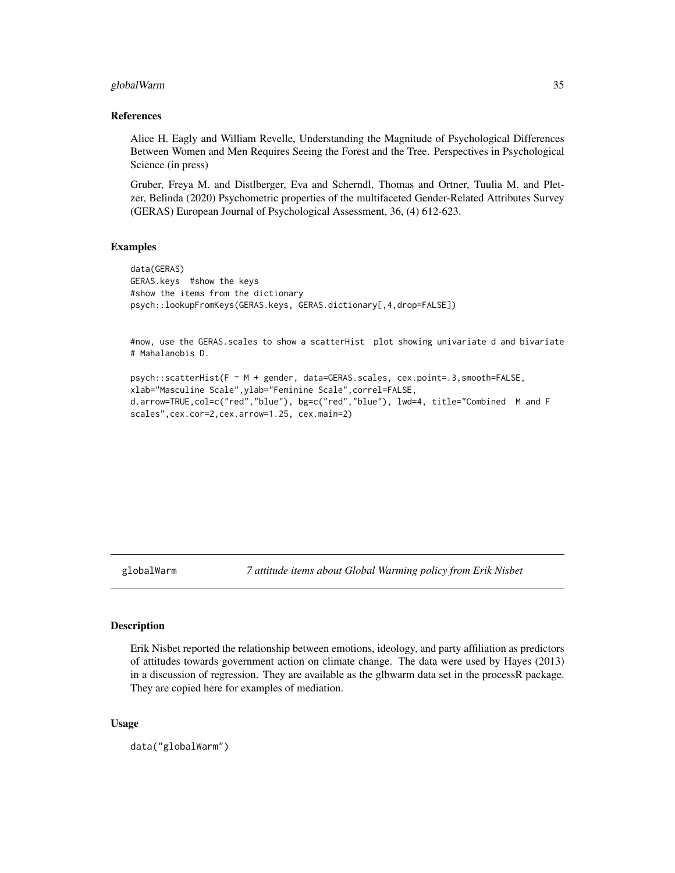#### <span id="page-34-0"></span>globalWarm 35

#### References

Alice H. Eagly and William Revelle, Understanding the Magnitude of Psychological Differences Between Women and Men Requires Seeing the Forest and the Tree. Perspectives in Psychological Science (in press)

Gruber, Freya M. and Distlberger, Eva and Scherndl, Thomas and Ortner, Tuulia M. and Pletzer, Belinda (2020) Psychometric properties of the multifaceted Gender-Related Attributes Survey (GERAS) European Journal of Psychological Assessment, 36, (4) 612-623.

#### Examples

```
data(GERAS)
GERAS.keys #show the keys
#show the items from the dictionary
psych::lookupFromKeys(GERAS.keys, GERAS.dictionary[,4,drop=FALSE])
```
#now, use the GERAS.scales to show a scatterHist plot showing univariate d and bivariate # Mahalanobis D.

```
psych::scatterHist(F ~ M + gender, data=GERAS.scales, cex.point=.3,smooth=FALSE,
xlab="Masculine Scale",ylab="Feminine Scale",correl=FALSE,
d.arrow=TRUE,col=c("red","blue"), bg=c("red","blue"), lwd=4, title="Combined M and F
scales",cex.cor=2,cex.arrow=1.25, cex.main=2)
```
globalWarm *7 attitude items about Global Warming policy from Erik Nisbet*

#### **Description**

Erik Nisbet reported the relationship between emotions, ideology, and party affiliation as predictors of attitudes towards government action on climate change. The data were used by Hayes (2013) in a discussion of regression. They are available as the glbwarm data set in the processR package. They are copied here for examples of mediation.

#### Usage

data("globalWarm")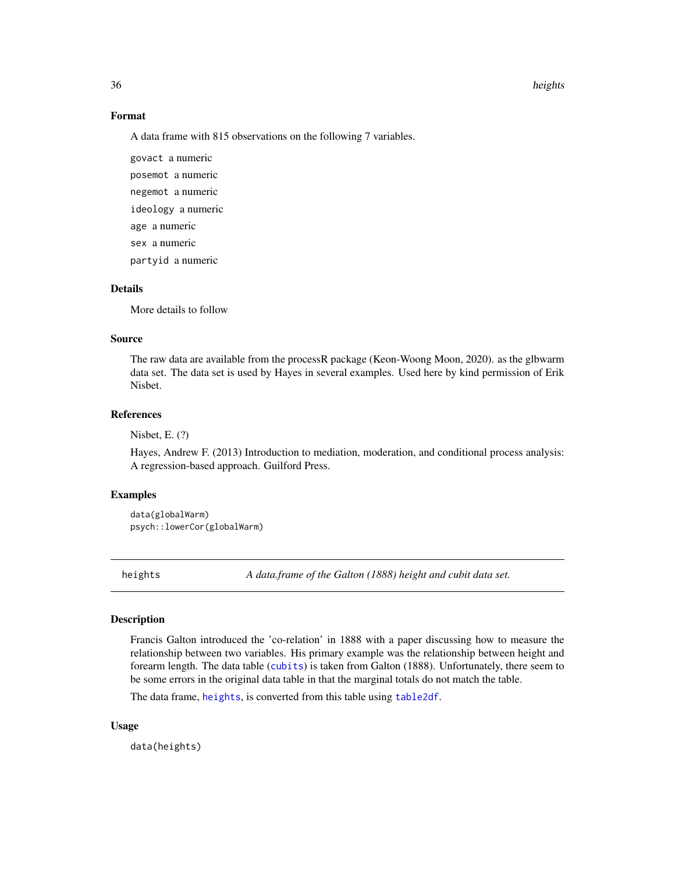#### 36 heights

#### Format

A data frame with 815 observations on the following 7 variables.

govact a numeric posemot a numeric negemot a numeric ideology a numeric age a numeric sex a numeric partyid a numeric

# Details

More details to follow

# Source

The raw data are available from the processR package (Keon-Woong Moon, 2020). as the glbwarm data set. The data set is used by Hayes in several examples. Used here by kind permission of Erik Nisbet.

# References

Nisbet, E. (?)

Hayes, Andrew F. (2013) Introduction to mediation, moderation, and conditional process analysis: A regression-based approach. Guilford Press.

#### Examples

```
data(globalWarm)
psych::lowerCor(globalWarm)
```
<span id="page-35-1"></span>heights *A data.frame of the Galton (1888) height and cubit data set.*

#### Description

Francis Galton introduced the 'co-relation' in 1888 with a paper discussing how to measure the relationship between two variables. His primary example was the relationship between height and forearm length. The data table ([cubits](#page-18-1)) is taken from Galton (1888). Unfortunately, there seem to be some errors in the original data table in that the marginal totals do not match the table.

The data frame, [heights](#page-35-1), is converted from this table using [table2df](#page-0-0).

#### Usage

data(heights)

<span id="page-35-0"></span>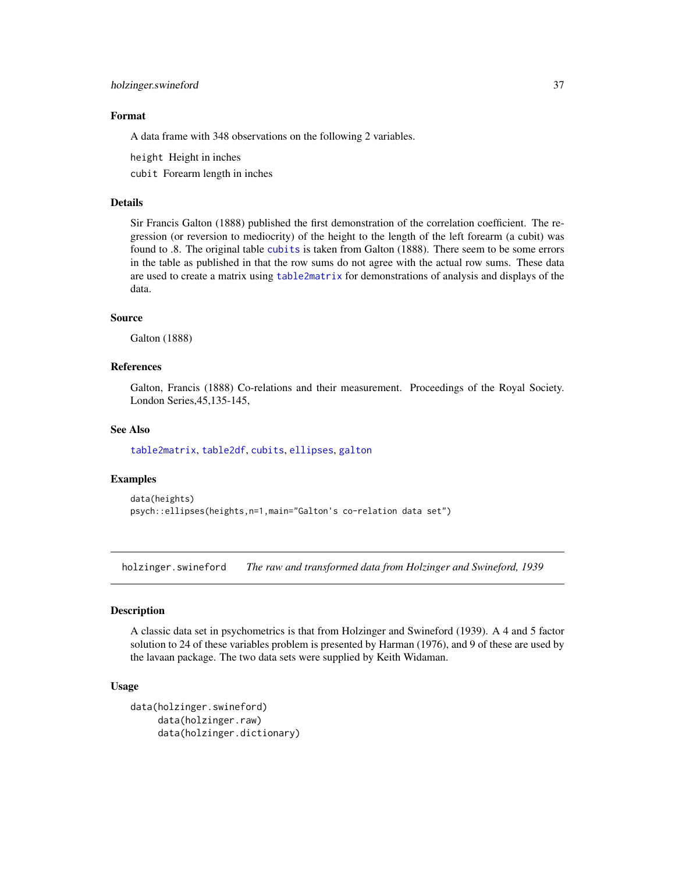#### Format

A data frame with 348 observations on the following 2 variables.

height Height in inches

cubit Forearm length in inches

#### Details

Sir Francis Galton (1888) published the first demonstration of the correlation coefficient. The regression (or reversion to mediocrity) of the height to the length of the left forearm (a cubit) was found to .8. The original table [cubits](#page-18-0) is taken from Galton (1888). There seem to be some errors in the table as published in that the row sums do not agree with the actual row sums. These data are used to create a matrix using [table2matrix](#page-0-0) for demonstrations of analysis and displays of the data.

## Source

Galton (1888)

## References

Galton, Francis (1888) Co-relations and their measurement. Proceedings of the Royal Society. London Series,45,135-145,

## See Also

[table2matrix](#page-0-0), [table2df](#page-0-0), [cubits](#page-18-0), [ellipses](#page-0-0), [galton](#page-30-0)

### Examples

```
data(heights)
psych::ellipses(heights,n=1,main="Galton's co-relation data set")
```
<span id="page-36-1"></span>holzinger.swineford *The raw and transformed data from Holzinger and Swineford, 1939*

## <span id="page-36-0"></span>Description

A classic data set in psychometrics is that from Holzinger and Swineford (1939). A 4 and 5 factor solution to 24 of these variables problem is presented by Harman (1976), and 9 of these are used by the lavaan package. The two data sets were supplied by Keith Widaman.

## Usage

```
data(holzinger.swineford)
     data(holzinger.raw)
     data(holzinger.dictionary)
```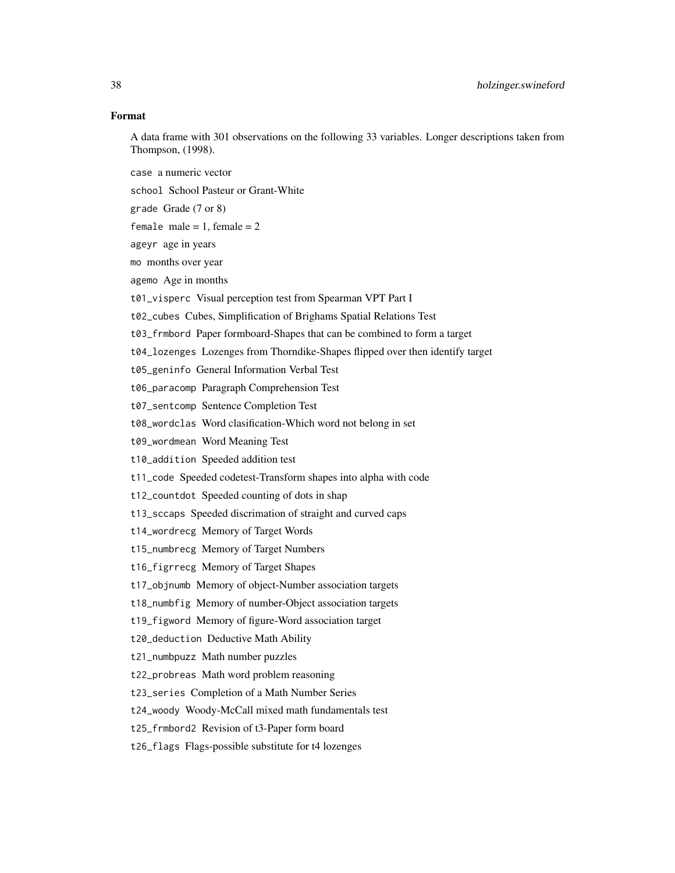# Format

A data frame with 301 observations on the following 33 variables. Longer descriptions taken from Thompson, (1998).

- case a numeric vector
- school School Pasteur or Grant-White
- grade Grade (7 or 8)
- female male =  $1$ , female =  $2$
- ageyr age in years
- mo months over year
- agemo Age in months
- t01\_visperc Visual perception test from Spearman VPT Part I
- t02\_cubes Cubes, Simplification of Brighams Spatial Relations Test
- t03\_frmbord Paper formboard-Shapes that can be combined to form a target
- t04\_lozenges Lozenges from Thorndike-Shapes flipped over then identify target
- t05\_geninfo General Information Verbal Test
- t06\_paracomp Paragraph Comprehension Test
- t07\_sentcomp Sentence Completion Test
- t08\_wordclas Word clasification-Which word not belong in set
- t09\_wordmean Word Meaning Test
- t10\_addition Speeded addition test
- t11\_code Speeded codetest-Transform shapes into alpha with code
- t12\_countdot Speeded counting of dots in shap
- t13\_sccaps Speeded discrimation of straight and curved caps
- t14\_wordrecg Memory of Target Words
- t15\_numbrecg Memory of Target Numbers
- t16\_figrrecg Memory of Target Shapes
- t17\_objnumb Memory of object-Number association targets
- t18\_numbfig Memory of number-Object association targets
- t19\_figword Memory of figure-Word association target
- t20\_deduction Deductive Math Ability
- t21\_numbpuzz Math number puzzles
- t22\_probreas Math word problem reasoning
- t23\_series Completion of a Math Number Series
- t24\_woody Woody-McCall mixed math fundamentals test
- t25\_frmbord2 Revision of t3-Paper form board
- t26\_flags Flags-possible substitute for t4 lozenges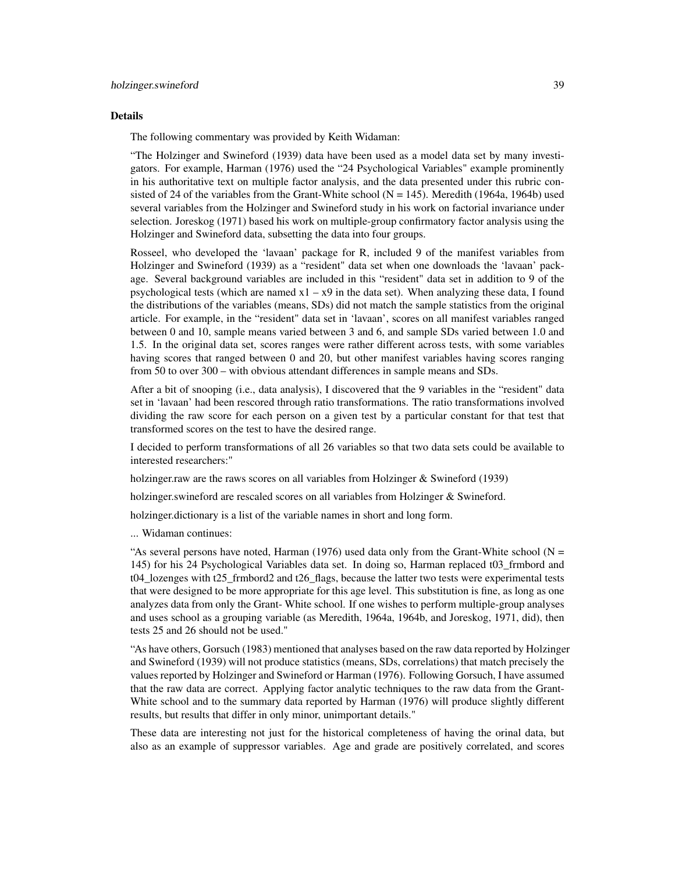#### Details

The following commentary was provided by Keith Widaman:

"The Holzinger and Swineford (1939) data have been used as a model data set by many investigators. For example, Harman (1976) used the "24 Psychological Variables" example prominently in his authoritative text on multiple factor analysis, and the data presented under this rubric consisted of 24 of the variables from the Grant-White school ( $N = 145$ ). Meredith (1964a, 1964b) used several variables from the Holzinger and Swineford study in his work on factorial invariance under selection. Joreskog (1971) based his work on multiple-group confirmatory factor analysis using the Holzinger and Swineford data, subsetting the data into four groups.

Rosseel, who developed the 'lavaan' package for R, included 9 of the manifest variables from Holzinger and Swineford (1939) as a "resident" data set when one downloads the 'lavaan' package. Several background variables are included in this "resident" data set in addition to 9 of the psychological tests (which are named  $x1 - x9$  in the data set). When analyzing these data, I found the distributions of the variables (means, SDs) did not match the sample statistics from the original article. For example, in the "resident" data set in 'lavaan', scores on all manifest variables ranged between 0 and 10, sample means varied between 3 and 6, and sample SDs varied between 1.0 and 1.5. In the original data set, scores ranges were rather different across tests, with some variables having scores that ranged between 0 and 20, but other manifest variables having scores ranging from 50 to over 300 – with obvious attendant differences in sample means and SDs.

After a bit of snooping (i.e., data analysis), I discovered that the 9 variables in the "resident" data set in 'lavaan' had been rescored through ratio transformations. The ratio transformations involved dividing the raw score for each person on a given test by a particular constant for that test that transformed scores on the test to have the desired range.

I decided to perform transformations of all 26 variables so that two data sets could be available to interested researchers:"

holzinger.raw are the raws scores on all variables from Holzinger & Swineford (1939)

holzinger.swineford are rescaled scores on all variables from Holzinger & Swineford.

holzinger.dictionary is a list of the variable names in short and long form.

... Widaman continues:

"As several persons have noted, Harman (1976) used data only from the Grant-White school ( $N =$ 145) for his 24 Psychological Variables data set. In doing so, Harman replaced t03\_frmbord and t04\_lozenges with t25\_frmbord2 and t26\_flags, because the latter two tests were experimental tests that were designed to be more appropriate for this age level. This substitution is fine, as long as one analyzes data from only the Grant- White school. If one wishes to perform multiple-group analyses and uses school as a grouping variable (as Meredith, 1964a, 1964b, and Joreskog, 1971, did), then tests 25 and 26 should not be used."

"As have others, Gorsuch (1983) mentioned that analyses based on the raw data reported by Holzinger and Swineford (1939) will not produce statistics (means, SDs, correlations) that match precisely the values reported by Holzinger and Swineford or Harman (1976). Following Gorsuch, I have assumed that the raw data are correct. Applying factor analytic techniques to the raw data from the Grant-White school and to the summary data reported by Harman (1976) will produce slightly different results, but results that differ in only minor, unimportant details."

These data are interesting not just for the historical completeness of having the orinal data, but also as an example of suppressor variables. Age and grade are positively correlated, and scores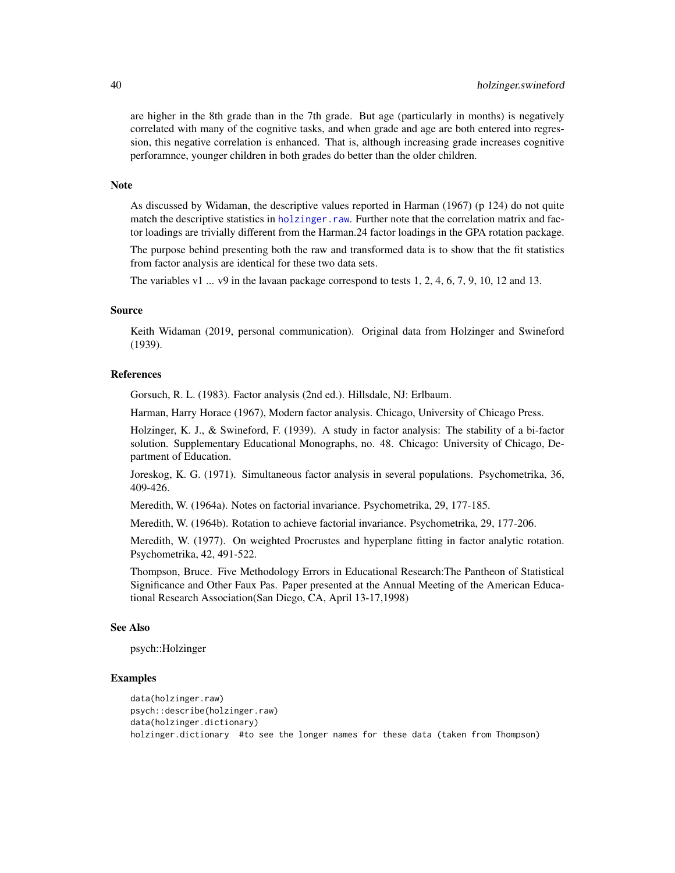are higher in the 8th grade than in the 7th grade. But age (particularly in months) is negatively correlated with many of the cognitive tasks, and when grade and age are both entered into regression, this negative correlation is enhanced. That is, although increasing grade increases cognitive perforamnce, younger children in both grades do better than the older children.

#### **Note**

As discussed by Widaman, the descriptive values reported in Harman (1967) (p 124) do not quite match the descriptive statistics in [holzinger.raw](#page-36-0). Further note that the correlation matrix and factor loadings are trivially different from the Harman.24 factor loadings in the GPA rotation package.

The purpose behind presenting both the raw and transformed data is to show that the fit statistics from factor analysis are identical for these two data sets.

The variables v1 ...  $v9$  in the lavaan package correspond to tests 1, 2, 4, 6, 7, 9, 10, 12 and 13.

## Source

Keith Widaman (2019, personal communication). Original data from Holzinger and Swineford (1939).

#### References

Gorsuch, R. L. (1983). Factor analysis (2nd ed.). Hillsdale, NJ: Erlbaum.

Harman, Harry Horace (1967), Modern factor analysis. Chicago, University of Chicago Press.

Holzinger, K. J., & Swineford, F. (1939). A study in factor analysis: The stability of a bi-factor solution. Supplementary Educational Monographs, no. 48. Chicago: University of Chicago, Department of Education.

Joreskog, K. G. (1971). Simultaneous factor analysis in several populations. Psychometrika, 36, 409-426.

Meredith, W. (1964a). Notes on factorial invariance. Psychometrika, 29, 177-185.

Meredith, W. (1964b). Rotation to achieve factorial invariance. Psychometrika, 29, 177-206.

Meredith, W. (1977). On weighted Procrustes and hyperplane fitting in factor analytic rotation. Psychometrika, 42, 491-522.

Thompson, Bruce. Five Methodology Errors in Educational Research:The Pantheon of Statistical Significance and Other Faux Pas. Paper presented at the Annual Meeting of the American Educational Research Association(San Diego, CA, April 13-17,1998)

#### See Also

psych::Holzinger

## Examples

```
data(holzinger.raw)
psych::describe(holzinger.raw)
data(holzinger.dictionary)
holzinger.dictionary #to see the longer names for these data (taken from Thompson)
```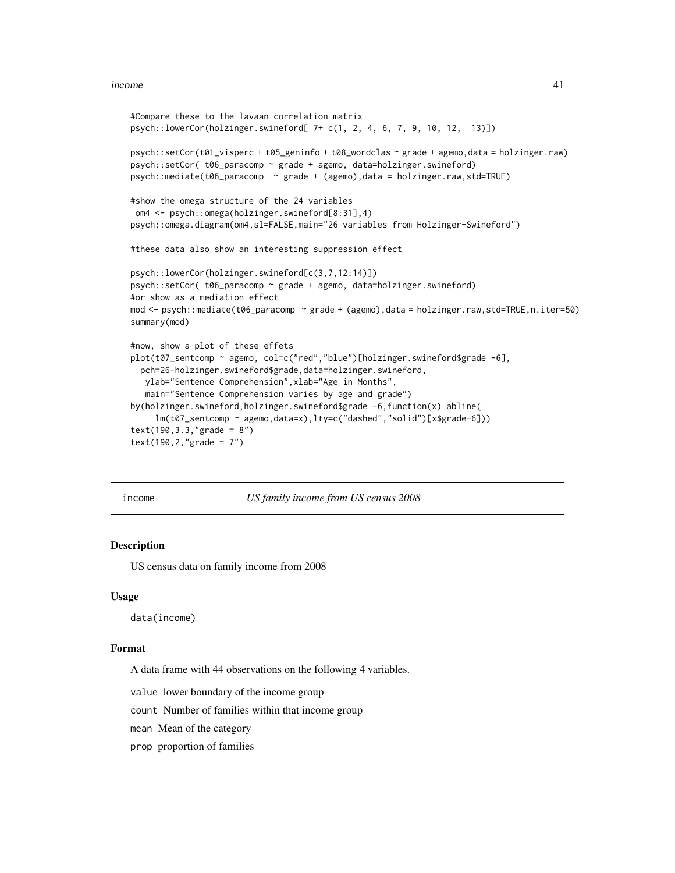#### income 41

```
#Compare these to the lavaan correlation matrix
psych::lowerCor(holzinger.swineford[ 7+ c(1, 2, 4, 6, 7, 9, 10, 12, 13)])
psych::setCor(t01_visperc + t05_geninfo + t08_wordclas ~ grade + agemo,data = holzinger.raw)
psych::setCor( t06_paracomp ~ grade + agemo, data=holzinger.swineford)
psych::mediate(t06_paracomp ~ grade + (agemo),data = holzinger.raw,std=TRUE)
#show the omega structure of the 24 variables
om4 <- psych::omega(holzinger.swineford[8:31],4)
psych::omega.diagram(om4,sl=FALSE,main="26 variables from Holzinger-Swineford")
#these data also show an interesting suppression effect
psych::lowerCor(holzinger.swineford[c(3,7,12:14)])
psych::setCor( t06_paracomp ~ grade + agemo, data=holzinger.swineford)
#or show as a mediation effect
mod <- psych::mediate(t06_paracomp ~ grade + (agemo),data = holzinger.raw,std=TRUE,n.iter=50)
summary(mod)
#now, show a plot of these effets
plot(t07_sentcomp ~ agemo, col=c("red","blue")[holzinger.swineford$grade -6],
 pch=26-holzinger.swineford$grade,data=holzinger.swineford,
  ylab="Sentence Comprehension",xlab="Age in Months",
  main="Sentence Comprehension varies by age and grade")
by(holzinger.swineford,holzinger.swineford$grade -6,function(x) abline(
     lm(t07_sentcomp ~ agemo,data=x),lty=c("dashed","solid")[x$grade-6]))
text(190, 3.3, "grade = 8")text(190, 2, "grade = 7")
```
<span id="page-40-0"></span>income *US family income from US census 2008*

#### **Description**

US census data on family income from 2008

## Usage

data(income)

#### Format

A data frame with 44 observations on the following 4 variables.

value lower boundary of the income group

count Number of families within that income group

mean Mean of the category

prop proportion of families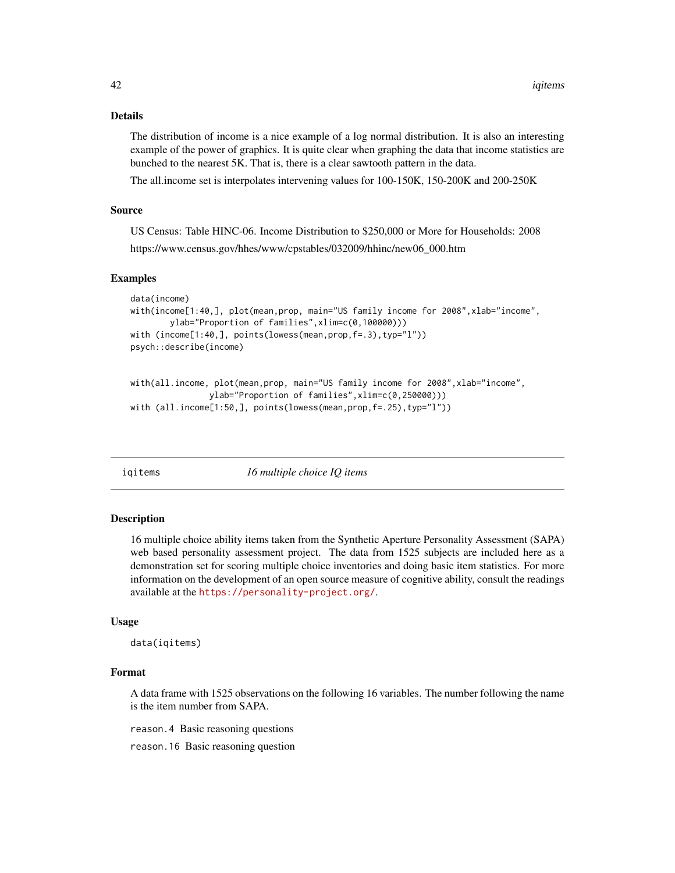#### Details

The distribution of income is a nice example of a log normal distribution. It is also an interesting example of the power of graphics. It is quite clear when graphing the data that income statistics are bunched to the nearest 5K. That is, there is a clear sawtooth pattern in the data.

The all.income set is interpolates intervening values for 100-150K, 150-200K and 200-250K

## Source

US Census: Table HINC-06. Income Distribution to \$250,000 or More for Households: 2008 https://www.census.gov/hhes/www/cpstables/032009/hhinc/new06\_000.htm

#### Examples

```
data(income)
with(income[1:40,], plot(mean,prop, main="US family income for 2008",xlab="income",
        ylab="Proportion of families",xlim=c(0,100000)))
with (income[1:40,], points(lowess(mean,prop,f=.3),typ="l"))
psych::describe(income)
```

```
with(all.income, plot(mean,prop, main="US family income for 2008", xlab="income",
                ylab="Proportion of families",xlim=c(0,250000)))
with (all.income[1:50,], points(lowess(mean,prop,f=.25),typ="l"))
```
<span id="page-41-0"></span>iqitems *16 multiple choice IQ items*

# Description

16 multiple choice ability items taken from the Synthetic Aperture Personality Assessment (SAPA) web based personality assessment project. The data from 1525 subjects are included here as a demonstration set for scoring multiple choice inventories and doing basic item statistics. For more information on the development of an open source measure of cognitive ability, consult the readings available at the <https://personality-project.org/>.

#### Usage

data(iqitems)

## Format

A data frame with 1525 observations on the following 16 variables. The number following the name is the item number from SAPA.

reason.4 Basic reasoning questions

reason.16 Basic reasoning question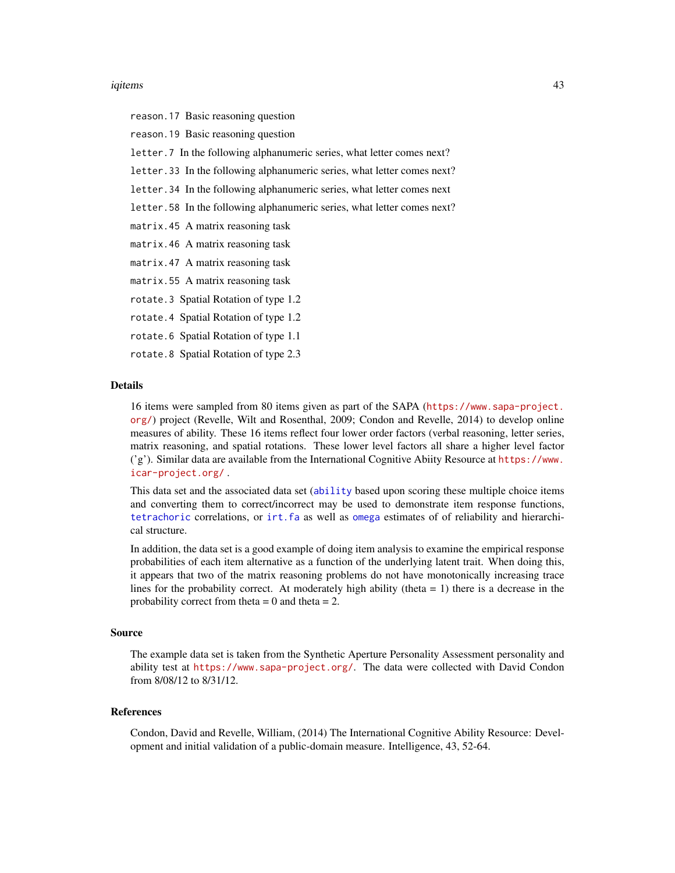#### iqitems 43

reason.17 Basic reasoning question reason.19 Basic reasoning question letter.7 In the following alphanumeric series, what letter comes next? letter.33 In the following alphanumeric series, what letter comes next? letter.34 In the following alphanumeric series, what letter comes next letter.58 In the following alphanumeric series, what letter comes next? matrix.45 A matrix reasoning task matrix.46 A matrix reasoning task matrix.47 A matrix reasoning task matrix.55 A matrix reasoning task rotate.3 Spatial Rotation of type 1.2 rotate.4 Spatial Rotation of type 1.2 rotate.6 Spatial Rotation of type 1.1 rotate.8 Spatial Rotation of type 2.3

## Details

16 items were sampled from 80 items given as part of the SAPA ([https://www.sapa-project.](https://www.sapa-project.org/) [org/](https://www.sapa-project.org/)) project (Revelle, Wilt and Rosenthal, 2009; Condon and Revelle, 2014) to develop online measures of ability. These 16 items reflect four lower order factors (verbal reasoning, letter series, matrix reasoning, and spatial rotations. These lower level factors all share a higher level factor ('g'). Similar data are available from the International Cognitive Abiity Resource at [https://www.](https://www.icar-project.org/) [icar-project.org/](https://www.icar-project.org/) .

This data set and the associated data set ([ability](#page-1-0) based upon scoring these multiple choice items and converting them to correct/incorrect may be used to demonstrate item response functions, [tetrachoric](#page-0-0) correlations, or [irt.fa](#page-0-0) as well as [omega](#page-0-0) estimates of of reliability and hierarchical structure.

In addition, the data set is a good example of doing item analysis to examine the empirical response probabilities of each item alternative as a function of the underlying latent trait. When doing this, it appears that two of the matrix reasoning problems do not have monotonically increasing trace lines for the probability correct. At moderately high ability (theta  $= 1$ ) there is a decrease in the probability correct from theta  $= 0$  and theta  $= 2$ .

#### Source

The example data set is taken from the Synthetic Aperture Personality Assessment personality and ability test at <https://www.sapa-project.org/>. The data were collected with David Condon from 8/08/12 to 8/31/12.

## References

Condon, David and Revelle, William, (2014) The International Cognitive Ability Resource: Development and initial validation of a public-domain measure. Intelligence, 43, 52-64.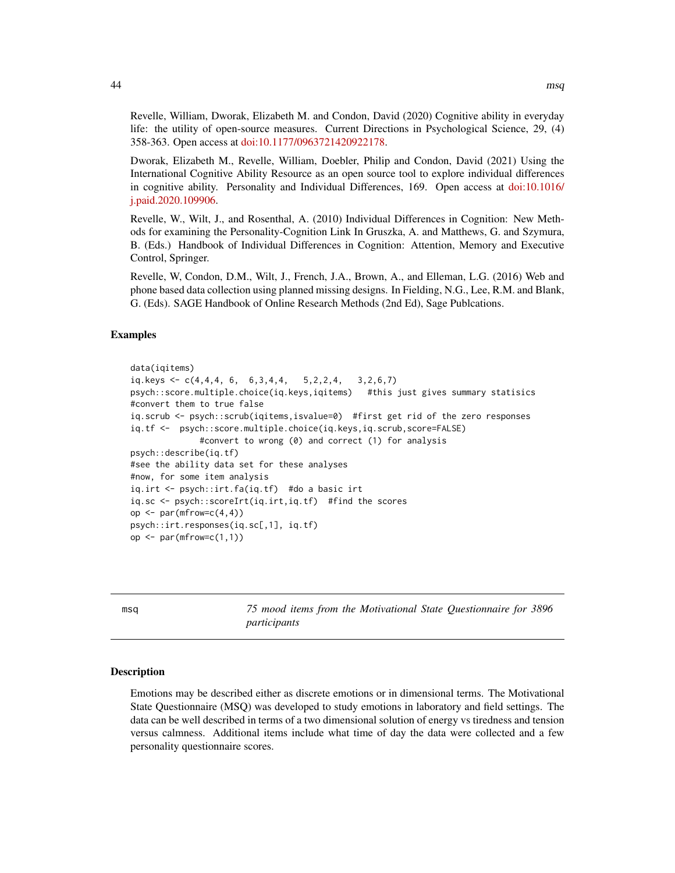Revelle, William, Dworak, Elizabeth M. and Condon, David (2020) Cognitive ability in everyday life: the utility of open-source measures. Current Directions in Psychological Science, 29, (4) 358-363. Open access at [doi:10.1177/0963721420922178.](https://doi.org/10.1177/0963721420922178)

Dworak, Elizabeth M., Revelle, William, Doebler, Philip and Condon, David (2021) Using the International Cognitive Ability Resource as an open source tool to explore individual differences in cognitive ability. Personality and Individual Differences, 169. Open access at [doi:10.1016/](https://doi.org/10.1016/j.paid.2020.109906) [j.paid.2020.109906.](https://doi.org/10.1016/j.paid.2020.109906)

Revelle, W., Wilt, J., and Rosenthal, A. (2010) Individual Differences in Cognition: New Methods for examining the Personality-Cognition Link In Gruszka, A. and Matthews, G. and Szymura, B. (Eds.) Handbook of Individual Differences in Cognition: Attention, Memory and Executive Control, Springer.

Revelle, W, Condon, D.M., Wilt, J., French, J.A., Brown, A., and Elleman, L.G. (2016) Web and phone based data collection using planned missing designs. In Fielding, N.G., Lee, R.M. and Blank, G. (Eds). SAGE Handbook of Online Research Methods (2nd Ed), Sage Publcations.

## Examples

```
data(iqitems)
iq.keys \leq c(4,4,4,6, 6,3,4,4, 5,2,2,4, 3,2,6,7)psych::score.multiple.choice(iq.keys,iqitems) #this just gives summary statisics
#convert them to true false
iq.scrub <- psych::scrub(iqitems,isvalue=0) #first get rid of the zero responses
iq.tf <- psych::score.multiple.choice(iq.keys,iq.scrub,score=FALSE)
              #convert to wrong (0) and correct (1) for analysis
psych::describe(iq.tf)
#see the ability data set for these analyses
#now, for some item analysis
iq.irt <- psych::irt.fa(iq.tf) #do a basic irt
iq.sc <- psych::scoreIrt(iq.irt,iq.tf) #find the scores
op \leq par(mfrow=c(4,4))
psych::irt.responses(iq.sc[,1], iq.tf)
op \leq par(mfrow=c(1,1))
```
<span id="page-43-0"></span>msq *75 mood items from the Motivational State Questionnaire for 3896 participants*

#### Description

Emotions may be described either as discrete emotions or in dimensional terms. The Motivational State Questionnaire (MSQ) was developed to study emotions in laboratory and field settings. The data can be well described in terms of a two dimensional solution of energy vs tiredness and tension versus calmness. Additional items include what time of day the data were collected and a few personality questionnaire scores.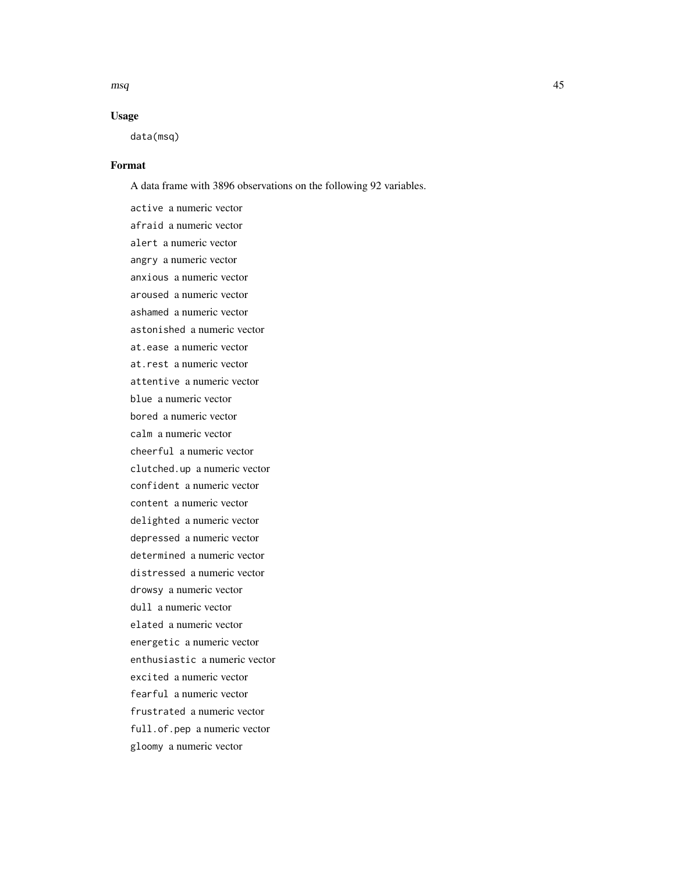#### $\log$  45

# Usage

data(msq)

# Format

A data frame with 3896 observations on the following 92 variables.

active a numeric vector afraid a numeric vector alert a numeric vector angry a numeric vector anxious a numeric vector aroused a numeric vector ashamed a numeric vector astonished a numeric vector at.ease a numeric vector at.rest a numeric vector attentive a numeric vector blue a numeric vector bored a numeric vector calm a numeric vector cheerful a numeric vector clutched.up a numeric vector confident a numeric vector content a numeric vector delighted a numeric vector depressed a numeric vector determined a numeric vector distressed a numeric vector drowsy a numeric vector dull a numeric vector elated a numeric vector energetic a numeric vector enthusiastic a numeric vector excited a numeric vector fearful a numeric vector frustrated a numeric vector full.of.pep a numeric vector gloomy a numeric vector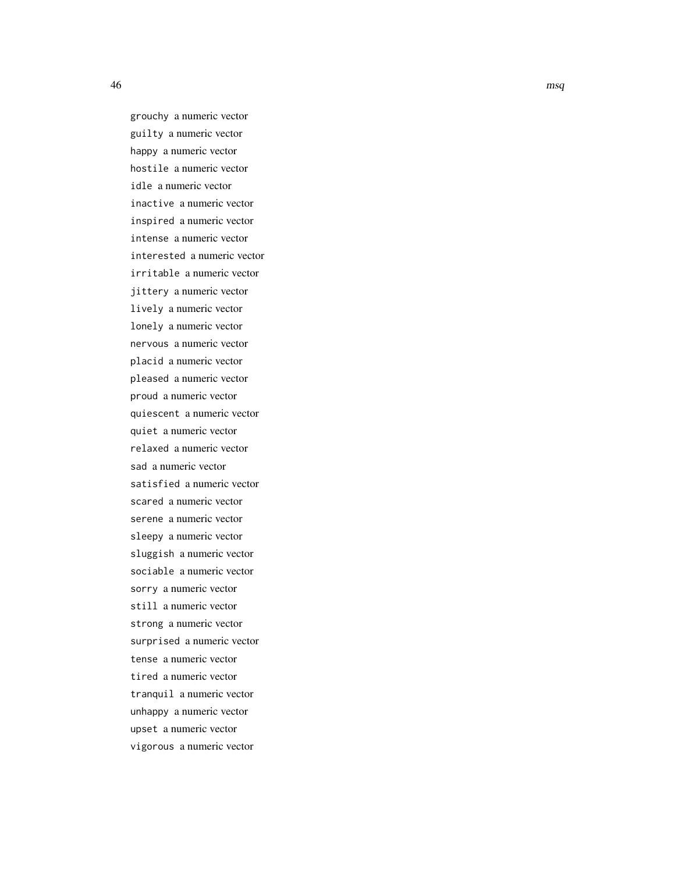grouchy a numeric vector guilty a numeric vector happy a numeric vector hostile a numeric vector idle a numeric vector inactive a numeric vector inspired a numeric vector intense a numeric vector interested a numeric vector irritable a numeric vector jittery a numeric vector lively a numeric vector lonely a numeric vector nervous a numeric vector placid a numeric vector pleased a numeric vector proud a numeric vector quiescent a numeric vector quiet a numeric vector relaxed a numeric vector sad a numeric vector satisfied a numeric vector scared a numeric vector serene a numeric vector sleepy a numeric vector sluggish a numeric vector sociable a numeric vector sorry a numeric vector still a numeric vector strong a numeric vector surprised a numeric vector tense a numeric vector tired a numeric vector tranquil a numeric vector unhappy a numeric vector upset a numeric vector vigorous a numeric vector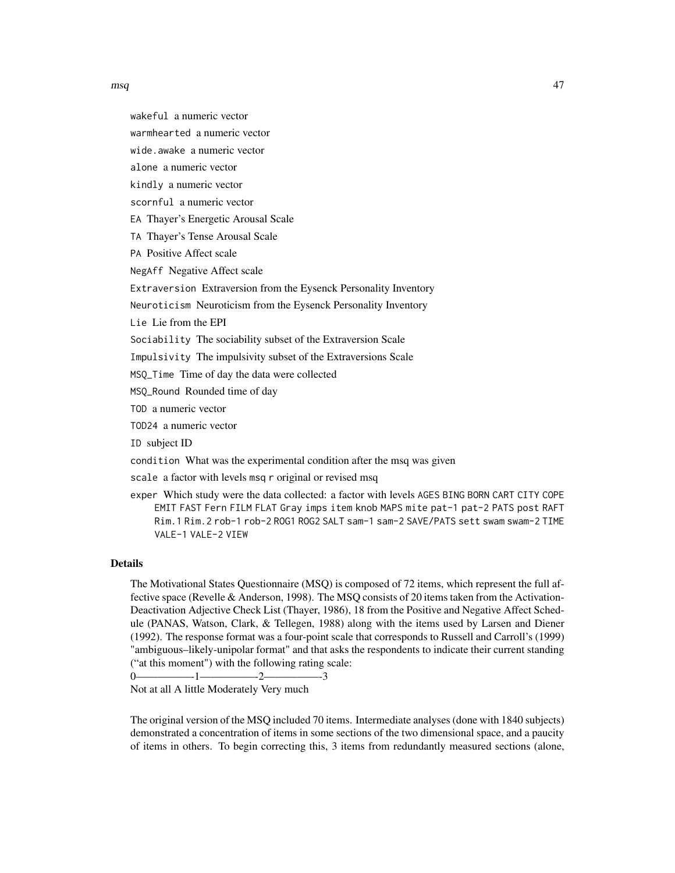wakeful a numeric vector

warmhearted a numeric vector

wide.awake a numeric vector

alone a numeric vector

kindly a numeric vector

scornful a numeric vector

EA Thayer's Energetic Arousal Scale

TA Thayer's Tense Arousal Scale

PA Positive Affect scale

NegAff Negative Affect scale

Extraversion Extraversion from the Eysenck Personality Inventory

Neuroticism Neuroticism from the Eysenck Personality Inventory

Lie Lie from the EPI

Sociability The sociability subset of the Extraversion Scale

Impulsivity The impulsivity subset of the Extraversions Scale

MSQ\_Time Time of day the data were collected

MSQ\_Round Rounded time of day

TOD a numeric vector

TOD24 a numeric vector

ID subject ID

condition What was the experimental condition after the msq was given

scale a factor with levels msq r original or revised msq

exper Which study were the data collected: a factor with levels AGES BING BORN CART CITY COPE EMIT FAST Fern FILM FLAT Gray imps item knob MAPS mite pat-1 pat-2 PATS post RAFT Rim.1 Rim.2 rob-1 rob-2 ROG1 ROG2 SALT sam-1 sam-2 SAVE/PATS sett swam swam-2 TIME VALE-1 VALE-2 VIEW

## Details

The Motivational States Questionnaire (MSQ) is composed of 72 items, which represent the full affective space (Revelle & Anderson, 1998). The MSQ consists of 20 items taken from the Activation-Deactivation Adjective Check List (Thayer, 1986), 18 from the Positive and Negative Affect Schedule (PANAS, Watson, Clark, & Tellegen, 1988) along with the items used by Larsen and Diener (1992). The response format was a four-point scale that corresponds to Russell and Carroll's (1999) "ambiguous–likely-unipolar format" and that asks the respondents to indicate their current standing ("at this moment") with the following rating scale:

Not at all A little Moderately Very much

 $0 \longrightarrow 1 \longrightarrow 2 \longrightarrow 3$ 

The original version of the MSQ included 70 items. Intermediate analyses (done with 1840 subjects) demonstrated a concentration of items in some sections of the two dimensional space, and a paucity of items in others. To begin correcting this, 3 items from redundantly measured sections (alone,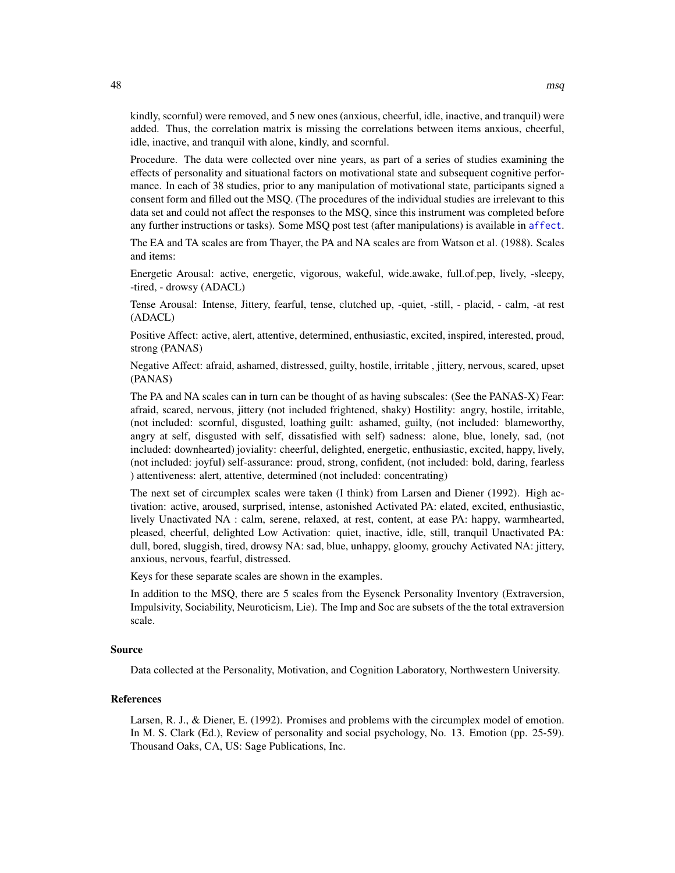kindly, scornful) were removed, and 5 new ones (anxious, cheerful, idle, inactive, and tranquil) were added. Thus, the correlation matrix is missing the correlations between items anxious, cheerful, idle, inactive, and tranquil with alone, kindly, and scornful.

Procedure. The data were collected over nine years, as part of a series of studies examining the effects of personality and situational factors on motivational state and subsequent cognitive performance. In each of 38 studies, prior to any manipulation of motivational state, participants signed a consent form and filled out the MSQ. (The procedures of the individual studies are irrelevant to this data set and could not affect the responses to the MSQ, since this instrument was completed before any further instructions or tasks). Some MSQ post test (after manipulations) is available in [affect](#page-3-0).

The EA and TA scales are from Thayer, the PA and NA scales are from Watson et al. (1988). Scales and items:

Energetic Arousal: active, energetic, vigorous, wakeful, wide.awake, full.of.pep, lively, -sleepy, -tired, - drowsy (ADACL)

Tense Arousal: Intense, Jittery, fearful, tense, clutched up, -quiet, -still, - placid, - calm, -at rest (ADACL)

Positive Affect: active, alert, attentive, determined, enthusiastic, excited, inspired, interested, proud, strong (PANAS)

Negative Affect: afraid, ashamed, distressed, guilty, hostile, irritable , jittery, nervous, scared, upset (PANAS)

The PA and NA scales can in turn can be thought of as having subscales: (See the PANAS-X) Fear: afraid, scared, nervous, jittery (not included frightened, shaky) Hostility: angry, hostile, irritable, (not included: scornful, disgusted, loathing guilt: ashamed, guilty, (not included: blameworthy, angry at self, disgusted with self, dissatisfied with self) sadness: alone, blue, lonely, sad, (not included: downhearted) joviality: cheerful, delighted, energetic, enthusiastic, excited, happy, lively, (not included: joyful) self-assurance: proud, strong, confident, (not included: bold, daring, fearless ) attentiveness: alert, attentive, determined (not included: concentrating)

The next set of circumplex scales were taken (I think) from Larsen and Diener (1992). High activation: active, aroused, surprised, intense, astonished Activated PA: elated, excited, enthusiastic, lively Unactivated NA : calm, serene, relaxed, at rest, content, at ease PA: happy, warmhearted, pleased, cheerful, delighted Low Activation: quiet, inactive, idle, still, tranquil Unactivated PA: dull, bored, sluggish, tired, drowsy NA: sad, blue, unhappy, gloomy, grouchy Activated NA: jittery, anxious, nervous, fearful, distressed.

Keys for these separate scales are shown in the examples.

In addition to the MSQ, there are 5 scales from the Eysenck Personality Inventory (Extraversion, Impulsivity, Sociability, Neuroticism, Lie). The Imp and Soc are subsets of the the total extraversion scale.

#### Source

Data collected at the Personality, Motivation, and Cognition Laboratory, Northwestern University.

## References

Larsen, R. J., & Diener, E. (1992). Promises and problems with the circumplex model of emotion. In M. S. Clark (Ed.), Review of personality and social psychology, No. 13. Emotion (pp. 25-59). Thousand Oaks, CA, US: Sage Publications, Inc.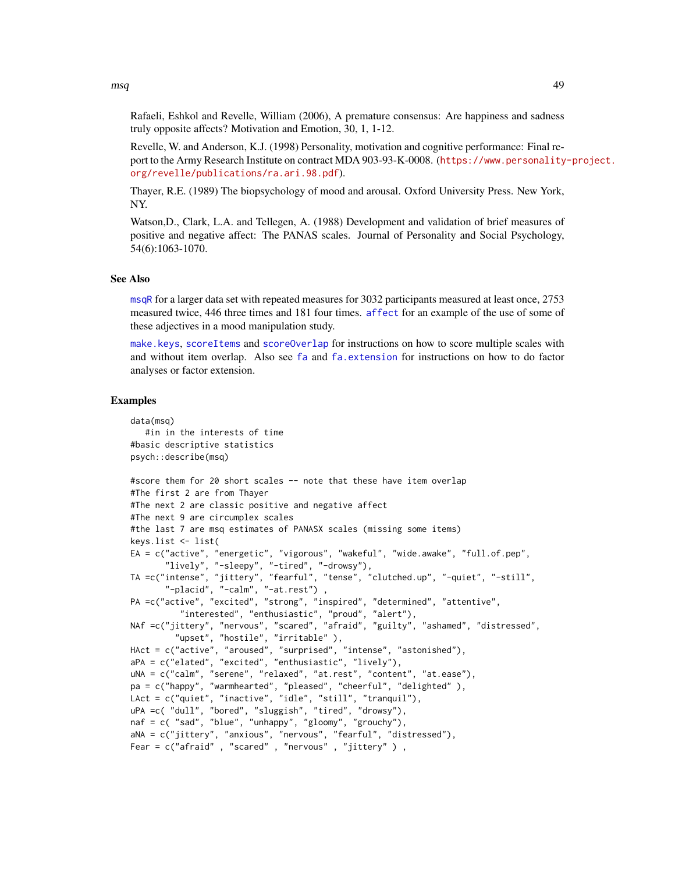Rafaeli, Eshkol and Revelle, William (2006), A premature consensus: Are happiness and sadness truly opposite affects? Motivation and Emotion, 30, 1, 1-12.

Revelle, W. and Anderson, K.J. (1998) Personality, motivation and cognitive performance: Final report to the Army Research Institute on contract MDA 903-93-K-0008. ([https://www.personality](https://www.personality-project.org/revelle/publications/ra.ari.98.pdf)-project. [org/revelle/publications/ra.ari.98.pdf](https://www.personality-project.org/revelle/publications/ra.ari.98.pdf)).

Thayer, R.E. (1989) The biopsychology of mood and arousal. Oxford University Press. New York, NY.

Watson,D., Clark, L.A. and Tellegen, A. (1988) Development and validation of brief measures of positive and negative affect: The PANAS scales. Journal of Personality and Social Psychology, 54(6):1063-1070.

## See Also

[msqR](#page-49-0) for a larger data set with repeated measures for 3032 participants measured at least once, 2753 measured twice, 446 three times and 181 four times. [affect](#page-3-0) for an example of the use of some of these adjectives in a mood manipulation study.

[make.keys](#page-0-0), [scoreItems](#page-0-0) and [scoreOverlap](#page-0-0) for instructions on how to score multiple scales with and without item overlap. Also see [fa](#page-0-0) and [fa.extension](#page-0-0) for instructions on how to do factor analyses or factor extension.

#### Examples

```
data(msq)
  #in in the interests of time
#basic descriptive statistics
psych::describe(msq)
#score them for 20 short scales -- note that these have item overlap
#The first 2 are from Thayer
#The next 2 are classic positive and negative affect
#The next 9 are circumplex scales
#the last 7 are msq estimates of PANASX scales (missing some items)
keys.list <- list(
EA = c("active", "energetic", "vigorous", "wakeful", "wide.awake", "full.of.pep",
       "lively", "-sleepy", "-tired", "-drowsy"),
TA =c("intense", "jittery", "fearful", "tense", "clutched.up", "-quiet", "-still",
       "-placid", "-calm", "-at.rest") ,
PA =c("active", "excited", "strong", "inspired", "determined", "attentive",
          "interested", "enthusiastic", "proud", "alert"),
NAf =c("jittery", "nervous", "scared", "afraid", "guilty", "ashamed", "distressed",
         "upset", "hostile", "irritable" ),
HAct = c("active", "aroused", "surprised", "intense", "astonished"),
aPA = c("elated", "excited", "enthusiastic", "lively"),
uNA = c("calm", "serene", "relaxed", "at.rest", "content", "at.ease"),
pa = c("happy", "warmhearted", "pleased", "cheerful", "delighted" ),
LAct = c("quiet", "inactive", "idle", "still", "tranquil"),
uPA =c( "dull", "bored", "sluggish", "tired", "drowsy"),
naf = c( "sad", "blue", "unhappy", "gloomy", "grouchy"),
aNA = c("jittery", "anxious", "nervous", "fearful", "distressed"),
Fear = c("afraid" , "scared" , "nervous" , "jittery" ) ,
```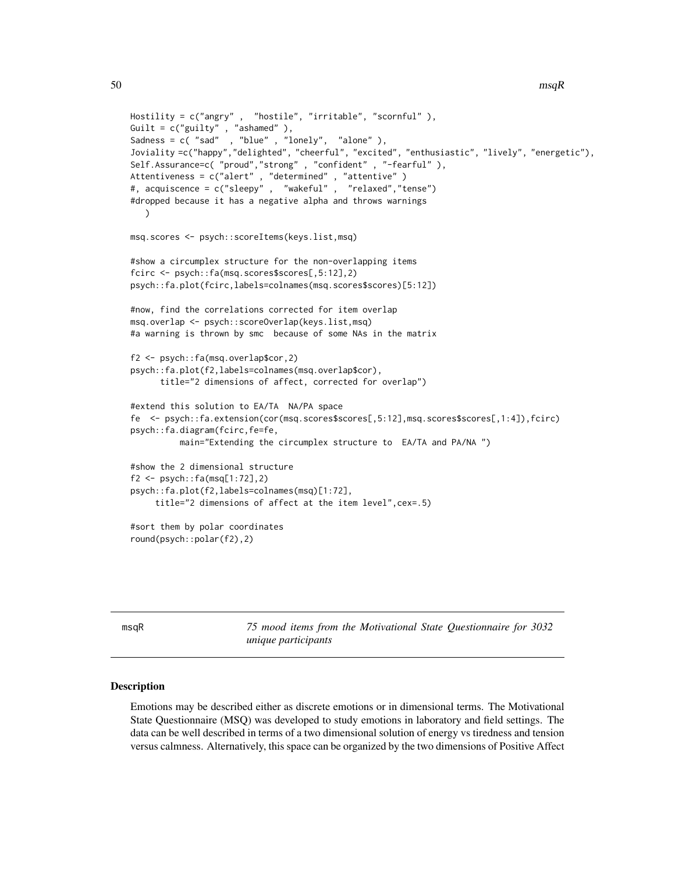```
Hostility = c("angry" , "hostile", "irritable", "scornful" ),
Guilt = c("guilty", "ashamed"),
Sadness = c( "sad" , "blue" , "lonely", "alone" ),
Joviality =c("happy","delighted", "cheerful", "excited", "enthusiastic", "lively", "energetic"),
Self.Assurance=c( "proud","strong" , "confident" , "-fearful" ),
Attentiveness = c("alert" , "determined" , "attentive" )
#, acquiscence = c("sleepy" , "wakeful" , "relaxed","tense")
#dropped because it has a negative alpha and throws warnings
   )
msq.scores <- psych::scoreItems(keys.list,msq)
#show a circumplex structure for the non-overlapping items
fcirc <- psych::fa(msq.scores$scores[,5:12],2)
psych::fa.plot(fcirc,labels=colnames(msq.scores$scores)[5:12])
#now, find the correlations corrected for item overlap
msq.overlap <- psych::scoreOverlap(keys.list,msq)
#a warning is thrown by smc because of some NAs in the matrix
f2 <- psych::fa(msq.overlap$cor,2)
psych::fa.plot(f2,labels=colnames(msq.overlap$cor),
      title="2 dimensions of affect, corrected for overlap")
#extend this solution to EA/TA NA/PA space
fe <- psych::fa.extension(cor(msq.scores$scores[,5:12],msq.scores$scores[,1:4]),fcirc)
psych::fa.diagram(fcirc,fe=fe,
          main="Extending the circumplex structure to EA/TA and PA/NA ")
#show the 2 dimensional structure
f2 \leq -psych::fa(msq[1:72], 2)psych::fa.plot(f2,labels=colnames(msq)[1:72],
     title="2 dimensions of affect at the item level",cex=.5)
#sort them by polar coordinates
round(psych::polar(f2),2)
```
<span id="page-49-0"></span>msqR *75 mood items from the Motivational State Questionnaire for 3032 unique participants*

## Description

Emotions may be described either as discrete emotions or in dimensional terms. The Motivational State Questionnaire (MSQ) was developed to study emotions in laboratory and field settings. The data can be well described in terms of a two dimensional solution of energy vs tiredness and tension versus calmness. Alternatively, this space can be organized by the two dimensions of Positive Affect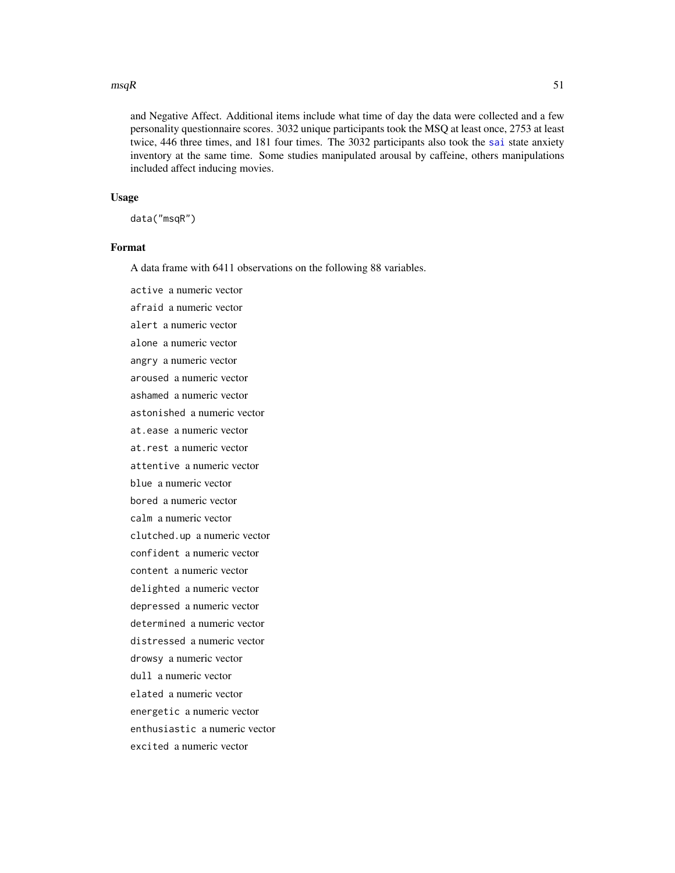#### $mgR$  51

and Negative Affect. Additional items include what time of day the data were collected and a few personality questionnaire scores. 3032 unique participants took the MSQ at least once, 2753 at least twice, 446 three times, and 181 four times. The 3032 participants also took the [sai](#page-68-0) state anxiety inventory at the same time. Some studies manipulated arousal by caffeine, others manipulations included affect inducing movies.

#### Usage

data("msqR")

## Format

A data frame with 6411 observations on the following 88 variables.

active a numeric vector afraid a numeric vector alert a numeric vector alone a numeric vector angry a numeric vector aroused a numeric vector ashamed a numeric vector astonished a numeric vector at.ease a numeric vector at.rest a numeric vector attentive a numeric vector blue a numeric vector bored a numeric vector calm a numeric vector clutched.up a numeric vector confident a numeric vector content a numeric vector delighted a numeric vector depressed a numeric vector determined a numeric vector distressed a numeric vector drowsy a numeric vector dull a numeric vector elated a numeric vector energetic a numeric vector enthusiastic a numeric vector excited a numeric vector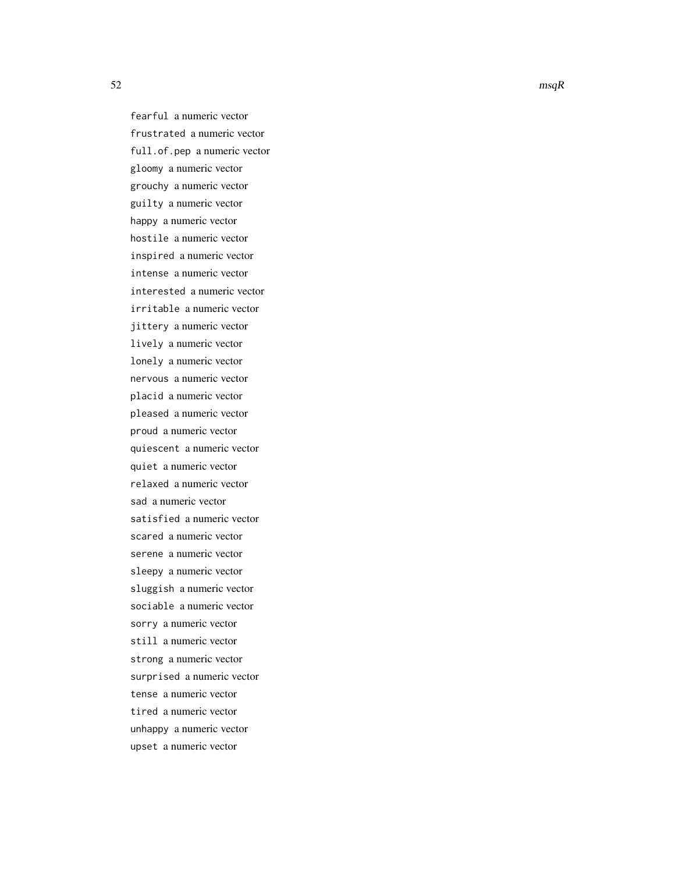fearful a numeric vector frustrated a numeric vector full.of.pep a numeric vector gloomy a numeric vector grouchy a numeric vector guilty a numeric vector happy a numeric vector hostile a numeric vector inspired a numeric vector intense a numeric vector interested a numeric vector irritable a numeric vector jittery a numeric vector lively a numeric vector lonely a numeric vector nervous a numeric vector placid a numeric vector pleased a numeric vector proud a numeric vector quiescent a numeric vector quiet a numeric vector relaxed a numeric vector sad a numeric vector satisfied a numeric vector scared a numeric vector serene a numeric vector sleepy a numeric vector sluggish a numeric vector sociable a numeric vector sorry a numeric vector still a numeric vector strong a numeric vector surprised a numeric vector tense a numeric vector tired a numeric vector unhappy a numeric vector upset a numeric vector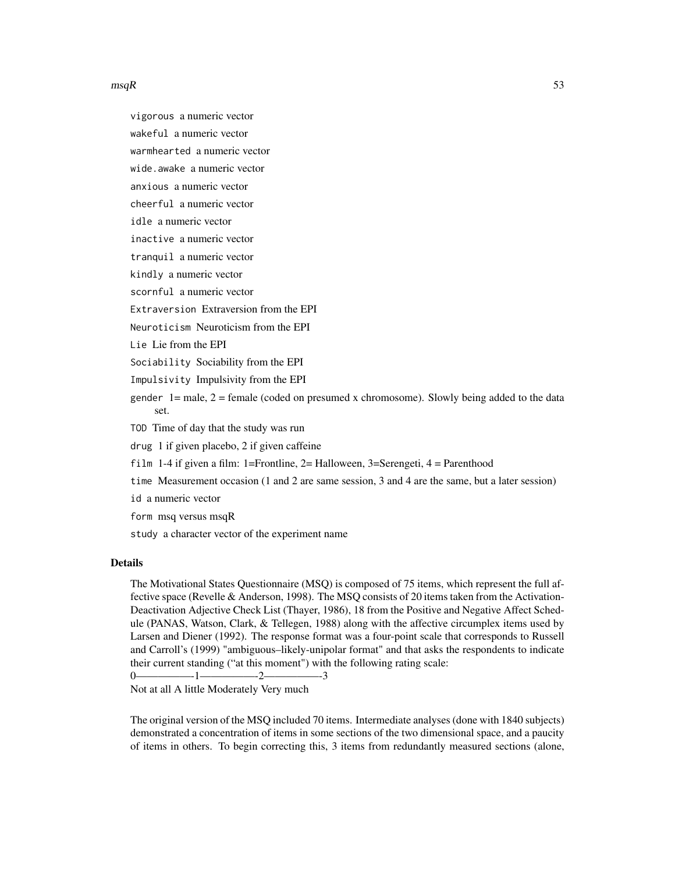$mgR$  53

vigorous a numeric vector

wakeful a numeric vector

warmhearted a numeric vector

wide.awake a numeric vector

anxious a numeric vector

cheerful a numeric vector

idle a numeric vector

inactive a numeric vector

tranquil a numeric vector

kindly a numeric vector

scornful a numeric vector

Extraversion Extraversion from the EPI

Neuroticism Neuroticism from the EPI

Lie Lie from the EPI

Sociability Sociability from the EPI

Impulsivity Impulsivity from the EPI

gender  $1=$  male,  $2=$  female (coded on presumed x chromosome). Slowly being added to the data set.

TOD Time of day that the study was run

drug 1 if given placebo, 2 if given caffeine

film 1-4 if given a film: 1=Frontline, 2= Halloween, 3=Serengeti, 4 = Parenthood

time Measurement occasion (1 and 2 are same session, 3 and 4 are the same, but a later session)

id a numeric vector

form msq versus msqR

study a character vector of the experiment name

## Details

The Motivational States Questionnaire (MSQ) is composed of 75 items, which represent the full affective space (Revelle & Anderson, 1998). The MSQ consists of 20 items taken from the Activation-Deactivation Adjective Check List (Thayer, 1986), 18 from the Positive and Negative Affect Schedule (PANAS, Watson, Clark, & Tellegen, 1988) along with the affective circumplex items used by Larsen and Diener (1992). The response format was a four-point scale that corresponds to Russell and Carroll's (1999) "ambiguous–likely-unipolar format" and that asks the respondents to indicate their current standing ("at this moment") with the following rating scale:

0—————-1—————-2—————-3 Not at all A little Moderately Very much

The original version of the MSQ included 70 items. Intermediate analyses (done with 1840 subjects) demonstrated a concentration of items in some sections of the two dimensional space, and a paucity of items in others. To begin correcting this, 3 items from redundantly measured sections (alone,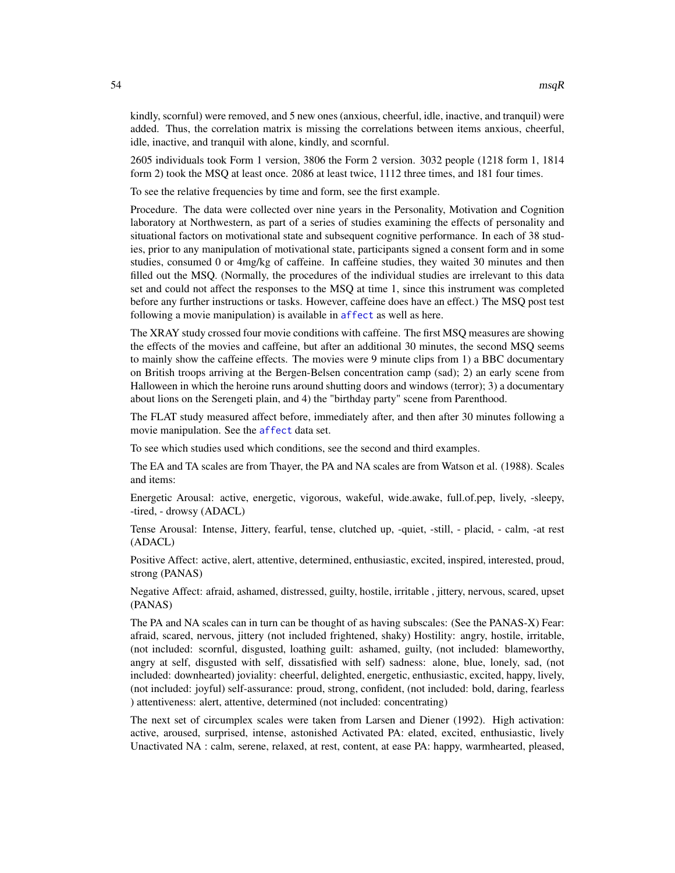kindly, scornful) were removed, and 5 new ones (anxious, cheerful, idle, inactive, and tranquil) were added. Thus, the correlation matrix is missing the correlations between items anxious, cheerful, idle, inactive, and tranquil with alone, kindly, and scornful.

2605 individuals took Form 1 version, 3806 the Form 2 version. 3032 people (1218 form 1, 1814 form 2) took the MSQ at least once. 2086 at least twice, 1112 three times, and 181 four times.

To see the relative frequencies by time and form, see the first example.

Procedure. The data were collected over nine years in the Personality, Motivation and Cognition laboratory at Northwestern, as part of a series of studies examining the effects of personality and situational factors on motivational state and subsequent cognitive performance. In each of 38 studies, prior to any manipulation of motivational state, participants signed a consent form and in some studies, consumed 0 or 4mg/kg of caffeine. In caffeine studies, they waited 30 minutes and then filled out the MSQ. (Normally, the procedures of the individual studies are irrelevant to this data set and could not affect the responses to the MSQ at time 1, since this instrument was completed before any further instructions or tasks. However, caffeine does have an effect.) The MSQ post test following a movie manipulation) is available in [affect](#page-3-0) as well as here.

The XRAY study crossed four movie conditions with caffeine. The first MSQ measures are showing the effects of the movies and caffeine, but after an additional 30 minutes, the second MSQ seems to mainly show the caffeine effects. The movies were 9 minute clips from 1) a BBC documentary on British troops arriving at the Bergen-Belsen concentration camp (sad); 2) an early scene from Halloween in which the heroine runs around shutting doors and windows (terror); 3) a documentary about lions on the Serengeti plain, and 4) the "birthday party" scene from Parenthood.

The FLAT study measured affect before, immediately after, and then after 30 minutes following a movie manipulation. See the [affect](#page-3-0) data set.

To see which studies used which conditions, see the second and third examples.

The EA and TA scales are from Thayer, the PA and NA scales are from Watson et al. (1988). Scales and items:

Energetic Arousal: active, energetic, vigorous, wakeful, wide.awake, full.of.pep, lively, -sleepy, -tired, - drowsy (ADACL)

Tense Arousal: Intense, Jittery, fearful, tense, clutched up, -quiet, -still, - placid, - calm, -at rest (ADACL)

Positive Affect: active, alert, attentive, determined, enthusiastic, excited, inspired, interested, proud, strong (PANAS)

Negative Affect: afraid, ashamed, distressed, guilty, hostile, irritable , jittery, nervous, scared, upset (PANAS)

The PA and NA scales can in turn can be thought of as having subscales: (See the PANAS-X) Fear: afraid, scared, nervous, jittery (not included frightened, shaky) Hostility: angry, hostile, irritable, (not included: scornful, disgusted, loathing guilt: ashamed, guilty, (not included: blameworthy, angry at self, disgusted with self, dissatisfied with self) sadness: alone, blue, lonely, sad, (not included: downhearted) joviality: cheerful, delighted, energetic, enthusiastic, excited, happy, lively, (not included: joyful) self-assurance: proud, strong, confident, (not included: bold, daring, fearless ) attentiveness: alert, attentive, determined (not included: concentrating)

The next set of circumplex scales were taken from Larsen and Diener (1992). High activation: active, aroused, surprised, intense, astonished Activated PA: elated, excited, enthusiastic, lively Unactivated NA : calm, serene, relaxed, at rest, content, at ease PA: happy, warmhearted, pleased,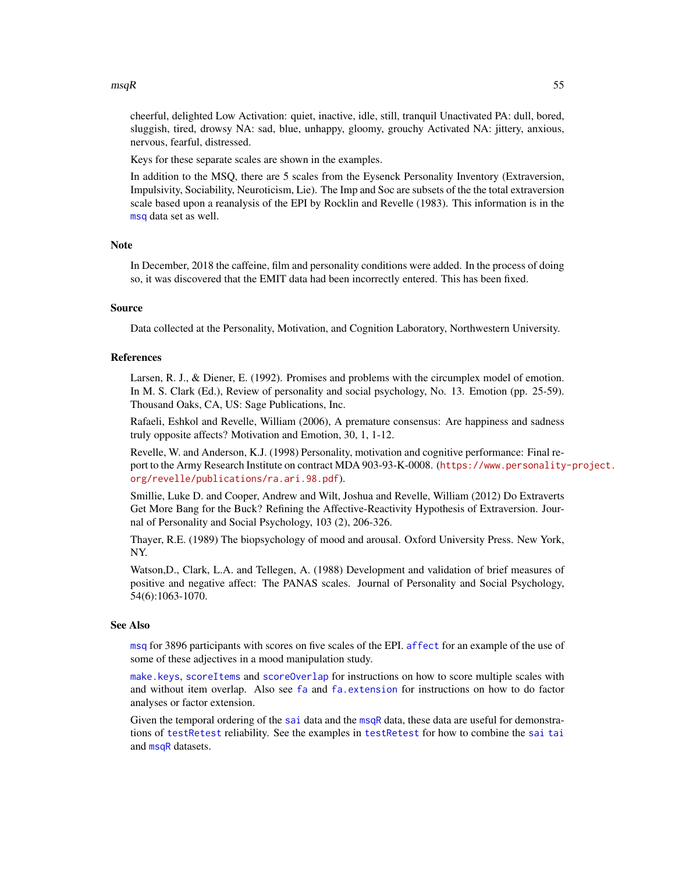$mgR$  55

cheerful, delighted Low Activation: quiet, inactive, idle, still, tranquil Unactivated PA: dull, bored, sluggish, tired, drowsy NA: sad, blue, unhappy, gloomy, grouchy Activated NA: jittery, anxious, nervous, fearful, distressed.

Keys for these separate scales are shown in the examples.

In addition to the MSQ, there are 5 scales from the Eysenck Personality Inventory (Extraversion, Impulsivity, Sociability, Neuroticism, Lie). The Imp and Soc are subsets of the the total extraversion scale based upon a reanalysis of the EPI by Rocklin and Revelle (1983). This information is in the [msq](#page-43-0) data set as well.

## **Note**

In December, 2018 the caffeine, film and personality conditions were added. In the process of doing so, it was discovered that the EMIT data had been incorrectly entered. This has been fixed.

### Source

Data collected at the Personality, Motivation, and Cognition Laboratory, Northwestern University.

## References

Larsen, R. J., & Diener, E. (1992). Promises and problems with the circumplex model of emotion. In M. S. Clark (Ed.), Review of personality and social psychology, No. 13. Emotion (pp. 25-59). Thousand Oaks, CA, US: Sage Publications, Inc.

Rafaeli, Eshkol and Revelle, William (2006), A premature consensus: Are happiness and sadness truly opposite affects? Motivation and Emotion, 30, 1, 1-12.

Revelle, W. and Anderson, K.J. (1998) Personality, motivation and cognitive performance: Final report to the Army Research Institute on contract MDA 903-93-K-0008. ([https://www.personality](https://www.personality-project.org/revelle/publications/ra.ari.98.pdf)-project. [org/revelle/publications/ra.ari.98.pdf](https://www.personality-project.org/revelle/publications/ra.ari.98.pdf)).

Smillie, Luke D. and Cooper, Andrew and Wilt, Joshua and Revelle, William (2012) Do Extraverts Get More Bang for the Buck? Refining the Affective-Reactivity Hypothesis of Extraversion. Journal of Personality and Social Psychology, 103 (2), 206-326.

Thayer, R.E. (1989) The biopsychology of mood and arousal. Oxford University Press. New York, NY.

Watson,D., Clark, L.A. and Tellegen, A. (1988) Development and validation of brief measures of positive and negative affect: The PANAS scales. Journal of Personality and Social Psychology, 54(6):1063-1070.

#### See Also

[msq](#page-43-0) for 3896 participants with scores on five scales of the EPI. [affect](#page-3-0) for an example of the use of some of these adjectives in a mood manipulation study.

[make.keys](#page-0-0), [scoreItems](#page-0-0) and [scoreOverlap](#page-0-0) for instructions on how to score multiple scales with and without item overlap. Also see [fa](#page-0-0) and [fa.extension](#page-0-0) for instructions on how to do factor analyses or factor extension.

Given the temporal ordering of the [sai](#page-68-0) data and the [msqR](#page-49-0) data, these data are useful for demonstrations of [testRetest](#page-0-0) reliability. See the examples in [testRetest](#page-0-0) for how to combine the [sai](#page-68-0) [tai](#page-68-1) and [msqR](#page-49-0) datasets.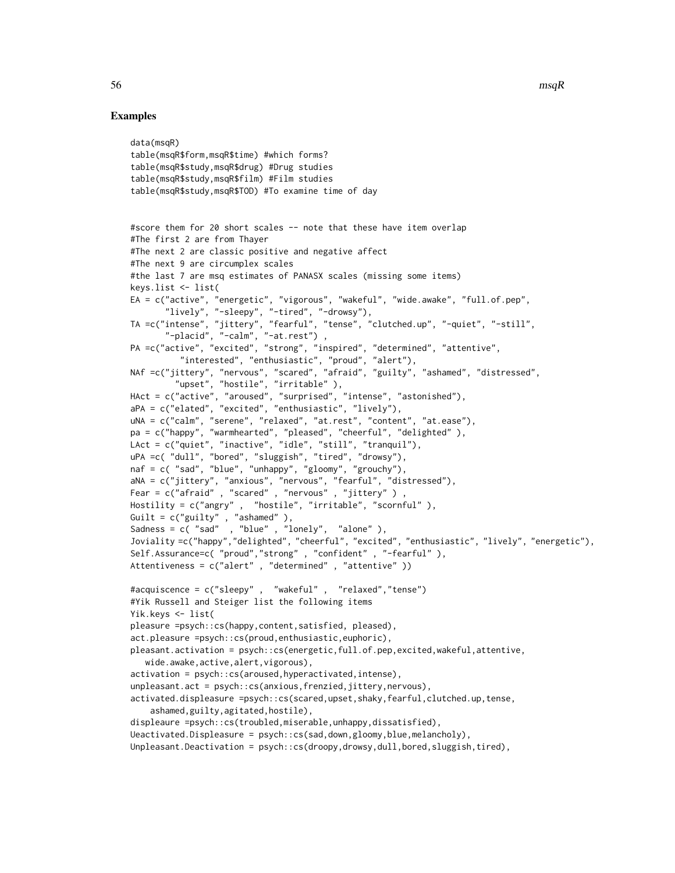## Examples

```
data(msqR)
table(msqR$form,msqR$time) #which forms?
table(msqR$study,msqR$drug) #Drug studies
table(msqR$study,msqR$film) #Film studies
table(msqR$study,msqR$TOD) #To examine time of day
#score them for 20 short scales -- note that these have item overlap
#The first 2 are from Thayer
#The next 2 are classic positive and negative affect
#The next 9 are circumplex scales
#the last 7 are msq estimates of PANASX scales (missing some items)
keys.list <- list(
EA = c("active", "energetic", "vigorous", "wakeful", "wide.awake", "full.of.pep",
       "lively", "-sleepy", "-tired", "-drowsy"),
TA =c("intense", "jittery", "fearful", "tense", "clutched.up", "-quiet", "-still",
       "-placid", "-calm", "-at.rest") ,
PA =c("active", "excited", "strong", "inspired", "determined", "attentive",
          "interested", "enthusiastic", "proud", "alert"),
NAf =c("jittery", "nervous", "scared", "afraid", "guilty", "ashamed", "distressed",
         "upset", "hostile", "irritable" ),
HAct = c("active", "aroused", "surprised", "intense", "astonished"),
aPA = c("elated", "excited", "enthusiastic", "lively"),
uNA = c("calm", "serene", "relaxed", "at.rest", "content", "at.ease"),
pa = c("happy", "warmhearted", "pleased", "cheerful", "delighted" ),
LAct = c("quiet", "inactive", "idle", "still", "tranquil"),
uPA =c( "dull", "bored", "sluggish", "tired", "drowsy"),
naf = c( "sad", "blue", "unhappy", "gloomy", "grouchy"),
aNA = c("jittery", "anxious", "nervous", "fearful", "distressed"),
Fear = c("afraid" , "scared" , "nervous" , "jittery" ) ,
Hostility = c("angry" , "hostile", "irritable", "scornful" ),
Guilt = c("guilty" , "ashamed" ),
Sadness = c( "sad" , "blue" , "lonely", "alone" ),
Joviality =c("happy","delighted", "cheerful", "excited", "enthusiastic", "lively", "energetic"),
Self.Assurance=c( "proud","strong" , "confident" , "-fearful" ),
Attentiveness = c("alert" , "determined" , "attentive" ))
#acquiscence = c("sleepy" , "wakeful" , "relaxed","tense")
#Yik Russell and Steiger list the following items
Yik.keys <- list(
pleasure =psych::cs(happy,content,satisfied, pleased),
act.pleasure =psych::cs(proud,enthusiastic,euphoric),
pleasant.activation = psych::cs(energetic,full.of.pep,excited,wakeful,attentive,
   wide.awake,active,alert,vigorous),
activation = psych::cs(aroused,hyperactivated,intense),
unpleasant.act = psych::cs(anxious,frenzied,jittery,nervous),
activated.displeasure =psych::cs(scared,upset,shaky,fearful,clutched.up,tense,
    ashamed,guilty,agitated,hostile),
displeaure =psych::cs(troubled,miserable,unhappy,dissatisfied),
Ueactivated.Displeasure = psych::cs(sad,down,gloomy,blue,melancholy),
Unpleasant.Deactivation = psych::cs(droopy, drowsy, dull, bored, sluggish, tired),
```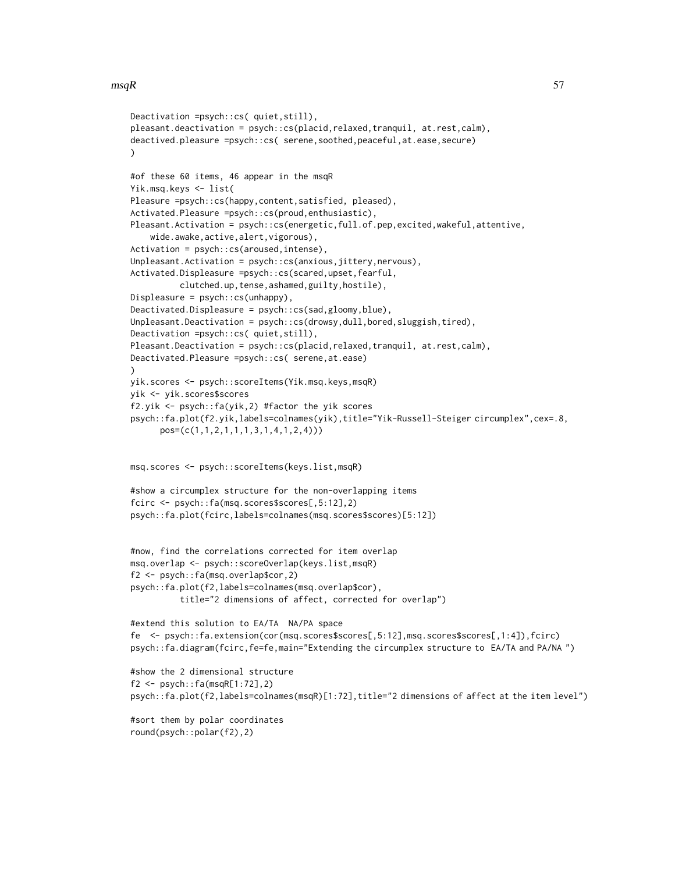#### $\text{magR}$  57

```
Deactivation =psych::cs( quiet,still),
pleasant.deactivation = psych::cs(placid,relaxed,tranquil, at.rest,calm),
deactived.pleasure =psych::cs( serene,soothed,peaceful,at.ease,secure)
\lambda#of these 60 items, 46 appear in the msqR
Yik.msq.keys <- list(
Pleasure =psych::cs(happy,content,satisfied, pleased),
Activated.Pleasure =psych::cs(proud,enthusiastic),
Pleasant.Activation = psych::cs(energetic,full.of.pep,excited,wakeful,attentive,
    wide.awake,active,alert,vigorous),
Activation = psych::cs(aroused,intense),
Unpleasant.Activation = psych::cs(anxious,jittery,nervous),
Activated.Displeasure =psych::cs(scared,upset,fearful,
          clutched.up,tense,ashamed,guilty,hostile),
Displeasure = psych::cs(unhappy),
Deactivated.Displeasure = psych::cs(sad,gloomy,blue),
Unpleasant.Deactivation = psych::cs(drowsy,dull,bored,sluggish,tired),
Deactivation =psych::cs( quiet,still),
Pleasant.Deactivation = psych::cs(placid,relaxed,tranquil, at.rest,calm),
Deactivated.Pleasure =psych::cs( serene,at.ease)
\lambdayik.scores <- psych::scoreItems(Yik.msq.keys,msqR)
yik <- yik.scores$scores
f2.yik <- psych::fa(yik,2) #factor the yik scores
psych::fa.plot(f2.yik,labels=colnames(yik),title="Yik-Russell-Steiger circumplex",cex=.8,
      pos=(c(1,1,2,1,1,1,3,1,4,1,2,4)))
msq.scores <- psych::scoreItems(keys.list,msqR)
#show a circumplex structure for the non-overlapping items
fcirc <- psych::fa(msq.scores$scores[,5:12],2)
psych::fa.plot(fcirc,labels=colnames(msq.scores$scores)[5:12])
#now, find the correlations corrected for item overlap
msq.overlap <- psych::scoreOverlap(keys.list,msqR)
f2 <- psych::fa(msq.overlap$cor,2)
psych::fa.plot(f2,labels=colnames(msq.overlap$cor),
          title="2 dimensions of affect, corrected for overlap")
#extend this solution to EA/TA NA/PA space
fe <- psych::fa.extension(cor(msq.scores$scores[,5:12],msq.scores$scores[,1:4]),fcirc)
psych::fa.diagram(fcirc,fe=fe,main="Extending the circumplex structure to EA/TA and PA/NA ")
#show the 2 dimensional structure
f2 \leq -psych::fa(msqR[1:72], 2)psych::fa.plot(f2,labels=colnames(msqR)[1:72],title="2 dimensions of affect at the item level")
#sort them by polar coordinates
round(psych::polar(f2),2)
```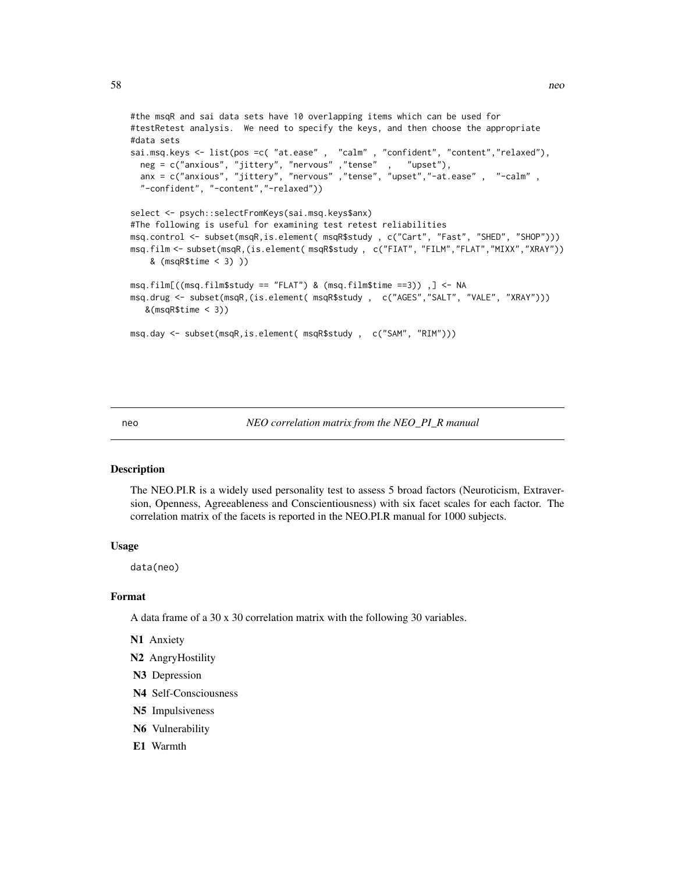```
58 neo
```

```
#the msqR and sai data sets have 10 overlapping items which can be used for
#testRetest analysis. We need to specify the keys, and then choose the appropriate
#data sets
sai.msq.keys <- list(pos =c( "at.ease" , "calm" , "confident", "content","relaxed"),
 neg = c("anxious", "jittery", "nervous" ,"tense" , "upset"),
 anx = c("anxious", "jittery", "nervous" ,"tense", "upset","-at.ease" , "-calm" ,
  "-confident", "-content","-relaxed"))
select <- psych::selectFromKeys(sai.msq.keys$anx)
#The following is useful for examining test retest reliabilities
msq.control <- subset(msqR,is.element( msqR$study , c("Cart", "Fast", "SHED", "SHOP")))
msq.film <- subset(msqR,(is.element( msqR$study , c("FIAT", "FILM","FLAT","MIXX","XRAY"))
    & (msqR$time < 3) ))
msq.film[((msq.film$study == "FLAT") & (msq.film$time ==3)) ,] <- NA
msq.drug <- subset(msqR,(is.element( msqR$study , c("AGES","SALT", "VALE", "XRAY")))
  &(msqR$time < 3))
msq.day <- subset(msqR,is.element( msqR$study , c("SAM", "RIM")))
```
<span id="page-57-0"></span>neo *NEO correlation matrix from the NEO\_PI\_R manual*

## Description

The NEO.PI.R is a widely used personality test to assess 5 broad factors (Neuroticism, Extraversion, Openness, Agreeableness and Conscientiousness) with six facet scales for each factor. The correlation matrix of the facets is reported in the NEO.PI.R manual for 1000 subjects.

### Usage

data(neo)

#### Format

A data frame of a 30 x 30 correlation matrix with the following 30 variables.

- N1 Anxiety
- N2 AngryHostility
- N3 Depression
- N4 Self-Consciousness
- N5 Impulsiveness
- N6 Vulnerability
- E1 Warmth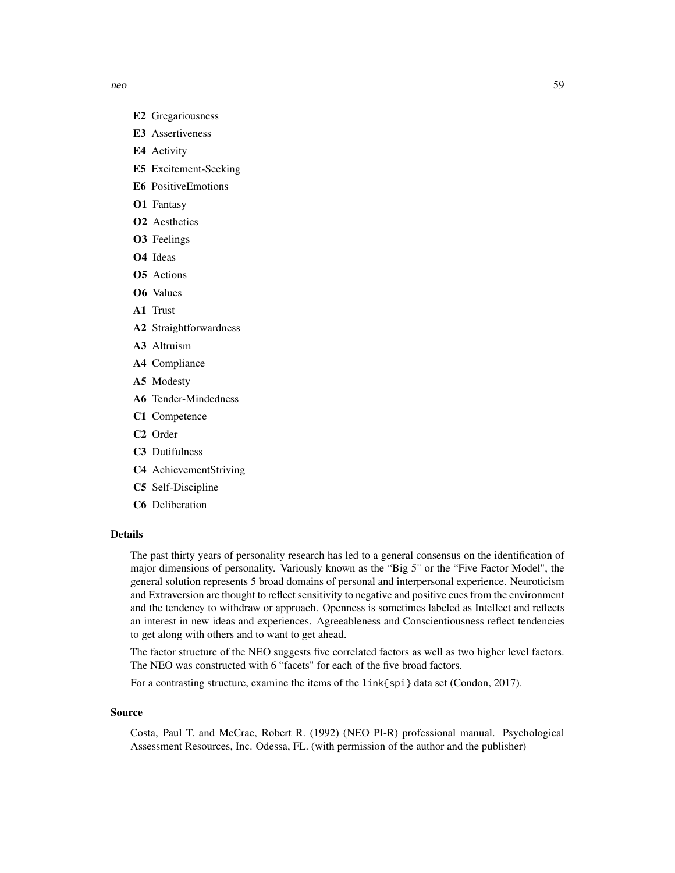neo 59

- E2 Gregariousness
- E3 Assertiveness
- E4 Activity
- E5 Excitement-Seeking
- E6 PositiveEmotions
- O1 Fantasy
- O2 Aesthetics
- O3 Feelings
- O4 Ideas
- O5 Actions
- O6 Values
- A1 Trust
- A2 Straightforwardness
- A3 Altruism
- A4 Compliance
- A5 Modesty
- A6 Tender-Mindedness
- C1 Competence
- C2 Order
- C3 Dutifulness
- C4 AchievementStriving
- C5 Self-Discipline
- C6 Deliberation

## Details

The past thirty years of personality research has led to a general consensus on the identification of major dimensions of personality. Variously known as the "Big 5" or the "Five Factor Model", the general solution represents 5 broad domains of personal and interpersonal experience. Neuroticism and Extraversion are thought to reflect sensitivity to negative and positive cues from the environment and the tendency to withdraw or approach. Openness is sometimes labeled as Intellect and reflects an interest in new ideas and experiences. Agreeableness and Conscientiousness reflect tendencies to get along with others and to want to get ahead.

The factor structure of the NEO suggests five correlated factors as well as two higher level factors. The NEO was constructed with 6 "facets" for each of the five broad factors.

For a contrasting structure, examine the items of the link{spi} data set (Condon, 2017).

#### Source

Costa, Paul T. and McCrae, Robert R. (1992) (NEO PI-R) professional manual. Psychological Assessment Resources, Inc. Odessa, FL. (with permission of the author and the publisher)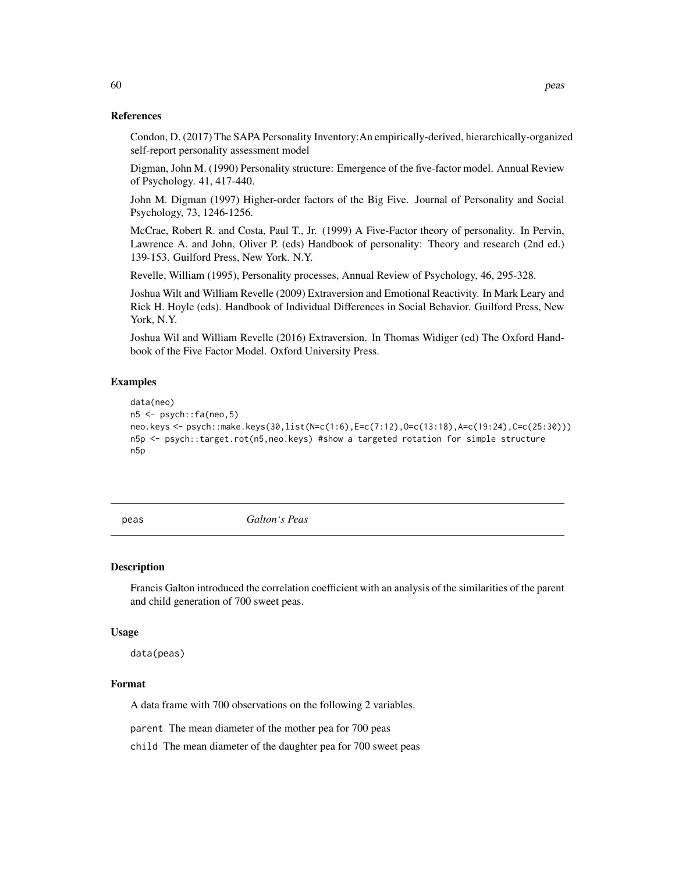#### References

Condon, D. (2017) The SAPA Personality Inventory:An empirically-derived, hierarchically-organized self-report personality assessment model

Digman, John M. (1990) Personality structure: Emergence of the five-factor model. Annual Review of Psychology. 41, 417-440.

John M. Digman (1997) Higher-order factors of the Big Five. Journal of Personality and Social Psychology, 73, 1246-1256.

McCrae, Robert R. and Costa, Paul T., Jr. (1999) A Five-Factor theory of personality. In Pervin, Lawrence A. and John, Oliver P. (eds) Handbook of personality: Theory and research (2nd ed.) 139-153. Guilford Press, New York. N.Y.

Revelle, William (1995), Personality processes, Annual Review of Psychology, 46, 295-328.

Joshua Wilt and William Revelle (2009) Extraversion and Emotional Reactivity. In Mark Leary and Rick H. Hoyle (eds). Handbook of Individual Differences in Social Behavior. Guilford Press, New York, N.Y.

Joshua Wil and William Revelle (2016) Extraversion. In Thomas Widiger (ed) The Oxford Handbook of the Five Factor Model. Oxford University Press.

## Examples

```
data(neo)
n5 <- psych::fa(neo,5)
neo.keys <- psych::make.keys(30,list(N=c(1:6),E=c(7:12),O=c(13:18),A=c(19:24),C=c(25:30)))
n5p <- psych::target.rot(n5,neo.keys) #show a targeted rotation for simple structure
n5p
```
<span id="page-59-0"></span>

peas *Galton's Peas*

#### **Description**

Francis Galton introduced the correlation coefficient with an analysis of the similarities of the parent and child generation of 700 sweet peas.

#### Usage

data(peas)

## Format

A data frame with 700 observations on the following 2 variables.

parent The mean diameter of the mother pea for 700 peas

child The mean diameter of the daughter pea for 700 sweet peas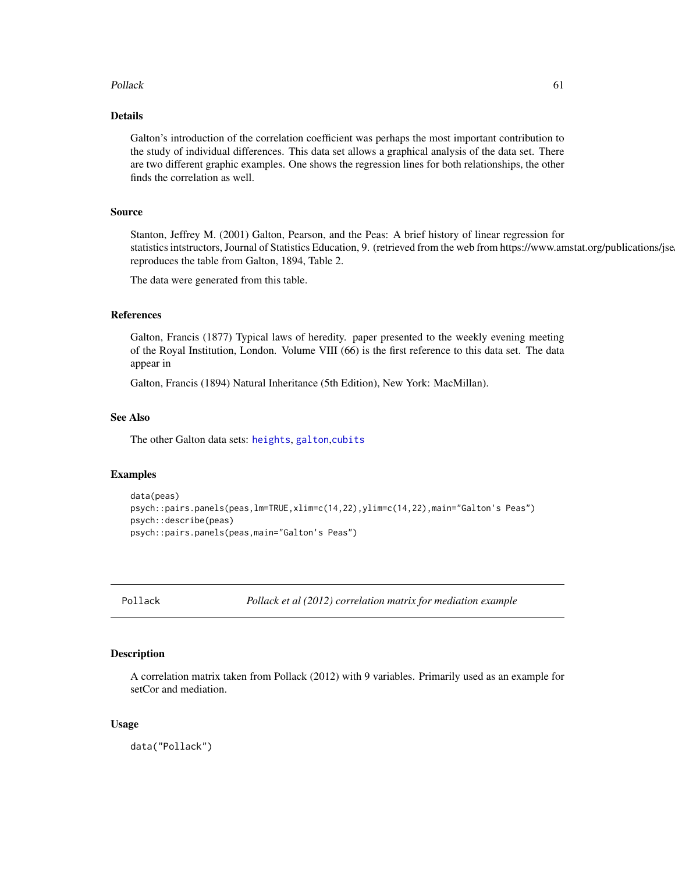## Pollack 61

## Details

Galton's introduction of the correlation coefficient was perhaps the most important contribution to the study of individual differences. This data set allows a graphical analysis of the data set. There are two different graphic examples. One shows the regression lines for both relationships, the other finds the correlation as well.

## Source

Stanton, Jeffrey M. (2001) Galton, Pearson, and the Peas: A brief history of linear regression for statistics intstructors, Journal of Statistics Education, 9. (retrieved from the web from https://www.amstat.org/publications/jse reproduces the table from Galton, 1894, Table 2.

The data were generated from this table.

# References

Galton, Francis (1877) Typical laws of heredity. paper presented to the weekly evening meeting of the Royal Institution, London. Volume VIII (66) is the first reference to this data set. The data appear in

Galton, Francis (1894) Natural Inheritance (5th Edition), New York: MacMillan).

## See Also

The other Galton data sets: [heights](#page-35-0), [galton](#page-30-0), [cubits](#page-18-0)

#### Examples

```
data(peas)
psych::pairs.panels(peas,lm=TRUE,xlim=c(14,22),ylim=c(14,22),main="Galton's Peas")
psych::describe(peas)
psych::pairs.panels(peas,main="Galton's Peas")
```
Pollack *Pollack et al (2012) correlation matrix for mediation example*

## Description

A correlation matrix taken from Pollack (2012) with 9 variables. Primarily used as an example for setCor and mediation.

#### Usage

data("Pollack")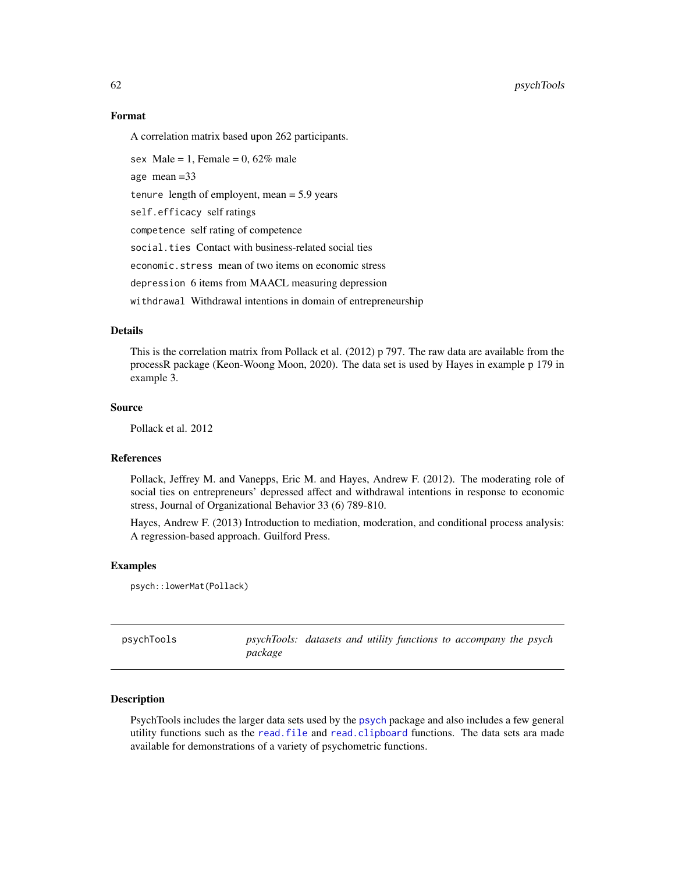#### Format

A correlation matrix based upon 262 participants.

sex Male = 1, Female =  $0,62\%$  male age mean =33 tenure length of employent, mean = 5.9 years self.efficacy self ratings competence self rating of competence social.ties Contact with business-related social ties economic.stress mean of two items on economic stress depression 6 items from MAACL measuring depression withdrawal Withdrawal intentions in domain of entrepreneurship

## **Details**

This is the correlation matrix from Pollack et al. (2012) p 797. The raw data are available from the processR package (Keon-Woong Moon, 2020). The data set is used by Hayes in example p 179 in example 3.

#### Source

Pollack et al. 2012

## References

Pollack, Jeffrey M. and Vanepps, Eric M. and Hayes, Andrew F. (2012). The moderating role of social ties on entrepreneurs' depressed affect and withdrawal intentions in response to economic stress, Journal of Organizational Behavior 33 (6) 789-810.

Hayes, Andrew F. (2013) Introduction to mediation, moderation, and conditional process analysis: A regression-based approach. Guilford Press.

## Examples

psych::lowerMat(Pollack)

| psychTools | psychTools: datasets and utility functions to accompany the psych |  |  |  |  |
|------------|-------------------------------------------------------------------|--|--|--|--|
|            | package                                                           |  |  |  |  |

# **Description**

PsychTools includes the larger data sets used by the [psych](#page-0-0) package and also includes a few general utility functions such as the [read.file](#page-63-0) and [read.clipboard](#page-63-1) functions. The data sets ara made available for demonstrations of a variety of psychometric functions.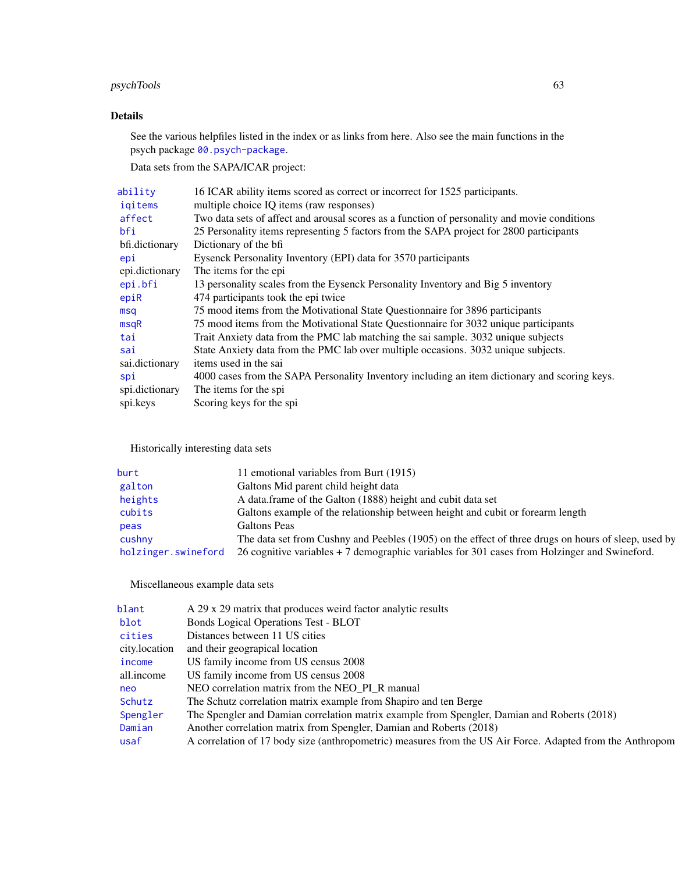# psychTools 63

# Details

See the various helpfiles listed in the index or as links from here. Also see the main functions in the psych package [00.psych-package](#page-0-0).

Data sets from the SAPA/ICAR project:

| ability        | 16 ICAR ability items scored as correct or incorrect for 1525 participants.                   |
|----------------|-----------------------------------------------------------------------------------------------|
| iqitems        | multiple choice IQ items (raw responses)                                                      |
| affect         | Two data sets of affect and arousal scores as a function of personality and movie conditions  |
| bfi            | 25 Personality items representing 5 factors from the SAPA project for 2800 participants       |
| bfi.dictionary | Dictionary of the bfi                                                                         |
| epi            | Eysenck Personality Inventory (EPI) data for 3570 participants                                |
| epi.dictionary | The items for the epi                                                                         |
| epi.bfi        | 13 personality scales from the Eysenck Personality Inventory and Big 5 inventory              |
| epiR           | 474 participants took the epi twice                                                           |
| msq            | 75 mood items from the Motivational State Questionnaire for 3896 participants                 |
| msqR           | 75 mood items from the Motivational State Questionnaire for 3032 unique participants          |
| tai            | Trait Anxiety data from the PMC lab matching the sai sample. 3032 unique subjects             |
| sai            | State Anxiety data from the PMC lab over multiple occasions. 3032 unique subjects.            |
| sai.dictionary | items used in the sai                                                                         |
| spi            | 4000 cases from the SAPA Personality Inventory including an item dictionary and scoring keys. |
| spi.dictionary | The items for the spi                                                                         |
| spi.keys       | Scoring keys for the spi                                                                      |
|                |                                                                                               |

Historically interesting data sets

| burt                | 11 emotional variables from Burt (1915)                                                             |
|---------------------|-----------------------------------------------------------------------------------------------------|
| galton              | Galtons Mid parent child height data                                                                |
| heights             | A data.frame of the Galton (1888) height and cubit data set                                         |
| cubits              | Galtons example of the relationship between height and cubit or forearm length                      |
| peas                | <b>Galtons Peas</b>                                                                                 |
| cushny              | The data set from Cushny and Peebles (1905) on the effect of three drugs on hours of sleep, used by |
| holzinger.swineford | 26 cognitive variables $+7$ demographic variables for 301 cases from Holzinger and Swineford.       |
|                     |                                                                                                     |

Miscellaneous example data sets

| blant         | A 29 x 29 matrix that produces weird factor analytic results                                              |
|---------------|-----------------------------------------------------------------------------------------------------------|
| blot          | Bonds Logical Operations Test - BLOT                                                                      |
| cities        | Distances between 11 US cities                                                                            |
| city.location | and their geograpical location                                                                            |
| income        | US family income from US census 2008                                                                      |
| all.income    | US family income from US census 2008                                                                      |
| neo           | NEO correlation matrix from the NEO_PI_R manual                                                           |
| Schutz        | The Schutz correlation matrix example from Shapiro and ten Berge                                          |
| Spengler      | The Spengler and Damian correlation matrix example from Spengler, Damian and Roberts (2018)               |
| Damian        | Another correlation matrix from Spengler, Damian and Roberts (2018)                                       |
| usaf          | A correlation of 17 body size (anthropometric) measures from the US Air Force. Adapted from the Anthropom |
|               |                                                                                                           |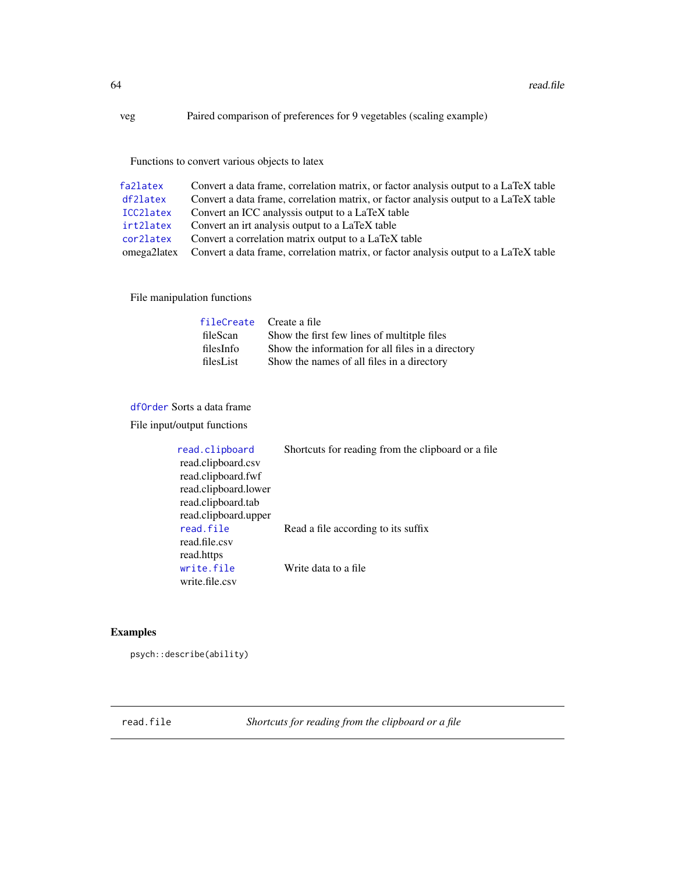# veg Paired comparison of preferences for 9 vegetables (scaling example)

Functions to convert various objects to latex

| fa2latex  | Convert a data frame, correlation matrix, or factor analysis output to a LaTeX table             |
|-----------|--------------------------------------------------------------------------------------------------|
| df2latex  | Convert a data frame, correlation matrix, or factor analysis output to a LaTeX table             |
| ICC2latex | Convert an ICC analyssis output to a LaTeX table                                                 |
| irt2latex | Convert an irt analysis output to a LaTeX table                                                  |
| cor2latex | Convert a correlation matrix output to a LaTeX table                                             |
|           | omega2latex Convert a data frame, correlation matrix, or factor analysis output to a LaTeX table |

File manipulation functions

|           | fileCreate Create a file                          |
|-----------|---------------------------------------------------|
| fileScan  | Show the first few lines of multitple files       |
| filesInfo | Show the information for all files in a directory |
| filesList | Show the names of all files in a directory        |

[dfOrder](#page-23-0) Sorts a data frame File input/output functions

| read.clipboard       | Shortcuts for reading from the clipboard or a file |
|----------------------|----------------------------------------------------|
| read.clipboard.csv   |                                                    |
| read.clipboard.fwf   |                                                    |
| read.clipboard.lower |                                                    |
| read.clipboard.tab   |                                                    |
| read.clipboard.upper |                                                    |
| read.file            | Read a file according to its suffix                |
| read.file.csv        |                                                    |
| read.https           |                                                    |
| write.file           | Write data to a file.                              |
| write.file.csv       |                                                    |

# Examples

psych::describe(ability)

<span id="page-63-1"></span>

<span id="page-63-0"></span>read.file *Shortcuts for reading from the clipboard or a file*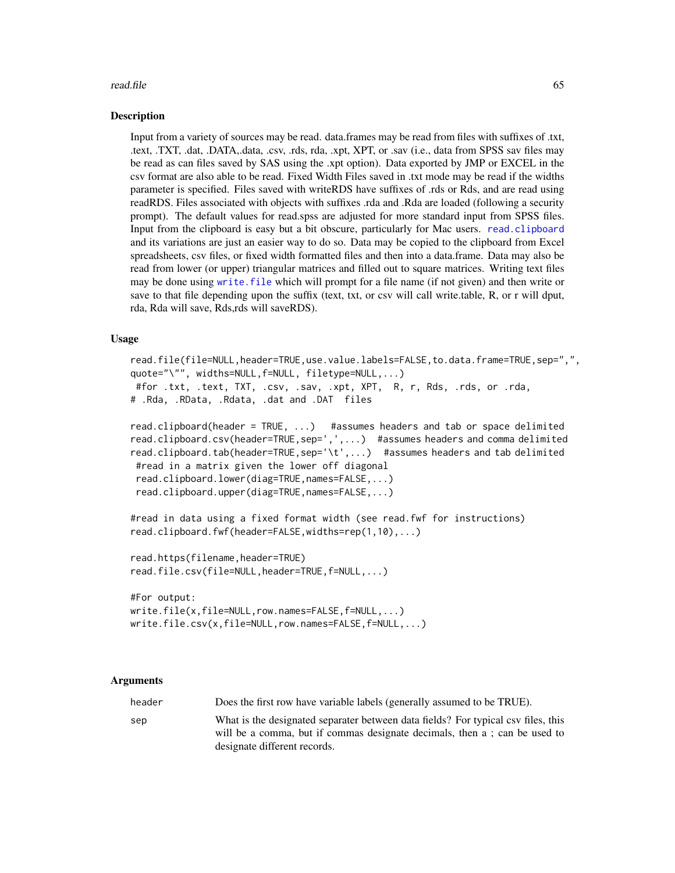#### read.file 65

## Description

Input from a variety of sources may be read. data.frames may be read from files with suffixes of .txt, .text, .TXT, .dat, .DATA,.data, .csv, .rds, rda, .xpt, XPT, or .sav (i.e., data from SPSS sav files may be read as can files saved by SAS using the .xpt option). Data exported by JMP or EXCEL in the csv format are also able to be read. Fixed Width Files saved in .txt mode may be read if the widths parameter is specified. Files saved with writeRDS have suffixes of .rds or Rds, and are read using readRDS. Files associated with objects with suffixes .rda and .Rda are loaded (following a security prompt). The default values for read.spss are adjusted for more standard input from SPSS files. Input from the clipboard is easy but a bit obscure, particularly for Mac users. [read.clipboard](#page-63-1) and its variations are just an easier way to do so. Data may be copied to the clipboard from Excel spreadsheets, csv files, or fixed width formatted files and then into a data.frame. Data may also be read from lower (or upper) triangular matrices and filled out to square matrices. Writing text files may be done using [write.file](#page-63-1) which will prompt for a file name (if not given) and then write or save to that file depending upon the suffix (text, txt, or csv will call write.table, R, or r will dput, rda, Rda will save, Rds,rds will saveRDS).

#### Usage

```
read.file(file=NULL,header=TRUE,use.value.labels=FALSE,to.data.frame=TRUE,sep=",",
quote="\"", widths=NULL,f=NULL, filetype=NULL,...)
#for .txt, .text, TXT, .csv, .sav, .xpt, XPT, R, r, Rds, .rds, or .rda,
# .Rda, .RData, .Rdata, .dat and .DAT files
```

```
read.clipboard(header = TRUE, ...) #assumes headers and tab or space delimited
read.clipboard.csv(header=TRUE,sep=',',...) #assumes headers and comma delimited
read.clipboard.tab(header=TRUE,sep='\t',...) #assumes headers and tab delimited
#read in a matrix given the lower off diagonal
read.clipboard.lower(diag=TRUE,names=FALSE,...)
read.clipboard.upper(diag=TRUE,names=FALSE,...)
```

```
#read in data using a fixed format width (see read.fwf for instructions)
read.clipboard.fwf(header=FALSE,widths=rep(1,10),...)
```

```
read.https(filename,header=TRUE)
read.file.csv(file=NULL,header=TRUE,f=NULL,...)
```

```
#For output:
write.file(x,file=NULL,row.names=FALSE,f=NULL,...)
write.file.csv(x,file=NULL,row.names=FALSE,f=NULL,...)
```
#### Arguments

header Does the first row have variable labels (generally assumed to be TRUE).

sep What is the designated separater between data fields? For typical csv files, this will be a comma, but if commas designate decimals, then a ; can be used to designate different records.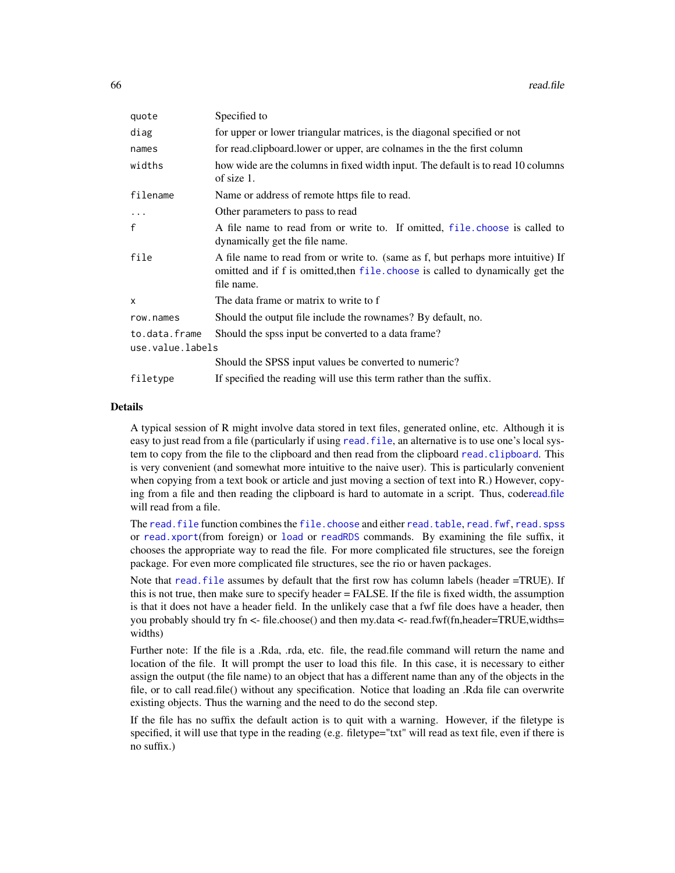| quote            | Specified to                                                                                                                                                                      |
|------------------|-----------------------------------------------------------------------------------------------------------------------------------------------------------------------------------|
| diag             | for upper or lower triangular matrices, is the diagonal specified or not                                                                                                          |
| names            | for read.clipboard.lower or upper, are colnames in the the first column                                                                                                           |
| widths           | how wide are the columns in fixed width input. The default is to read 10 columns<br>of size 1.                                                                                    |
| filename         | Name or address of remote https file to read.                                                                                                                                     |
| .                | Other parameters to pass to read                                                                                                                                                  |
| f                | A file name to read from or write to. If omitted, file choose is called to<br>dynamically get the file name.                                                                      |
| file             | A file name to read from or write to. (same as f, but perhaps more intuitive) If<br>omitted and if f is omitted, then file. choose is called to dynamically get the<br>file name. |
| X                | The data frame or matrix to write to f                                                                                                                                            |
| row.names        | Should the output file include the rownames? By default, no.                                                                                                                      |
| to.data.frame    | Should the spss input be converted to a data frame?                                                                                                                               |
| use.value.labels |                                                                                                                                                                                   |
|                  | Should the SPSS input values be converted to numeric?                                                                                                                             |
| filetype         | If specified the reading will use this term rather than the suffix.                                                                                                               |

#### Details

A typical session of R might involve data stored in text files, generated online, etc. Although it is easy to just read from a file (particularly if using [read.file](#page-63-0), an alternative is to use one's local system to copy from the file to the clipboard and then read from the clipboard [read.clipboard](#page-63-1). This is very convenient (and somewhat more intuitive to the naive user). This is particularly convenient when copying from a text book or article and just moving a section of text into R.) However, copying from a file and then reading the clipboard is hard to automate in a script. Thus, cod[eread.file](#page-63-0) will read from a file.

The read. file function combines the [file.choose](#page-0-0) and either [read.table](#page-0-0), [read.fwf](#page-0-0), [read.spss](#page-0-0) or [read.xport](#page-0-0)(from foreign) or [load](#page-0-0) or [readRDS](#page-0-0) commands. By examining the file suffix, it chooses the appropriate way to read the file. For more complicated file structures, see the foreign package. For even more complicated file structures, see the rio or haven packages.

Note that read. file assumes by default that the first row has column labels (header =TRUE). If this is not true, then make sure to specify header = FALSE. If the file is fixed width, the assumption is that it does not have a header field. In the unlikely case that a fwf file does have a header, then you probably should try fn <- file.choose() and then my.data <- read.fwf(fn,header=TRUE,widths= widths)

Further note: If the file is a .Rda, .rda, etc. file, the read.file command will return the name and location of the file. It will prompt the user to load this file. In this case, it is necessary to either assign the output (the file name) to an object that has a different name than any of the objects in the file, or to call read.file() without any specification. Notice that loading an .Rda file can overwrite existing objects. Thus the warning and the need to do the second step.

If the file has no suffix the default action is to quit with a warning. However, if the filetype is specified, it will use that type in the reading (e.g. filetype="txt" will read as text file, even if there is no suffix.)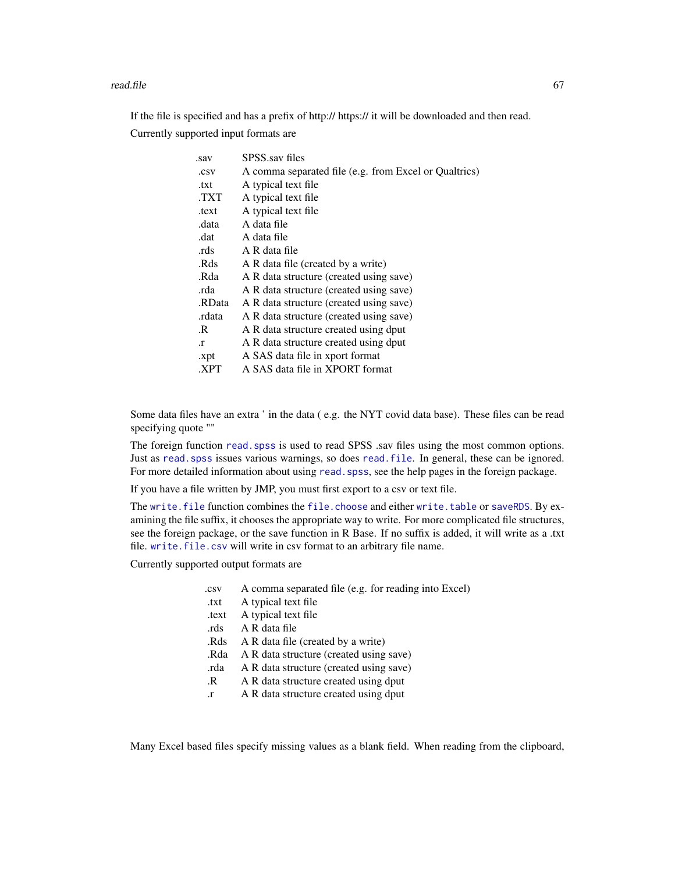#### read.file 67

If the file is specified and has a prefix of http:// https:// it will be downloaded and then read.

Currently supported input formats are

| .sav      | SPSS.sav files                                        |
|-----------|-------------------------------------------------------|
| .csv      | A comma separated file (e.g. from Excel or Qualtrics) |
| .txt      | A typical text file                                   |
| .TXT      | A typical text file                                   |
| .text     | A typical text file                                   |
| .data     | A data file                                           |
| .dat      | A data file                                           |
| .rds      | A R data file                                         |
| .Rds      | A R data file (created by a write)                    |
| .Rda      | A R data structure (created using save)               |
| .rda      | A R data structure (created using save)               |
| .RData    | A R data structure (created using save)               |
| rdata.    | A R data structure (created using save)               |
| .R        | A R data structure created using dput                 |
| $\cdot$ r | A R data structure created using dput                 |
| .xpt      | A SAS data file in xport format                       |
| .XPT      | A SAS data file in XPORT format                       |
|           |                                                       |

Some data files have an extra ' in the data ( e.g. the NYT covid data base). These files can be read specifying quote ""

The foreign function [read.spss](#page-0-0) is used to read SPSS .sav files using the most common options. Just as [read.spss](#page-0-0) issues various warnings, so does [read.file](#page-63-0). In general, these can be ignored. For more detailed information about using [read.spss](#page-0-0), see the help pages in the foreign package.

If you have a file written by JMP, you must first export to a csv or text file.

The [write.file](#page-63-1) function combines the [file.choose](#page-0-0) and either [write.table](#page-0-0) or [saveRDS](#page-0-0). By examining the file suffix, it chooses the appropriate way to write. For more complicated file structures, see the foreign package, or the save function in R Base. If no suffix is added, it will write as a .txt file. [write.file.csv](#page-63-1) will write in csv format to an arbitrary file name.

Currently supported output formats are

- .csv A comma separated file (e.g. for reading into Excel)
- .txt A typical text file
- .text A typical text file
- .rds A R data file
- .Rds A R data file (created by a write)
- .Rda A R data structure (created using save)
- .rda A R data structure (created using save)
- .R A R data structure created using dput
- .r A R data structure created using dput

Many Excel based files specify missing values as a blank field. When reading from the clipboard,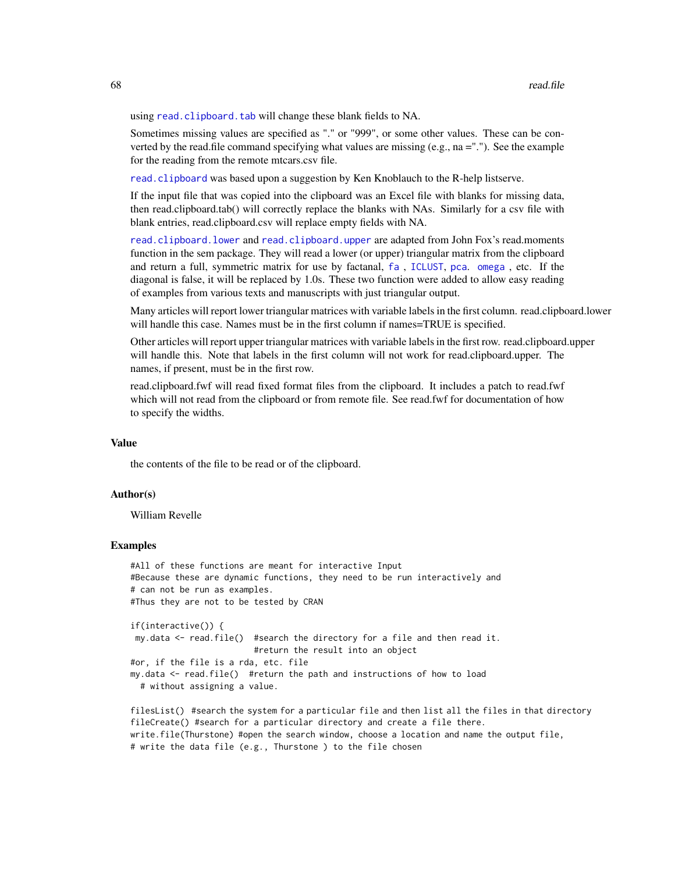using [read.clipboard.tab](#page-63-1) will change these blank fields to NA.

Sometimes missing values are specified as "." or "999", or some other values. These can be converted by the read.file command specifying what values are missing (e.g., na ="."). See the example for the reading from the remote mtcars.csv file.

[read.clipboard](#page-63-1) was based upon a suggestion by Ken Knoblauch to the R-help listserve.

If the input file that was copied into the clipboard was an Excel file with blanks for missing data, then read.clipboard.tab() will correctly replace the blanks with NAs. Similarly for a csv file with blank entries, read.clipboard.csv will replace empty fields with NA.

[read.clipboard.lower](#page-63-1) and [read.clipboard.upper](#page-63-1) are adapted from John Fox's read.moments function in the sem package. They will read a lower (or upper) triangular matrix from the clipboard and return a full, symmetric matrix for use by factanal, [fa](#page-0-0) , [ICLUST](#page-0-0), [pca](#page-0-0). [omega](#page-0-0) , etc. If the diagonal is false, it will be replaced by 1.0s. These two function were added to allow easy reading of examples from various texts and manuscripts with just triangular output.

Many articles will report lower triangular matrices with variable labels in the first column. read.clipboard.lower will handle this case. Names must be in the first column if names=TRUE is specified.

Other articles will report upper triangular matrices with variable labels in the first row. read.clipboard.upper will handle this. Note that labels in the first column will not work for read.clipboard.upper. The names, if present, must be in the first row.

read.clipboard.fwf will read fixed format files from the clipboard. It includes a patch to read.fwf which will not read from the clipboard or from remote file. See read.fwf for documentation of how to specify the widths.

## Value

the contents of the file to be read or of the clipboard.

#### Author(s)

William Revelle

#### Examples

#All of these functions are meant for interactive Input #Because these are dynamic functions, they need to be run interactively and # can not be run as examples. #Thus they are not to be tested by CRAN

```
if(interactive()) {
my.data <- read.file() #search the directory for a file and then read it.
                         #return the result into an object
#or, if the file is a rda, etc. file
my.data <- read.file() #return the path and instructions of how to load
 # without assigning a value.
```
filesList() #search the system for a particular file and then list all the files in that directory fileCreate() #search for a particular directory and create a file there. write.file(Thurstone) #open the search window, choose a location and name the output file, # write the data file (e.g., Thurstone ) to the file chosen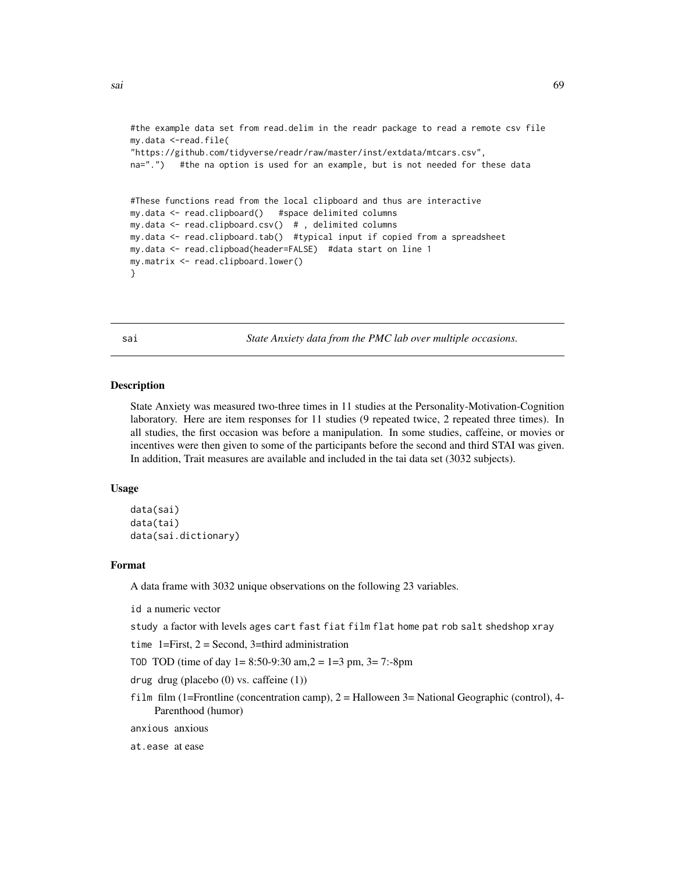```
#the example data set from read.delim in the readr package to read a remote csv file
my.data <-read.file(
"https://github.com/tidyverse/readr/raw/master/inst/extdata/mtcars.csv",
na=".") #the na option is used for an example, but is not needed for these data
#These functions read from the local clipboard and thus are interactive
my.data <- read.clipboard() #space delimited columns
my.data <- read.clipboard.csv() # , delimited columns
my.data <- read.clipboard.tab() #typical input if copied from a spreadsheet
my.data <- read.clipboad(header=FALSE) #data start on line 1
```
}

<span id="page-68-0"></span>sai *State Anxiety data from the PMC lab over multiple occasions.*

#### <span id="page-68-1"></span>Description

State Anxiety was measured two-three times in 11 studies at the Personality-Motivation-Cognition laboratory. Here are item responses for 11 studies (9 repeated twice, 2 repeated three times). In all studies, the first occasion was before a manipulation. In some studies, caffeine, or movies or incentives were then given to some of the participants before the second and third STAI was given. In addition, Trait measures are available and included in the tai data set (3032 subjects).

#### Usage

```
data(sai)
data(tai)
data(sai.dictionary)
```
my.matrix <- read.clipboard.lower()

## Format

A data frame with 3032 unique observations on the following 23 variables.

id a numeric vector

study a factor with levels ages cart fast fiat film flat home pat rob salt shedshop xray

time  $1 = First, 2 = Second, 3 = third$  administration

TOD TOD (time of day  $1 = 8:50 - 9:30$  am,  $2 = 1 = 3$  pm,  $3 = 7:-8$ pm

drug drug (placebo (0) vs. caffeine (1))

film film (1=Frontline (concentration camp), 2 = Halloween 3= National Geographic (control), 4- Parenthood (humor)

anxious anxious

at.ease at ease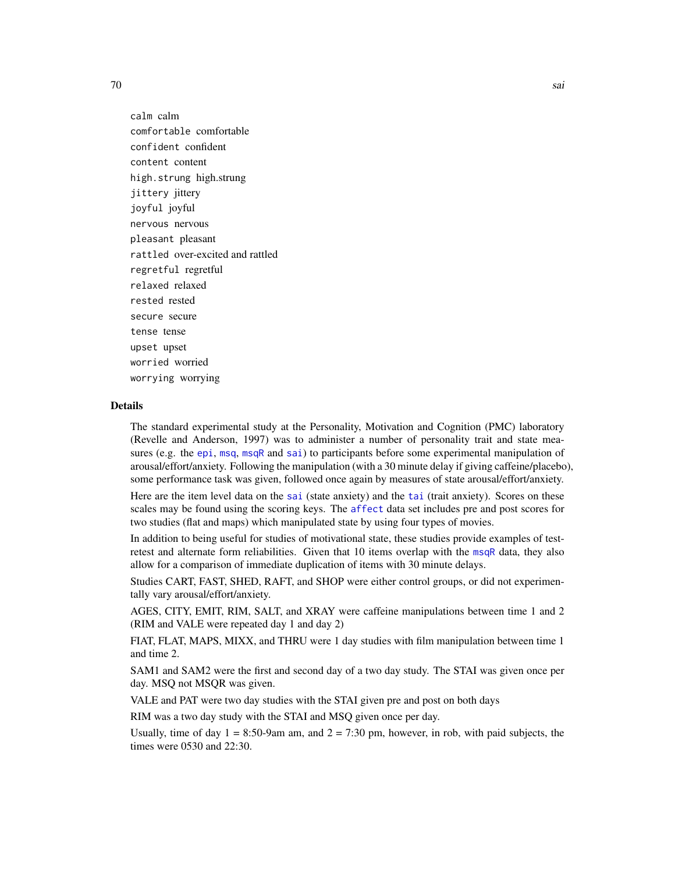calm calm comfortable comfortable confident confident content content high.strung high.strung jittery jittery joyful joyful nervous nervous pleasant pleasant rattled over-excited and rattled regretful regretful relaxed relaxed rested rested secure secure tense tense upset upset worried worried worrying worrying

# Details

The standard experimental study at the Personality, Motivation and Cognition (PMC) laboratory (Revelle and Anderson, 1997) was to administer a number of personality trait and state measures (e.g. the [epi](#page-26-0), [msq](#page-43-0), [msqR](#page-49-0) and [sai](#page-68-0)) to participants before some experimental manipulation of arousal/effort/anxiety. Following the manipulation (with a 30 minute delay if giving caffeine/placebo), some performance task was given, followed once again by measures of state arousal/effort/anxiety.

Here are the item level data on the [sai](#page-68-0) (state anxiety) and the [tai](#page-68-1) (trait anxiety). Scores on these scales may be found using the scoring keys. The [affect](#page-3-0) data set includes pre and post scores for two studies (flat and maps) which manipulated state by using four types of movies.

In addition to being useful for studies of motivational state, these studies provide examples of testretest and alternate form reliabilities. Given that 10 items overlap with the  $msqR$  data, they also allow for a comparison of immediate duplication of items with 30 minute delays.

Studies CART, FAST, SHED, RAFT, and SHOP were either control groups, or did not experimentally vary arousal/effort/anxiety.

AGES, CITY, EMIT, RIM, SALT, and XRAY were caffeine manipulations between time 1 and 2 (RIM and VALE were repeated day 1 and day 2)

FIAT, FLAT, MAPS, MIXX, and THRU were 1 day studies with film manipulation between time 1 and time 2.

SAM1 and SAM2 were the first and second day of a two day study. The STAI was given once per day. MSQ not MSQR was given.

VALE and PAT were two day studies with the STAI given pre and post on both days

RIM was a two day study with the STAI and MSQ given once per day.

Usually, time of day  $1 = 8:50$ -9am am, and  $2 = 7:30$  pm, however, in rob, with paid subjects, the times were 0530 and 22:30.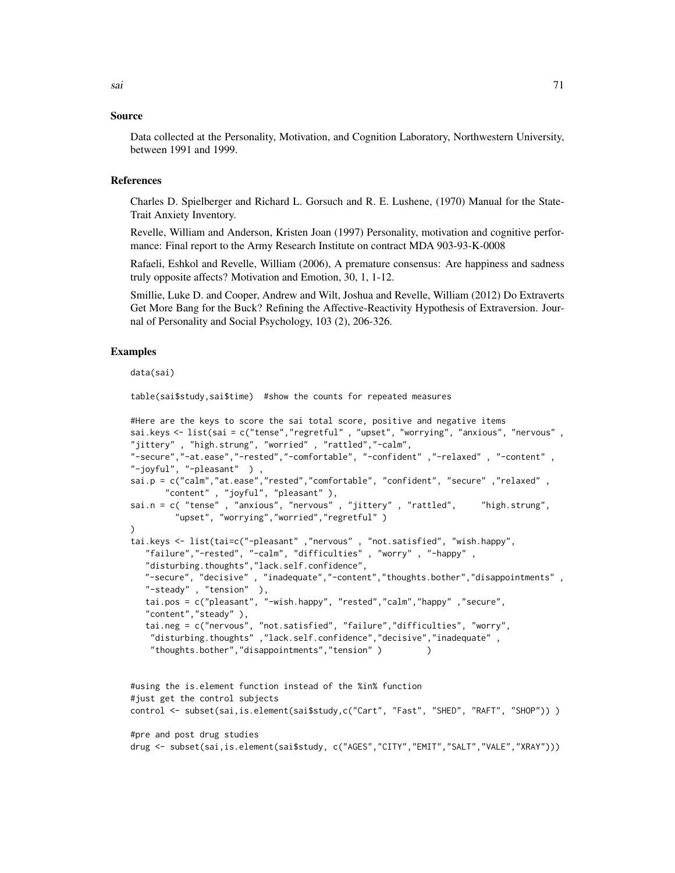Data collected at the Personality, Motivation, and Cognition Laboratory, Northwestern University, between 1991 and 1999.

#### References

Charles D. Spielberger and Richard L. Gorsuch and R. E. Lushene, (1970) Manual for the State-Trait Anxiety Inventory.

Revelle, William and Anderson, Kristen Joan (1997) Personality, motivation and cognitive performance: Final report to the Army Research Institute on contract MDA 903-93-K-0008

Rafaeli, Eshkol and Revelle, William (2006), A premature consensus: Are happiness and sadness truly opposite affects? Motivation and Emotion, 30, 1, 1-12.

Smillie, Luke D. and Cooper, Andrew and Wilt, Joshua and Revelle, William (2012) Do Extraverts Get More Bang for the Buck? Refining the Affective-Reactivity Hypothesis of Extraversion. Journal of Personality and Social Psychology, 103 (2), 206-326.

## Examples

data(sai)

table(sai\$study,sai\$time) #show the counts for repeated measures

```
#Here are the keys to score the sai total score, positive and negative items
sai.keys <- list(sai = c("tense","regretful" , "upset", "worrying", "anxious", "nervous" ,
"jittery" , "high.strung", "worried" , "rattled","-calm",
"-secure","-at.ease","-rested","-comfortable", "-confident" ,"-relaxed" , "-content" ,
"-joyful", "-pleasant" ) ,
sai.p = c("calm","at.ease","rested","comfortable", "confident", "secure" ,"relaxed" ,
       "content" , "joyful", "pleasant" ),
sai.n = c( "tense", "anxious", "nervous", "jittery", "rattled", "high.strung",
         "upset", "worrying","worried","regretful" )
)
tai.keys <- list(tai=c("-pleasant" ,"nervous" , "not.satisfied", "wish.happy",
   "failure","-rested", "-calm", "difficulties" , "worry" , "-happy" ,
   "disturbing.thoughts","lack.self.confidence",
   "-secure", "decisive" , "inadequate","-content","thoughts.bother","disappointments" ,
   "-steady" , "tension" ),
   tai.pos = c("pleasant", "-wish.happy", "rested","calm","happy" ,"secure",
   "content","steady" ),
   tai.neg = c("nervous", "not.satisfied", "failure","difficulties", "worry",
    "disturbing.thoughts" ,"lack.self.confidence","decisive","inadequate" ,
    "thoughts.bother","disappointments","tension" ) )
```

```
#using the is.element function instead of the %in% function
#just get the control subjects
control <- subset(sai,is.element(sai$study,c("Cart", "Fast", "SHED", "RAFT", "SHOP")) )
#pre and post drug studies
drug <- subset(sai,is.element(sai$study, c("AGES","CITY","EMIT","SALT","VALE","XRAY")))
```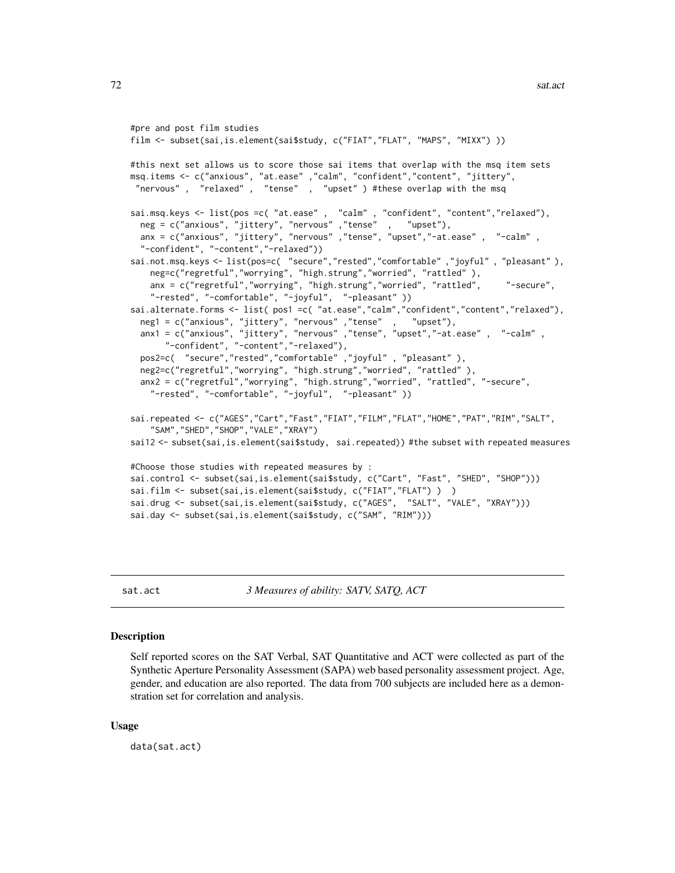```
#pre and post film studies
film <- subset(sai,is.element(sai$study, c("FIAT","FLAT", "MAPS", "MIXX") ))
#this next set allows us to score those sai items that overlap with the msq item sets
msq.items <- c("anxious", "at.ease" ,"calm", "confident","content", "jittery",
"nervous" , "relaxed" , "tense" , "upset" ) #these overlap with the msq
sai.msq.keys <- list(pos =c( "at.ease" , "calm" , "confident", "content","relaxed"),
 neg = c("anxious", "jittery", "nervous" ,"tense" , "upset"),
 anx = c("anxious", "jittery", "nervous" ,"tense", "upset","-at.ease" , "-calm" ,
  "-confident", "-content","-relaxed"))
sai.not.msq.keys <- list(pos=c( "secure","rested","comfortable" ,"joyful" , "pleasant" ),
    neg=c("regretful","worrying", "high.strung","worried", "rattled" ),
    anx = c("regretful","worrying", "high.strung","worried", "rattled", "-secure",
    "-rested", "-comfortable", "-joyful", "-pleasant" ))
sai.alternate.forms <- list( pos1 =c( "at.ease","calm","confident","content","relaxed"),
  neg1 = c("anxious", "jittery", "nervous" ,"tense" , "upset"),
  anx1 = c("anxious", "jittery", "nervous" ,"tense", "upset","-at.ease" , "-calm" ,
       "-confident", "-content","-relaxed"),
 pos2=c( "secure","rested","comfortable" ,"joyful" , "pleasant" ),
 neg2=c("regretful","worrying", "high.strung","worried", "rattled" ),
 anx2 = c("regretful","worrying", "high.strung","worried", "rattled", "-secure",
    "-rested", "-comfortable", "-joyful", "-pleasant" ))
sai.repeated <- c("AGES","Cart","Fast","FIAT","FILM","FLAT","HOME","PAT","RIM","SALT",
    "SAM","SHED","SHOP","VALE","XRAY")
sai12 <- subset(sai, is.element(sai$study, sai.repeated)) #the subset with repeated measures
#Choose those studies with repeated measures by :
sai.control <- subset(sai,is.element(sai$study, c("Cart", "Fast", "SHED", "SHOP")))
sai.film <- subset(sai,is.element(sai$study, c("FIAT","FLAT") ) )
sai.drug <- subset(sai,is.element(sai$study, c("AGES", "SALT", "VALE", "XRAY")))
sai.day <- subset(sai,is.element(sai$study, c("SAM", "RIM")))
```
sat.act *3 Measures of ability: SATV, SATQ, ACT*

#### Description

Self reported scores on the SAT Verbal, SAT Quantitative and ACT were collected as part of the Synthetic Aperture Personality Assessment (SAPA) web based personality assessment project. Age, gender, and education are also reported. The data from 700 subjects are included here as a demonstration set for correlation and analysis.

#### Usage

data(sat.act)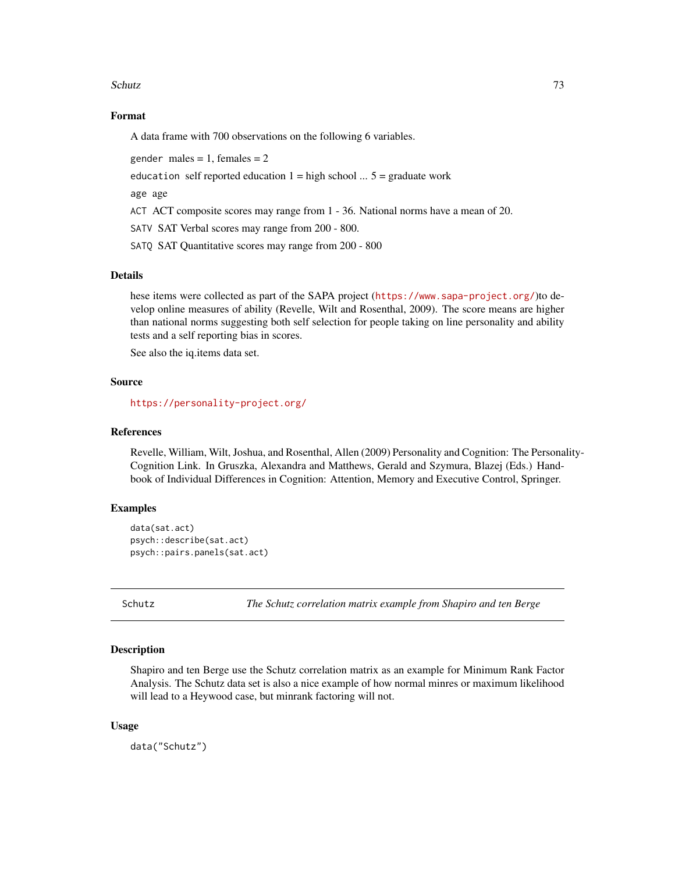#### <span id="page-72-0"></span>Schutz 2008 and 2008 and 2008 and 2008 and 2008 and 2008 and 2008 and 2008 and 2008 and 2008 and 2008 and 2008  $\sigma$

### Format

A data frame with 700 observations on the following 6 variables.

gender males =  $1$ , females =  $2$ 

education self reported education  $1 =$  high school ...  $5 =$  graduate work

age age

ACT ACT composite scores may range from 1 - 36. National norms have a mean of 20.

SATV SAT Verbal scores may range from 200 - 800.

SATQ SAT Quantitative scores may range from 200 - 800

#### Details

hese items were collected as part of the SAPA project (<https://www.sapa-project.org/>)to develop online measures of ability (Revelle, Wilt and Rosenthal, 2009). The score means are higher than national norms suggesting both self selection for people taking on line personality and ability tests and a self reporting bias in scores.

See also the iq.items data set.

# Source

<https://personality-project.org/>

# References

Revelle, William, Wilt, Joshua, and Rosenthal, Allen (2009) Personality and Cognition: The Personality-Cognition Link. In Gruszka, Alexandra and Matthews, Gerald and Szymura, Blazej (Eds.) Handbook of Individual Differences in Cognition: Attention, Memory and Executive Control, Springer.

# Examples

```
data(sat.act)
psych::describe(sat.act)
psych::pairs.panels(sat.act)
```
Schutz *The Schutz correlation matrix example from Shapiro and ten Berge*

## Description

Shapiro and ten Berge use the Schutz correlation matrix as an example for Minimum Rank Factor Analysis. The Schutz data set is also a nice example of how normal minres or maximum likelihood will lead to a Heywood case, but minrank factoring will not.

#### Usage

data("Schutz")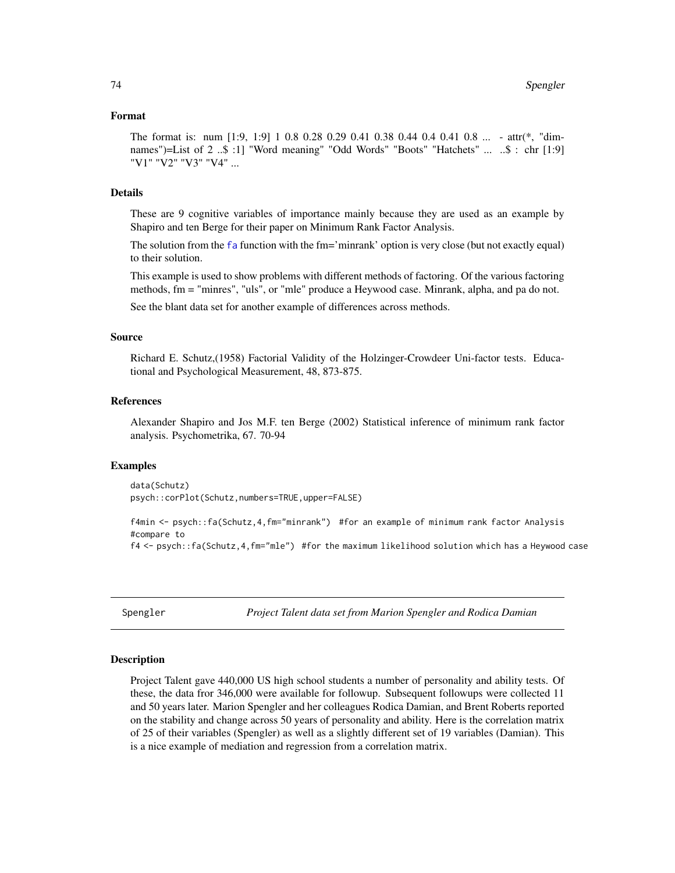#### <span id="page-73-0"></span>Format

The format is: num [1:9, 1:9] 1 0.8 0.28 0.29 0.41 0.38 0.44 0.4 0.41 0.8 ... - attr(\*, "dimnames")=List of 2 ..\$ :1] "Word meaning" "Odd Words" "Boots" "Hatchets" ... ..\$ : chr [1:9] "V1" "V2" "V3" "V4" ...

# Details

These are 9 cognitive variables of importance mainly because they are used as an example by Shapiro and ten Berge for their paper on Minimum Rank Factor Analysis.

The solution from the [fa](#page-0-0) function with the fm='minrank' option is very close (but not exactly equal) to their solution.

This example is used to show problems with different methods of factoring. Of the various factoring methods, fm = "minres", "uls", or "mle" produce a Heywood case. Minrank, alpha, and pa do not.

See the blant data set for another example of differences across methods.

#### Source

Richard E. Schutz,(1958) Factorial Validity of the Holzinger-Crowdeer Uni-factor tests. Educational and Psychological Measurement, 48, 873-875.

#### References

Alexander Shapiro and Jos M.F. ten Berge (2002) Statistical inference of minimum rank factor analysis. Psychometrika, 67. 70-94

# Examples

data(Schutz) psych::corPlot(Schutz,numbers=TRUE,upper=FALSE)

```
f4min <- psych::fa(Schutz,4,fm="minrank") #for an example of minimum rank factor Analysis
#compare to
f4 <- psych::fa(Schutz,4,fm="mle") #for the maximum likelihood solution which has a Heywood case
```
Spengler *Project Talent data set from Marion Spengler and Rodica Damian*

#### Description

Project Talent gave 440,000 US high school students a number of personality and ability tests. Of these, the data fror 346,000 were available for followup. Subsequent followups were collected 11 and 50 years later. Marion Spengler and her colleagues Rodica Damian, and Brent Roberts reported on the stability and change across 50 years of personality and ability. Here is the correlation matrix of 25 of their variables (Spengler) as well as a slightly different set of 19 variables (Damian). This is a nice example of mediation and regression from a correlation matrix.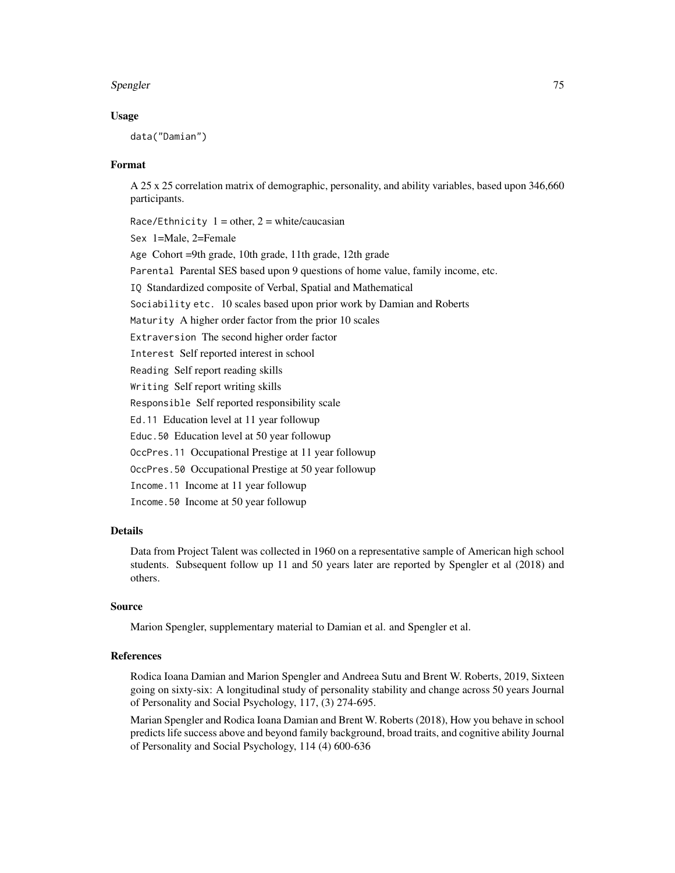#### Spengler 75

#### Usage

data("Damian")

#### Format

A 25 x 25 correlation matrix of demographic, personality, and ability variables, based upon 346,660 participants.

Race/Ethnicity  $1 =$  other,  $2 =$  white/caucasian Sex 1=Male, 2=Female Age Cohort =9th grade, 10th grade, 11th grade, 12th grade Parental Parental SES based upon 9 questions of home value, family income, etc. IQ Standardized composite of Verbal, Spatial and Mathematical Sociability etc. 10 scales based upon prior work by Damian and Roberts Maturity A higher order factor from the prior 10 scales Extraversion The second higher order factor Interest Self reported interest in school Reading Self report reading skills Writing Self report writing skills Responsible Self reported responsibility scale Ed.11 Education level at 11 year followup Educ.50 Education level at 50 year followup OccPres.11 Occupational Prestige at 11 year followup OccPres.50 Occupational Prestige at 50 year followup Income.11 Income at 11 year followup Income.50 Income at 50 year followup

# Details

Data from Project Talent was collected in 1960 on a representative sample of American high school students. Subsequent follow up 11 and 50 years later are reported by Spengler et al (2018) and others.

# Source

Marion Spengler, supplementary material to Damian et al. and Spengler et al.

# References

Rodica Ioana Damian and Marion Spengler and Andreea Sutu and Brent W. Roberts, 2019, Sixteen going on sixty-six: A longitudinal study of personality stability and change across 50 years Journal of Personality and Social Psychology, 117, (3) 274-695.

Marian Spengler and Rodica Ioana Damian and Brent W. Roberts (2018), How you behave in school predicts life success above and beyond family background, broad traits, and cognitive ability Journal of Personality and Social Psychology, 114 (4) 600-636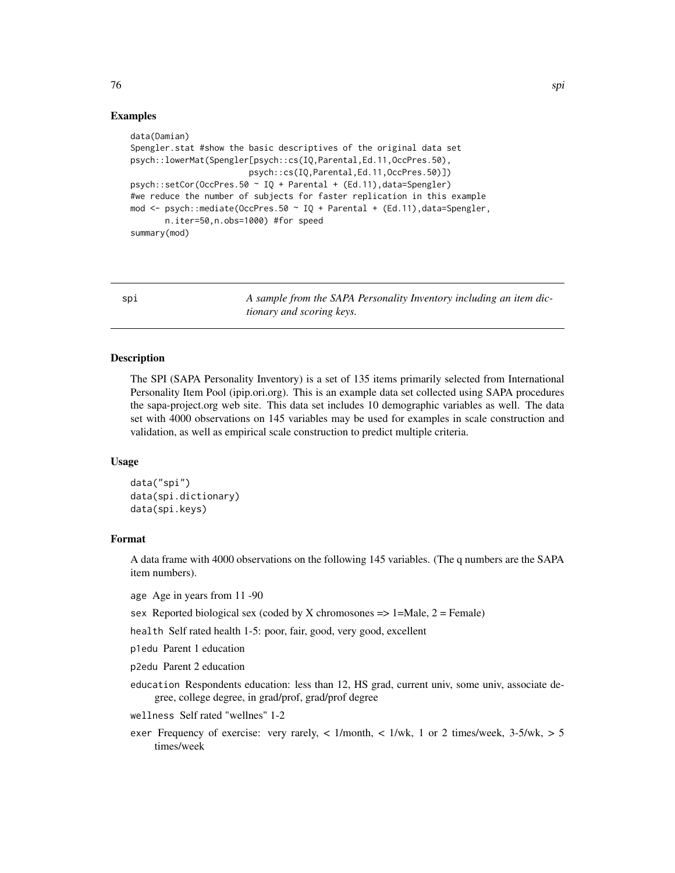#### Examples

```
data(Damian)
Spengler.stat #show the basic descriptives of the original data set
psych::lowerMat(Spengler[psych::cs(IQ,Parental,Ed.11,OccPres.50),
                        psych::cs(IQ,Parental,Ed.11,OccPres.50)])
psych::setCor(OccPres.50 ~ IQ + Parental + (Ed.11),data=Spengler)
#we reduce the number of subjects for faster replication in this example
mod <- psych::mediate(OccPres.50 ~ IQ + Parental + (Ed.11),data=Spengler,
      n.iter=50,n.obs=1000) #for speed
summary(mod)
```
spi *A sample from the SAPA Personality Inventory including an item dictionary and scoring keys.*

# **Description**

The SPI (SAPA Personality Inventory) is a set of 135 items primarily selected from International Personality Item Pool (ipip.ori.org). This is an example data set collected using SAPA procedures the sapa-project.org web site. This data set includes 10 demographic variables as well. The data set with 4000 observations on 145 variables may be used for examples in scale construction and validation, as well as empirical scale construction to predict multiple criteria.

#### Usage

```
data("spi")
data(spi.dictionary)
data(spi.keys)
```
### Format

A data frame with 4000 observations on the following 145 variables. (The q numbers are the SAPA item numbers).

- age Age in years from 11 -90
- sex Reported biological sex (coded by X chromosones  $\Rightarrow$  1=Male, 2 = Female)

health Self rated health 1-5: poor, fair, good, very good, excellent

- p1edu Parent 1 education
- p2edu Parent 2 education
- education Respondents education: less than 12, HS grad, current univ, some univ, associate degree, college degree, in grad/prof, grad/prof degree
- wellness Self rated "wellnes" 1-2
- exer Frequency of exercise: very rarely,  $\lt 1$ /month,  $\lt 1$ /wk, 1 or 2 times/week, 3-5/wk,  $> 5$ times/week

<span id="page-75-0"></span>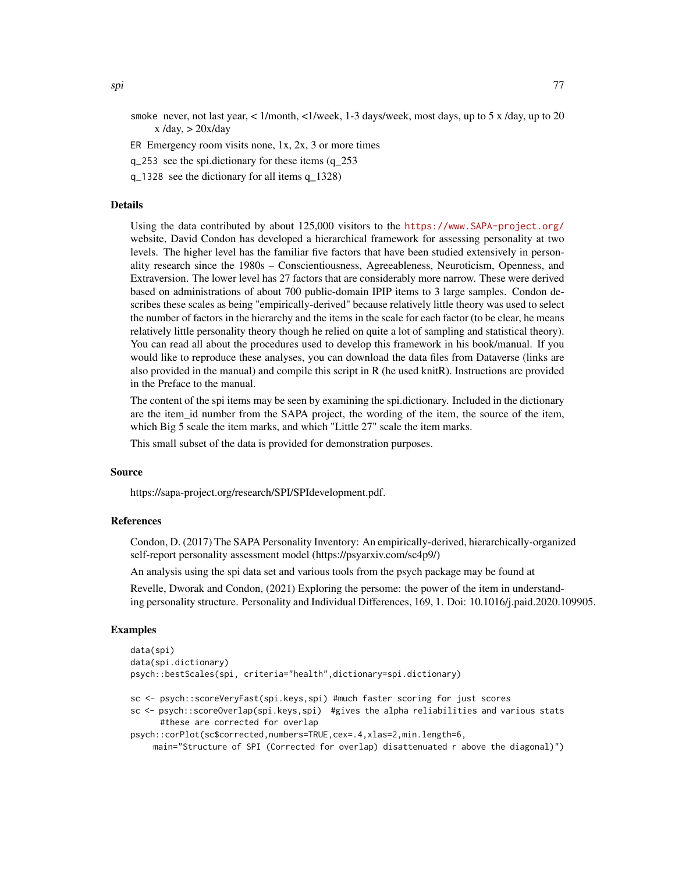smoke never, not last year,  $\lt 1$ /month,  $\lt 1$ /week, 1-3 days/week, most days, up to 5 x /day, up to 20  $x /day$ ,  $> 20x /day$ 

ER Emergency room visits none, 1x, 2x, 3 or more times

q\_253 see the spi.dictionary for these items (q\_253

q\_1328 see the dictionary for all items q\_1328)

# Details

Using the data contributed by about 125,000 visitors to the <https://www.SAPA-project.org/> website, David Condon has developed a hierarchical framework for assessing personality at two levels. The higher level has the familiar five factors that have been studied extensively in personality research since the 1980s – Conscientiousness, Agreeableness, Neuroticism, Openness, and Extraversion. The lower level has 27 factors that are considerably more narrow. These were derived based on administrations of about 700 public-domain IPIP items to 3 large samples. Condon describes these scales as being "empirically-derived" because relatively little theory was used to select the number of factors in the hierarchy and the items in the scale for each factor (to be clear, he means relatively little personality theory though he relied on quite a lot of sampling and statistical theory). You can read all about the procedures used to develop this framework in his book/manual. If you would like to reproduce these analyses, you can download the data files from Dataverse (links are also provided in the manual) and compile this script in R (he used knitR). Instructions are provided in the Preface to the manual.

The content of the spi items may be seen by examining the spi.dictionary. Included in the dictionary are the item id number from the SAPA project, the wording of the item, the source of the item, which Big 5 scale the item marks, and which "Little 27" scale the item marks.

This small subset of the data is provided for demonstration purposes.

# Source

https://sapa-project.org/research/SPI/SPIdevelopment.pdf.

# References

Condon, D. (2017) The SAPA Personality Inventory: An empirically-derived, hierarchically-organized self-report personality assessment model (https://psyarxiv.com/sc4p9/)

An analysis using the spi data set and various tools from the psych package may be found at

Revelle, Dworak and Condon, (2021) Exploring the persome: the power of the item in understanding personality structure. Personality and Individual Differences, 169, 1. Doi: 10.1016/j.paid.2020.109905.

#### Examples

```
data(spi)
data(spi.dictionary)
psych::bestScales(spi, criteria="health",dictionary=spi.dictionary)
sc <- psych::scoreVeryFast(spi.keys,spi) #much faster scoring for just scores
sc <- psych::scoreOverlap(spi.keys,spi) #gives the alpha reliabilities and various stats
      #these are corrected for overlap
psych::corPlot(sc$corrected,numbers=TRUE,cex=.4,xlas=2,min.length=6,
```
main="Structure of SPI (Corrected for overlap) disattenuated r above the diagonal)")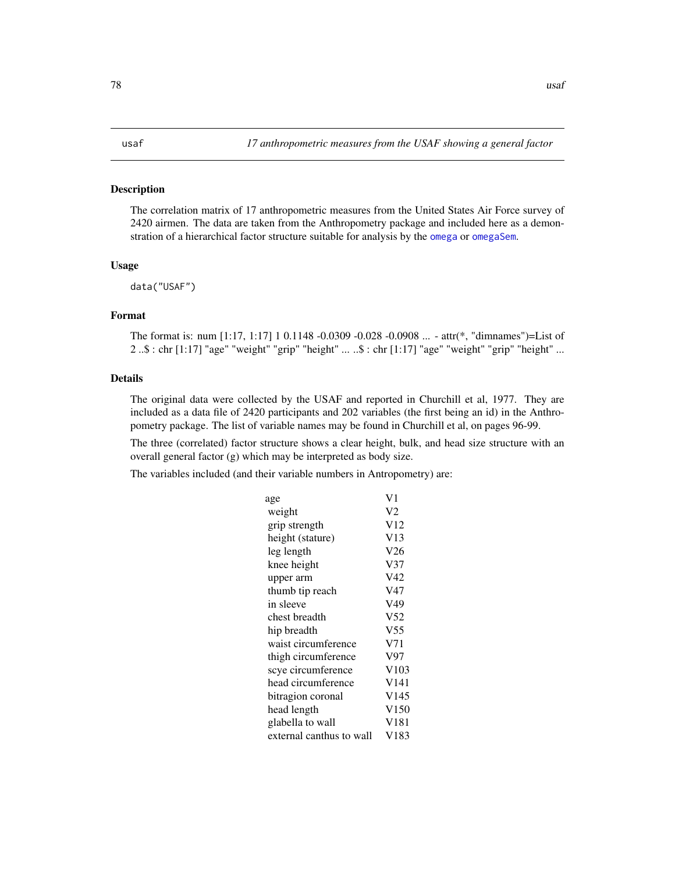## <span id="page-77-0"></span>Description

The correlation matrix of 17 anthropometric measures from the United States Air Force survey of 2420 airmen. The data are taken from the Anthropometry package and included here as a demonstration of a hierarchical factor structure suitable for analysis by the [omega](#page-0-0) or [omegaSem](#page-0-0).

# Usage

```
data("USAF")
```
# Format

The format is: num [1:17, 1:17] 1 0.1148 -0.0309 -0.028 -0.0908 ... - attr(\*, "dimnames")=List of 2 ..\$ : chr [1:17] "age" "weight" "grip" "height" ... ..\$ : chr [1:17] "age" "weight" "grip" "height" ...

#### Details

The original data were collected by the USAF and reported in Churchill et al, 1977. They are included as a data file of 2420 participants and 202 variables (the first being an id) in the Anthropometry package. The list of variable names may be found in Churchill et al, on pages 96-99.

The three (correlated) factor structure shows a clear height, bulk, and head size structure with an overall general factor (g) which may be interpreted as body size.

The variables included (and their variable numbers in Antropometry) are:

| age                      | V1               |
|--------------------------|------------------|
| weight                   | V <sub>2</sub>   |
| grip strength            | V12              |
| height (stature)         | V13              |
| leg length               | V26              |
| knee height              | V <sub>37</sub>  |
| upper arm                | V42              |
| thumb tip reach          | V47              |
| in sleeve                | V49              |
| chest breadth            | V <sub>52</sub>  |
| hip breadth              | V <sub>55</sub>  |
| waist circumference      | V <sub>71</sub>  |
| thigh circumference      | V97              |
| scye circumference       | V <sub>103</sub> |
| head circumference       | V141             |
| bitragion coronal        | V145             |
| head length              | V <sub>150</sub> |
| glabella to wall         | V181             |
| external canthus to wall | V183             |
|                          |                  |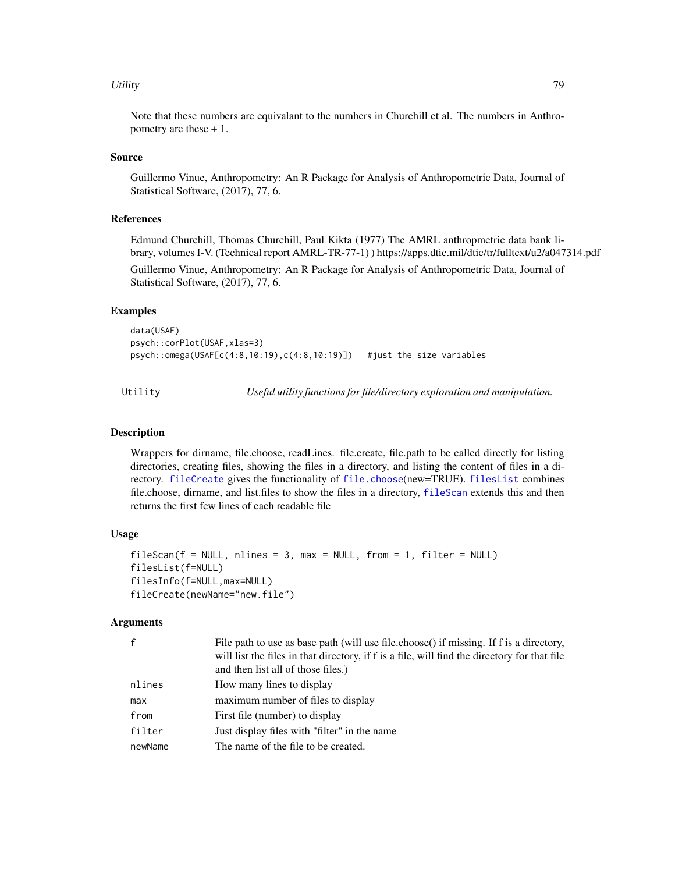#### <span id="page-78-1"></span>Utility 79

Note that these numbers are equivalant to the numbers in Churchill et al. The numbers in Anthropometry are these + 1.

# Source

Guillermo Vinue, Anthropometry: An R Package for Analysis of Anthropometric Data, Journal of Statistical Software, (2017), 77, 6.

# References

Edmund Churchill, Thomas Churchill, Paul Kikta (1977) The AMRL anthropmetric data bank library, volumes I-V. (Technical report AMRL-TR-77-1) ) https://apps.dtic.mil/dtic/tr/fulltext/u2/a047314.pdf

Guillermo Vinue, Anthropometry: An R Package for Analysis of Anthropometric Data, Journal of Statistical Software, (2017), 77, 6.

#### Examples

data(USAF) psych::corPlot(USAF,xlas=3) psych::omega(USAF[c(4:8,10:19),c(4:8,10:19)]) #just the size variables

Utility *Useful utility functions for file/directory exploration and manipulation.*

#### <span id="page-78-0"></span>**Description**

Wrappers for dirname, file.choose, readLines. file.create, file.path to be called directly for listing directories, creating files, showing the files in a directory, and listing the content of files in a directory. [fileCreate](#page-78-0) gives the functionality of [file.choose](#page-0-0)(new=TRUE). [filesList](#page-78-0) combines file.choose, dirname, and list.files to show the files in a directory, [fileScan](#page-78-0) extends this and then returns the first few lines of each readable file

# Usage

```
fileScan(f = NULL, nlines = 3, max = NULL, from = 1, filter = NULL)filesList(f=NULL)
filesInfo(f=NULL,max=NULL)
fileCreate(newName="new.file")
```
#### Arguments

| $\mathsf{f}$ | File path to use as base path (will use file.choose) if missing. If f is a directory,<br>will list the files in that directory, if f is a file, will find the directory for that file<br>and then list all of those files.) |
|--------------|-----------------------------------------------------------------------------------------------------------------------------------------------------------------------------------------------------------------------------|
| nlines       | How many lines to display                                                                                                                                                                                                   |
| max          | maximum number of files to display                                                                                                                                                                                          |
| from         | First file (number) to display                                                                                                                                                                                              |
| filter       | Just display files with "filter" in the name                                                                                                                                                                                |
| newName      | The name of the file to be created.                                                                                                                                                                                         |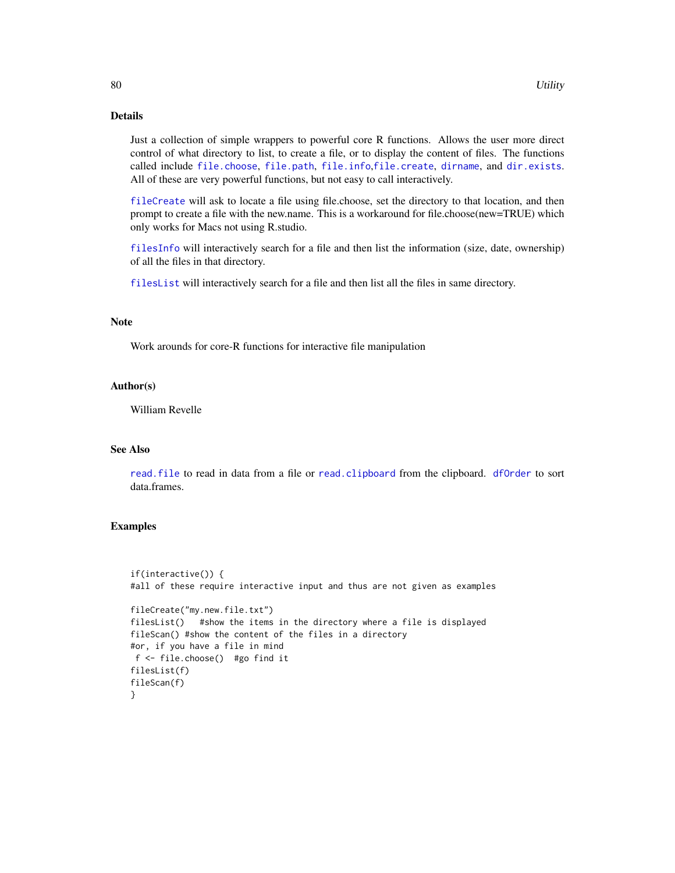# Details

Just a collection of simple wrappers to powerful core R functions. Allows the user more direct control of what directory to list, to create a file, or to display the content of files. The functions called include [file.choose](#page-0-0), [file.path](#page-0-0), [file.info](#page-0-0),[file.create](#page-0-0), [dirname](#page-0-0), and [dir.exists](#page-0-0). All of these are very powerful functions, but not easy to call interactively.

[fileCreate](#page-78-0) will ask to locate a file using file.choose, set the directory to that location, and then prompt to create a file with the new.name. This is a workaround for file.choose(new=TRUE) which only works for Macs not using R.studio.

[filesInfo](#page-78-0) will interactively search for a file and then list the information (size, date, ownership) of all the files in that directory.

[filesList](#page-78-0) will interactively search for a file and then list all the files in same directory.

# Note

Work arounds for core-R functions for interactive file manipulation

## Author(s)

William Revelle

# See Also

[read.file](#page-63-0) to read in data from a file or [read.clipboard](#page-63-1) from the clipboard. [dfOrder](#page-23-0) to sort data.frames.

#### Examples

```
if(interactive()) {
#all of these require interactive input and thus are not given as examples
fileCreate("my.new.file.txt")
filesList() #show the items in the directory where a file is displayed
fileScan() #show the content of the files in a directory
#or, if you have a file in mind
f <- file.choose() #go find it
filesList(f)
fileScan(f)
}
```
<span id="page-79-0"></span>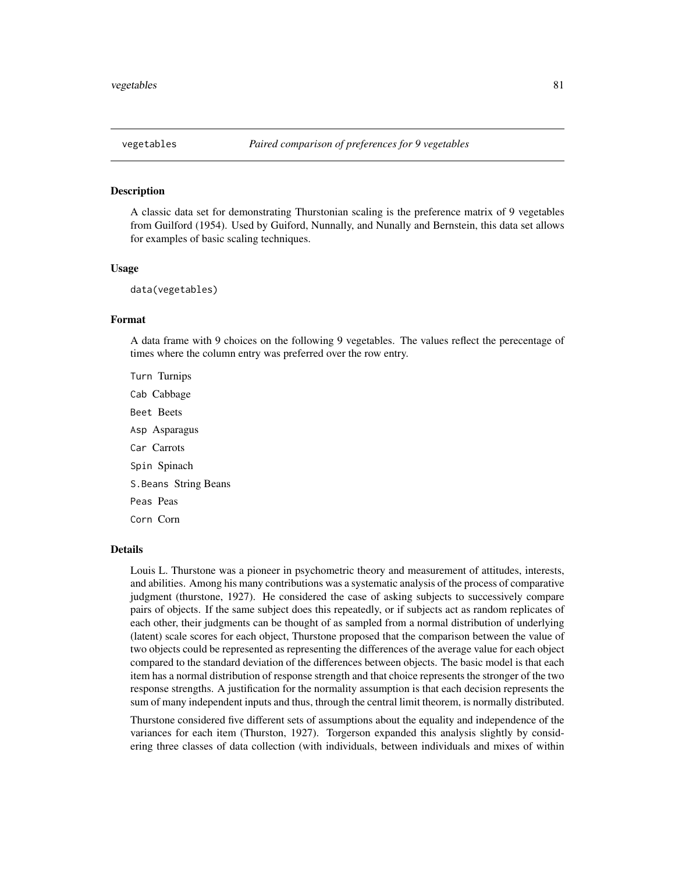#### <span id="page-80-0"></span>Description

A classic data set for demonstrating Thurstonian scaling is the preference matrix of 9 vegetables from Guilford (1954). Used by Guiford, Nunnally, and Nunally and Bernstein, this data set allows for examples of basic scaling techniques.

#### Usage

data(vegetables)

### Format

A data frame with 9 choices on the following 9 vegetables. The values reflect the perecentage of times where the column entry was preferred over the row entry.

Turn Turnips Cab Cabbage Beet Beets Asp Asparagus Car Carrots Spin Spinach S.Beans String Beans Peas Peas Corn Corn

#### Details

Louis L. Thurstone was a pioneer in psychometric theory and measurement of attitudes, interests, and abilities. Among his many contributions was a systematic analysis of the process of comparative judgment (thurstone, 1927). He considered the case of asking subjects to successively compare pairs of objects. If the same subject does this repeatedly, or if subjects act as random replicates of each other, their judgments can be thought of as sampled from a normal distribution of underlying (latent) scale scores for each object, Thurstone proposed that the comparison between the value of two objects could be represented as representing the differences of the average value for each object compared to the standard deviation of the differences between objects. The basic model is that each item has a normal distribution of response strength and that choice represents the stronger of the two response strengths. A justification for the normality assumption is that each decision represents the sum of many independent inputs and thus, through the central limit theorem, is normally distributed.

Thurstone considered five different sets of assumptions about the equality and independence of the variances for each item (Thurston, 1927). Torgerson expanded this analysis slightly by considering three classes of data collection (with individuals, between individuals and mixes of within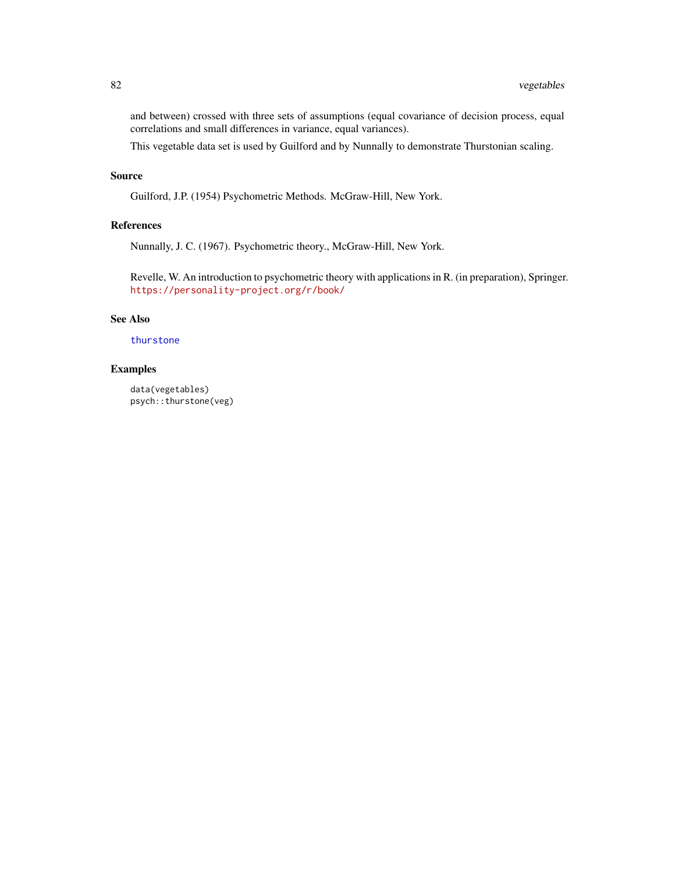<span id="page-81-0"></span>and between) crossed with three sets of assumptions (equal covariance of decision process, equal correlations and small differences in variance, equal variances).

This vegetable data set is used by Guilford and by Nunnally to demonstrate Thurstonian scaling.

# Source

Guilford, J.P. (1954) Psychometric Methods. McGraw-Hill, New York.

# References

Nunnally, J. C. (1967). Psychometric theory., McGraw-Hill, New York.

Revelle, W. An introduction to psychometric theory with applications in R. (in preparation), Springer. <https://personality-project.org/r/book/>

# See Also

# [thurstone](#page-0-0)

# Examples

data(vegetables) psych::thurstone(veg)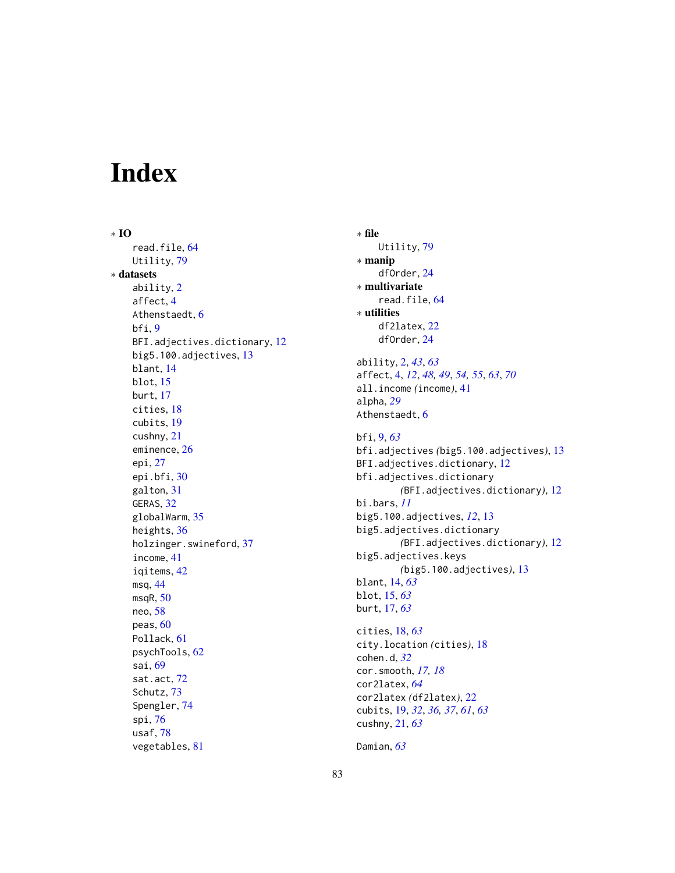# Index

∗ IO read.file, [64](#page-63-2) Utility, [79](#page-78-1) ∗ datasets ability, [2](#page-1-0) affect, [4](#page-3-0) Athenstaedt, [6](#page-5-0) bfi, [9](#page-8-0) BFI.adjectives.dictionary, [12](#page-11-0) big5.100.adjectives, [13](#page-12-0) blant, [14](#page-13-0) blot, [15](#page-14-0) burt, [17](#page-16-0) cities, [18](#page-17-0) cubits, [19](#page-18-0) cushny, [21](#page-20-0) eminence, [26](#page-25-0) epi, [27](#page-26-0) epi.bfi, [30](#page-29-0) galton, [31](#page-30-0) GERAS, [32](#page-31-0) globalWarm, [35](#page-34-0) heights, [36](#page-35-0) holzinger.swineford, [37](#page-36-0) income, [41](#page-40-0) iqitems, [42](#page-41-0) msq, [44](#page-43-0) msqR, [50](#page-49-0) neo, [58](#page-57-0) peas, [60](#page-59-0) Pollack, [61](#page-60-0) psychTools, [62](#page-61-0) sai, [69](#page-68-0) sat.act, [72](#page-71-0) Schutz, [73](#page-72-0) Spengler, [74](#page-73-0) spi, [76](#page-75-0) usaf, [78](#page-77-0) vegetables, [81](#page-80-0)

∗ file Utility, [79](#page-78-1) ∗ manip dfOrder, [24](#page-23-1) ∗ multivariate read.file, [64](#page-63-2) ∗ utilities df2latex, [22](#page-21-0) dfOrder, [24](#page-23-1) ability, [2,](#page-1-0) *[43](#page-42-0)*, *[63](#page-62-0)* affect, [4,](#page-3-0) *[12](#page-11-0)*, *[48,](#page-47-0) [49](#page-48-0)*, *[54,](#page-53-0) [55](#page-54-0)*, *[63](#page-62-0)*, *[70](#page-69-0)* all.income *(*income*)*, [41](#page-40-0) alpha, *[29](#page-28-0)* Athenstaedt, [6](#page-5-0) bfi, [9,](#page-8-0) *[63](#page-62-0)* bfi.adjectives *(*big5.100.adjectives*)*, [13](#page-12-0) BFI.adjectives.dictionary, [12](#page-11-0) bfi.adjectives.dictionary *(*BFI.adjectives.dictionary*)*, [12](#page-11-0) bi.bars, *[11](#page-10-0)* big5.100.adjectives, *[12](#page-11-0)*, [13](#page-12-0) big5.adjectives.dictionary *(*BFI.adjectives.dictionary*)*, [12](#page-11-0) big5.adjectives.keys *(*big5.100.adjectives*)*, [13](#page-12-0) blant, [14,](#page-13-0) *[63](#page-62-0)* blot, [15,](#page-14-0) *[63](#page-62-0)* burt, [17,](#page-16-0) *[63](#page-62-0)* cities, [18,](#page-17-0) *[63](#page-62-0)* city.location *(*cities*)*, [18](#page-17-0) cohen.d, *[32](#page-31-0)* cor.smooth, *[17,](#page-16-0) [18](#page-17-0)* cor2latex, *[64](#page-63-2)* cor2latex *(*df2latex*)*, [22](#page-21-0) cubits, [19,](#page-18-0) *[32](#page-31-0)*, *[36,](#page-35-0) [37](#page-36-0)*, *[61](#page-60-0)*, *[63](#page-62-0)* cushny, [21,](#page-20-0) *[63](#page-62-0)*

Damian, *[63](#page-62-0)*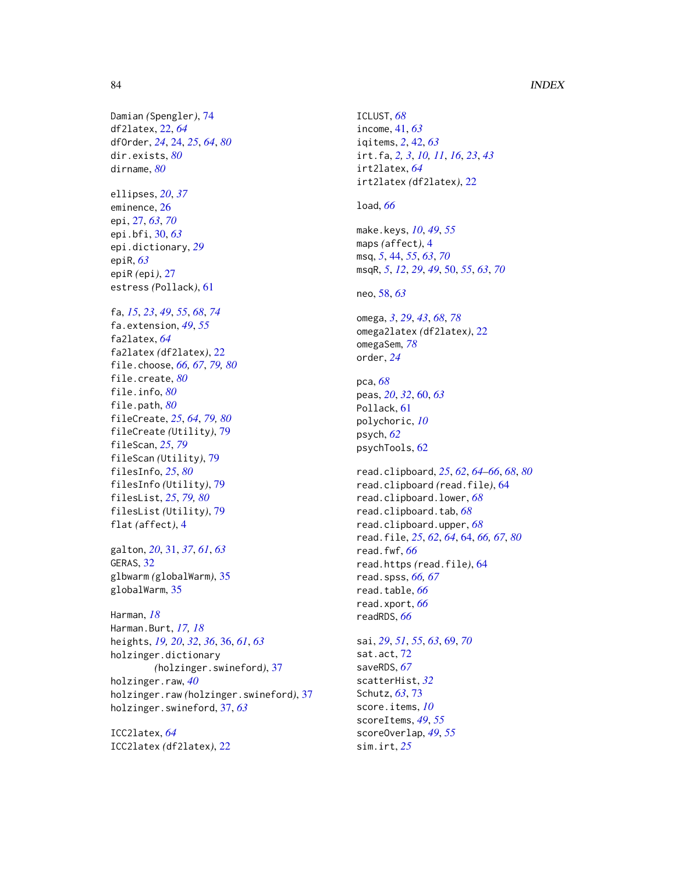# 84 INDEX

Damian *(*Spengler*)*, [74](#page-73-0) df2latex, [22,](#page-21-0) *[64](#page-63-2)* dfOrder, *[24](#page-23-1)*, [24,](#page-23-1) *[25](#page-24-0)*, *[64](#page-63-2)*, *[80](#page-79-0)* dir.exists, *[80](#page-79-0)* dirname, *[80](#page-79-0)* ellipses, *[20](#page-19-0)*, *[37](#page-36-0)* eminence, [26](#page-25-0) epi, [27,](#page-26-0) *[63](#page-62-0)*, *[70](#page-69-0)* epi.bfi, [30,](#page-29-0) *[63](#page-62-0)* epi.dictionary, *[29](#page-28-0)*

epiR, *[63](#page-62-0)* epiR *(*epi*)*, [27](#page-26-0) estress *(*Pollack*)*, [61](#page-60-0)

fa, *[15](#page-14-0)*, *[23](#page-22-0)*, *[49](#page-48-0)*, *[55](#page-54-0)*, *[68](#page-67-0)*, *[74](#page-73-0)* fa.extension, *[49](#page-48-0)*, *[55](#page-54-0)* fa2latex, *[64](#page-63-2)* fa2latex *(*df2latex*)*, [22](#page-21-0) file.choose, *[66,](#page-65-0) [67](#page-66-0)*, *[79,](#page-78-1) [80](#page-79-0)* file.create, *[80](#page-79-0)* file.info, *[80](#page-79-0)* file.path, *[80](#page-79-0)* fileCreate, *[25](#page-24-0)*, *[64](#page-63-2)*, *[79,](#page-78-1) [80](#page-79-0)* fileCreate *(*Utility*)*, [79](#page-78-1) fileScan, *[25](#page-24-0)*, *[79](#page-78-1)* fileScan *(*Utility*)*, [79](#page-78-1) filesInfo, *[25](#page-24-0)*, *[80](#page-79-0)* filesInfo *(*Utility*)*, [79](#page-78-1) filesList, *[25](#page-24-0)*, *[79,](#page-78-1) [80](#page-79-0)* filesList *(*Utility*)*, [79](#page-78-1) flat *(*affect*)*, [4](#page-3-0)

galton, *[20](#page-19-0)*, [31,](#page-30-0) *[37](#page-36-0)*, *[61](#page-60-0)*, *[63](#page-62-0)* GERAS, [32](#page-31-0) glbwarm *(*globalWarm*)*, [35](#page-34-0) globalWarm, [35](#page-34-0)

Harman, *[18](#page-17-0)* Harman.Burt, *[17,](#page-16-0) [18](#page-17-0)* heights, *[19,](#page-18-0) [20](#page-19-0)*, *[32](#page-31-0)*, *[36](#page-35-0)*, [36,](#page-35-0) *[61](#page-60-0)*, *[63](#page-62-0)* holzinger.dictionary *(*holzinger.swineford*)*, [37](#page-36-0) holzinger.raw, *[40](#page-39-0)* holzinger.raw *(*holzinger.swineford*)*, [37](#page-36-0) holzinger.swineford, [37,](#page-36-0) *[63](#page-62-0)*

ICC2latex, *[64](#page-63-2)* ICC2latex *(*df2latex*)*, [22](#page-21-0) ICLUST, *[68](#page-67-0)* income, [41,](#page-40-0) *[63](#page-62-0)* iqitems, *[2](#page-1-0)*, [42,](#page-41-0) *[63](#page-62-0)* irt.fa, *[2,](#page-1-0) [3](#page-2-0)*, *[10,](#page-9-0) [11](#page-10-0)*, *[16](#page-15-0)*, *[23](#page-22-0)*, *[43](#page-42-0)* irt2latex, *[64](#page-63-2)* irt2latex *(*df2latex*)*, [22](#page-21-0)

# load, *[66](#page-65-0)*

make.keys, *[10](#page-9-0)*, *[49](#page-48-0)*, *[55](#page-54-0)* maps *(*affect*)*, [4](#page-3-0) msq, *[5](#page-4-0)*, [44,](#page-43-0) *[55](#page-54-0)*, *[63](#page-62-0)*, *[70](#page-69-0)* msqR, *[5](#page-4-0)*, *[12](#page-11-0)*, *[29](#page-28-0)*, *[49](#page-48-0)*, [50,](#page-49-0) *[55](#page-54-0)*, *[63](#page-62-0)*, *[70](#page-69-0)*

neo, [58,](#page-57-0) *[63](#page-62-0)*

omega, *[3](#page-2-0)*, *[29](#page-28-0)*, *[43](#page-42-0)*, *[68](#page-67-0)*, *[78](#page-77-0)* omega2latex *(*df2latex*)*, [22](#page-21-0) omegaSem, *[78](#page-77-0)* order, *[24](#page-23-1)*

pca, *[68](#page-67-0)* peas, *[20](#page-19-0)*, *[32](#page-31-0)*, [60,](#page-59-0) *[63](#page-62-0)* Pollack, [61](#page-60-0) polychoric, *[10](#page-9-0)* psych, *[62](#page-61-0)* psychTools, [62](#page-61-0)

read.clipboard, *[25](#page-24-0)*, *[62](#page-61-0)*, *[64](#page-63-2)[–66](#page-65-0)*, *[68](#page-67-0)*, *[80](#page-79-0)* read.clipboard *(*read.file*)*, [64](#page-63-2) read.clipboard.lower, *[68](#page-67-0)* read.clipboard.tab, *[68](#page-67-0)* read.clipboard.upper, *[68](#page-67-0)* read.file, *[25](#page-24-0)*, *[62](#page-61-0)*, *[64](#page-63-2)*, [64,](#page-63-2) *[66,](#page-65-0) [67](#page-66-0)*, *[80](#page-79-0)* read.fwf, *[66](#page-65-0)* read.https *(*read.file*)*, [64](#page-63-2) read.spss, *[66,](#page-65-0) [67](#page-66-0)* read.table, *[66](#page-65-0)* read.xport, *[66](#page-65-0)* readRDS, *[66](#page-65-0)*

sai, *[29](#page-28-0)*, *[51](#page-50-0)*, *[55](#page-54-0)*, *[63](#page-62-0)*, [69,](#page-68-0) *[70](#page-69-0)* sat.act, [72](#page-71-0) saveRDS, *[67](#page-66-0)* scatterHist, *[32](#page-31-0)* Schutz, *[63](#page-62-0)*, [73](#page-72-0) score.items, *[10](#page-9-0)* scoreItems, *[49](#page-48-0)*, *[55](#page-54-0)* scoreOverlap, *[49](#page-48-0)*, *[55](#page-54-0)* sim.irt, *[25](#page-24-0)*